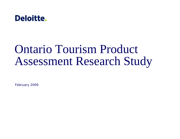

# Ontario Tourism Product Assessment Research Study

February 2009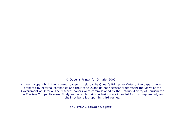© Queen's Printer for Ontario, 2009

Although copyright in the research papers is held by the Queen's Printer for Ontario, the papers were prepared by external companies and their conclusions do not necessarily represent the views of the Government of Ontario. The research papers were commissioned by the Ontario Ministry of Tourism for the Tourism Competitiveness Study and as such their conclusions are intended for this purpose only and shall not be relied-upon by third parties.

ISBN 978-1-4249-8935-5 (PDF)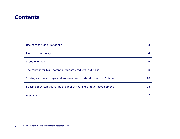### **Contents**

| Use of report and limitations                                        | 3  |
|----------------------------------------------------------------------|----|
| <b>Executive summary</b>                                             | 4  |
| Study overview                                                       | 6  |
| The context for high-potential tourism products in Ontario           | 8  |
| Strategies to encourage and improve product development in Ontario   | 18 |
| Specific opportunities for public agency tourism product development | 28 |
| Appendices                                                           | 37 |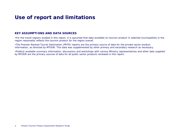### **Use of report and limitations**

### **KEY ASSUMPTIONS AND DATA SOURCES**

•For the travel regions studied in this report, it is assumed that data available on tourism product in selected municipalities in the region reasonably reflects the tourism product for the region overall.

•The Premier-Ranked Tourist Destination (PRTD) reports are the primary source of data for the private sector product information, as directed by MTOUR. This data was supplemented by other primary and secondary research as necessary.

•Publicly available summary information, discussions and workshops with various Ministry representatives and other data supplied by MTOUR are the primary sources of data for all public sector products reviewed in this report.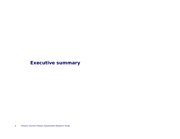### **Executive summary**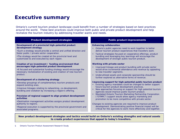### **Executive summary**

Ontario's current tourism product landscape could benefit from a number of strategies based on best practices around the world. These best practices could improve both public and private product development and help revitalize the tourism industry by addressing traveller wants and needs.

#### **Product development strategies** *Public product improvements*

#### **Development of a provincial high-potential product development strategy**

•Such a strategy would provide a central and unified direction and foster public / private sector cooperation.

•The strategy would be created at the provincial level and customized to and executed by each region.

#### **Creation of an investment / funding environment that encourages high-potential product development**

•A focused and substantial funding strategy would encourage the necessary revitalization of existing and creation of new tourism product.

#### **Development of a clustering strategy**

•Develop groupings of complementary tourism products and expand existing ones.

•Improve linkages relating to networking, co-development, bundling and visitation by increasing a region's offering.

#### **Provision of regional support to align product development activities**

•Destination management activities assigns product development authority to regions.

•Regional execution is supported by the provincial government and associated programs.

#### **Enhancing collaboration**

- Ontario's public agencies need to work together to better deliver tourism product experiences that travellers want.
- • Tactical strategies focused on cooperative offerings, product bundling and leveraging key learnings will encourage the development of stronger public tourism product.

#### **Working with private sector**

- Improved linkage and product bundling with private sector would drive incremental attendance and revenue by appealing to new traveller segments.
- Underutilized assets and corporate sponsorship should be further explored as alternative forms of revenue.

#### **Improving support for high-potential public tourism product**

- Existing agency mandates could be changed to better support future tourism product development practices.
- New approaches focusing on support for high potential tourism agencies would improve public tourism product.
- • Mandated Ontario Tourism Marketing Partnership Corporation ("OTMPC") support would allow agency marketing and promotion to be more competitive with private sector.

Changes to existing agencies are required to improve product development. Demonstrating positive financial impact will be critical for the agencies to work more effectively and together.

**New product development strategies and tactics would build on Ontario's existing strengths and natural assets to create product experiences that appeal to today's travellers.**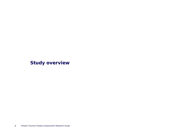**Study overview**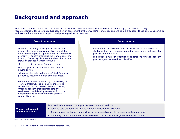### **Background and approach**

This report has been written as part of the Ontario Tourism Competitiveness Study ("OTCS" or "the Study"). It outlines strategic recommendations for Ontario product based on an assessment of the province's tourism regions and public products. These strategies serve to address and improve provincial public and private product development.

#### **Project background** Ontario faces many challenges as the tourism industry becomes more competitive on a global basis, and is impacted by a slowing local and global economy. Tourism product is the foundation of the industry. Some key observations about the current status of product in Ontario include: •Perceived 'tiredness' of Ontario's product;1 •Lack of product innovation across public and private sectors; •Opportunities exist to improve Ontario's tourism product by focusing on high-potential areas. Within the context of the Study, the Ministry of Tourism ("MTOUR") is looking to understand current and future traveller demands, identify Ontario's tourism product strengths and weaknesses, and develop strategies for product development to boost the tourism sector's competitiveness. **Project approach** Based on our assessment, this report will focus on a series of strategies that have been generated for developing high-potential product in the province. In addition, a number of tactical considerations for public tourism product agencies have been identified.

**Themes addressed / desired outcomes**As a result of the research and product assessment, Ontario can: • Identify core elements for Ontario's product development strategy; • Create a high-level roadmap detailing the strategic direction for product development; and • Ultimately, improve the traveller experience in the province through better tourism product.

**Sources:** (1) Primary research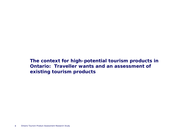**The context for high-potential tourism products in Ontario: Traveller wants and an assessment of existing tourism products**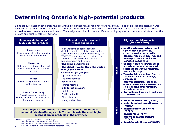### **Determining Ontario's high-potential products**

Eight product categories\* across the province's six defined travel regions\* were reviewed. In addition, specific attention was focused on 16 public tourism products. The products were assessed against the relevant definitions of high-potential product, as well as key traveller wants and needs. The analysis resulted in the identification of high-potential tourism products across the private and public sectors in Ontario.

### **Summary definition of high-potential product**

#### **Experience**

Proven concept that aligns with relevant consumer trends

#### **Character**

Uniqueness, differentiation and ability to be a core attractor to an area

#### **Access**

Ease of navigation both to and within an area

#### **Future Opportunity**

Growth potential based on competitiveness, ability to attract visitation and seasonality

**Relevant traveller segment wants and needs**

Relevant traveller segments were identified in both the global opportunities assessment and a study conducted by the OTMPC. These groups were reviewed to determine their interests in Ontario's tourism product and include:

- •**The aging demographic**
- •**The global traveller (from the world's emerging markets)**
- •**Ontario target groups\*:**
- -Upscale adventurers
- -Provincial families
- -Young go-gos
- -Retired roamers
- •**U.S. target groups\*:**
- -High flyers
- -Footloose families
- -Silver streaks
- -Young and restless

**Each region in Ontario has a different combination of highpotential private offerings while Toronto boasts the most highpotential public products in the province.** 

**\* NOTE:** See Appendix One for a listing of product categories See Appendix Two for an overview of the travel regions See Appendix Three for a detailed description of Ontario's key traveller segments

9Ontario Tourism Product Assessment Research Study

#### **Southwestern Ontario: Arts and** culture, food and beverage, attractions and other recreation • Niagara: Arts and culture, food and beverage, attractions and other recreation, conventions • Central / Easti Accommodations,

**High-potential products** (not in rank order)

festivals and events, recreational sports and other active recreation, food and beverage

Private

Public

- Torontor Arts and culture, festivals and events, food and beverage, conventions
- Ottawar Recreational sports and other active recreation, conventions, attractions and other recreation. festivals and events
- North: Recreational sports and other active recreation
- Art Gallery of Ontario ("AGO")
- Metro Toronto Convention Centre ("MTCC")
- Niagara Parks Commission ("NPC")
- $\cdot$  Ontario Place ("OP")
- Ottawa Convention Centre ("OCC")
- Royal Ontario Museum ("ROM")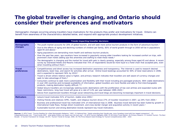### **The global traveller is changing, and Ontario should consider their preferences and motivators**

Demographic changes occurring among travellers have implications for the products they prefer and motivations for travel. Ontario can benefit from awareness of the characteristics detailed below, and respond with appropriate product development initiatives.

|                              | Trends impacting traveller decisions                                                                                                                                                                                                                                                                                                                                                                                                                                                                                                                                                                                                                                                                                                                                                                                                                                                                                                                                                                                                                                                                                                                                                                                                                                                         |
|------------------------------|----------------------------------------------------------------------------------------------------------------------------------------------------------------------------------------------------------------------------------------------------------------------------------------------------------------------------------------------------------------------------------------------------------------------------------------------------------------------------------------------------------------------------------------------------------------------------------------------------------------------------------------------------------------------------------------------------------------------------------------------------------------------------------------------------------------------------------------------------------------------------------------------------------------------------------------------------------------------------------------------------------------------------------------------------------------------------------------------------------------------------------------------------------------------------------------------------------------------------------------------------------------------------------------------|
| Demographic<br>changes       | • The youth market accounts for 20% of global tourism, and will seek more active tourism products in the form of adventure tourism. <sup>1</sup><br>• Due to the effects of aging and declining numbers of children per family, 65% of world growth through to 2050 will be in populations<br>aged 45 and above. <sup>1</sup><br>Aging populations are demanding more health and wellness tourism products.<br>Over the past few years, spa vacations have increased in popularity among older travellers looking for increased comfort on trips, with<br>prominent chain hotels adding spa-like amenities and staffing to meet these needs. <sup>3</sup><br>The demographic is changing and the market for travel with pets is clearly growing, especially among those aged 45 and above. A recent<br>survey by Starwood Hotels and Resorts indicated that 75% of respondents would be more loyal to a hotel chain that accepted pets, even<br>when travelling without them. <sup>2</sup>                                                                                                                                                                                                                                                                                                   |
| <b>Travel</b><br>preferences | Competitiveness and direct access has increased destination awareness and transparency. The Internet is used to research desired<br>destinations, book trips, and search for activities after arrival. Online travel bookings accounted for 40% of total reservations in 2006,<br>and is expected to represent 56% by 2010. <sup>5</sup><br>• Travel is driven where relative value is higher, and primary research indicates that travellers are well aware of currency changes and<br>seek to take advantage of them. <sup>6</sup><br>• Consumers continue to seek more customization and flexibility with their travel including pre-packaged products. With viable destinations<br>in over 200 countries and increased availability of information, global travellers are more flexible and able to find interchangeable<br>products, making destination loyalty difficult. <sup>7,8,9</sup><br>Global leisure travellers are increasingly seeking exotic destinations with the proliferation of low cost airlines and expanded routes with<br>fewer restrictions; long-haul travel will grow at a rate of 5.4% per year between 1995-2020.4<br>• Advice from experienced travellers through social networking and travel blogs are becoming increasingly important in travel decisions. |
| <b>Motivators</b>            | • Leisure travel motivates 51% of tourism, stable since 2004.4<br>• Visiting friends and relatives (VFR), health, and religious tourism drove 27% of traveller movement in 2007, up 24% from 2004.4<br>Business and professional travel has motivated 15% of international trips in 2008. Business travel demand has been fueled by growth in<br>international trade flows, foreign direct investment, and cross-border merger and acquisition activity in recent years. <sup>4</sup><br>Sustainable tourism and strong destination brands represent key travel motivators.                                                                                                                                                                                                                                                                                                                                                                                                                                                                                                                                                                                                                                                                                                                  |

Sources: (1) NTA Travel: "Tourism Realities for a New Demographic Ballgame," 2007; (2) National Post: "Hotels extending their friendly paw, more Canadians travel with four-legged companions"; (3) Independenttraveler.com: "Travel trends 2007 - what globe-trotters can expect over the next year"; (4) WTO Tourism Highlights 2008; (5) Wi Online Travel Market; (6) Primary research; (7) Scottish Tourism: The Next Decade - A Tourism Framework for Change; (8) ETC: Tourism Trends for Europe, 2006; (9) The Prince Edward Island Strategy for Tourism Competitiveness 2005 – 2010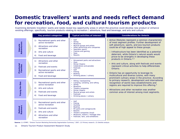### **Domestic travellers' wants and needs reflect demand for recreation, food, and cultural tourism products**

Examining domestic travellers' wants and needs reveal key opportunity areas in which the province could develop new product or enhance existing offerings; specifically, tourism products relating to recreation / adventure, food and beverage, and arts and culture.

|                        | Key product categories <sup>3</sup> |                                                                                                                                                                                                         | Typical activities of interest <sup>1,3</sup>                                                                                                                                                                | <b>Considerations for Ontario</b>                                                                                                                                                                                                                                                                                                                                |
|------------------------|-------------------------------------|---------------------------------------------------------------------------------------------------------------------------------------------------------------------------------------------------------|--------------------------------------------------------------------------------------------------------------------------------------------------------------------------------------------------------------|------------------------------------------------------------------------------------------------------------------------------------------------------------------------------------------------------------------------------------------------------------------------------------------------------------------------------------------------------------------|
| Adventurers<br>Upscale |                                     | Recreational sports and other<br>$\left( \begin{matrix} 1 \end{matrix} \right)$<br>active recreation<br>Attractions and other<br>(2)<br>recreation<br>Arts and culture<br>3)<br>Food and beverage<br>4) | Golf<br>$\bullet$<br>Skiing<br>$\bullet$<br>• Museums<br>Musical groups and artists<br>• Other performing arts companies<br>Spectator sports<br>Casinos and gaming<br><b>Spas</b><br>Resorts                 | • Active lifestyles represent a common characteristic<br>of most segment profiles. Further development of<br>soft adventure, sports, and eco-tourism products<br>could be of high appeal to these groups.<br>- Infrastructure has been identified as a potential<br>deterrent, while Ontario's natural assets would<br>prove to be strengths in developing these |
| Provincial<br>Families |                                     | Attractions and other<br>1)<br>recreation<br>Festivals and events<br>(2)<br>Recreational sports and other<br>3)<br>active recreation<br>Food and beverage<br>4)                                         | Amusement parks and attractions<br>Zoos<br>Dinner theatre<br>• Celebrations and parades<br>Festivals<br>Golf<br><b>Fishing</b><br>Boating<br>Drinking places / culinary                                      | products in Ontario. <sup>2,3</sup><br>• Arts and culture, along with festivals and events<br>represent critical activities to help differentiate<br>Ontario.<br>• Ontario has an opportunity to leverage its<br>multicultural and diverse cuisine, with many<br>prominent culinary areas in the province. According                                             |
| Young Go-Gos           |                                     | Recreational sports and other<br>1)<br>active recreation<br>Arts and culture<br>(2)<br><b>Festivals and events</b><br>3)<br>Food and beverage<br>4)                                                     | Hiking / backpacking<br>Camping, canoeing, and rafting<br><b>Skiing</b><br>• Museums<br>Theatre companies<br>Dinner theatre<br>Musical groups and artists<br>• Festivals<br>Drinking places / culinary       | to primary research, development and international<br>recognition of world class establishments and<br>regions are required to improve this offering. <sup>2</sup><br>• Attractions and other recreation was another<br>common area of interest among most segments.                                                                                             |
| Roamers<br>Retired     |                                     | Recreational sports and other<br>1)<br>active recreation<br><b>Festivals and events</b><br>2)<br>Arts and culture<br>3)<br>Attractions and other<br>4)<br>recreation                                    | Golf<br>• Fishing<br>• Hunting<br><b>Boating</b><br>RV parks and campgrounds<br><b>Resorts</b><br>• Theatre companies (local)<br>• Museums, historic / heritage sites<br>• Festivals, fairs, and exhibitions |                                                                                                                                                                                                                                                                                                                                                                  |

**Source:** (1) OTMPC: "Ontario Tourism Marketing Partnership Segmentation Summary," 2007; (2) Primary research; (3) Deloitte analysis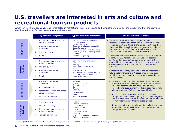### **U.S. travellers are interested in arts and culture and recreational tourism products**

American travellers are consistently interested in recreational tourism products and Ontario's arts and culture, suggesting that the province could benefit from further development in these areas.

|                               |                                     | Key product categories <sup>3</sup>                                                                                                        | Typical activities of interest <sup>1,3</sup>                                                                                                                                                                                                         | <b>Considerations for Ontario</b>                                                                                                                                                                                                                                                                                                                                                                                                                                   |
|-------------------------------|-------------------------------------|--------------------------------------------------------------------------------------------------------------------------------------------|-------------------------------------------------------------------------------------------------------------------------------------------------------------------------------------------------------------------------------------------------------|---------------------------------------------------------------------------------------------------------------------------------------------------------------------------------------------------------------------------------------------------------------------------------------------------------------------------------------------------------------------------------------------------------------------------------------------------------------------|
| <b>High Flyers</b>            | 1)<br>2)<br>3)<br>4)                | Recreational sports and other<br>active recreation<br>Attractions and other<br>recreation<br>Arts and culture<br>Retail                    | • Camping, hiking, and canoeing<br>• Golf and skiing<br>• Theatre companies<br>Other performing arts companies<br>• Spectator sports<br>• Amusement parks and attractions<br>Museums, historic / heritage sites<br>• Culinary<br>• Casinos and gaming | • Similar to Ontario's domestic target segments,<br>recreational sports and other active recreation products<br>appeal to most U.S. travellers to Ontario. Both the High<br>Flyer and Silver Streak groups earn income well above<br>the average and prefer luxury, which would raise the<br>importance of offerings at higher end resorts.<br>• Attractions and other recreation also represents a higher<br>priority for U.S. target segments. Casinos, spectator |
| Footloose<br>Families         | 1)<br>(2)<br>$\left(3\right)$<br>4) | Recreational sports and other<br>active recreation<br>Arts and culture<br>Attractions and other<br>recreation<br>Retail                    | Camping, hiking, and canoeing<br>• Fishing<br>• Skating<br>Musical groups and artists<br>$\cdot$ Zoos<br>Spectator sports<br>Amusement parks and attractions<br>• Shopping (sporting goods, hobby,<br>book, and music)                                | sports, and amusement parks are common activities<br>enjoyed by most segments. Ontario currently has well-<br>developed casinos and spectator sports across the<br>province.<br>• Canada's Wonderland, Marineland, and development of<br>future water attractions in Niagara are products that<br>would likely have appeal to these groups, according to<br>primary research. <sup>2</sup>                                                                          |
| Silver Streaks                | 1)<br>2)<br>3)<br>4)                | Attractions and other<br>recreation<br>Accommodations<br>Recreational sports and other<br>active recreation<br><b>Festivals and events</b> | • RV parks<br>• Casinos and gaming<br><b>Spectator sports</b><br>Golf<br>• Resorts<br>• Festivals<br>• Celebrations<br>• Fairs<br>• Botanical gardens                                                                                                 | - Camping, hiking, canoeing, and rafting all represent<br>activities that would leverage Ontario's natural assets.<br>However, according to workshops and primary<br>research, improved tourism product is required to fully<br>take advantage of Ontario's parks and trails.<br>• Arts and culture, along with festivals and events<br>strongly appeal to select target groups. The emergence<br>and of events such as Nuit Blanche and LuminaTO have              |
| <b>Young and<br/>Restless</b> | 1)<br>2)<br>3)<br>4)                | Arts and culture<br>Food and beverage<br>Recreational sports and other<br>active recreation<br><b>Festivals and events</b>                 | • Museums<br>• Theatre companies<br>Dinner theatre<br><b>Drinking places</b><br>• Culinary<br>• Hiking and cycling<br>Festivals<br>• Other performing arts companies<br>• Full service restaurants                                                    | proven important in attracting these groups.<br>Better packaging and bundling options allowing access<br>to multiple cultural facilities for one price would help<br>strengthen such products.                                                                                                                                                                                                                                                                      |

Source: (1) OTMPC: "Ontario Tourism Marketing Partnership Segmentation Summary," 2007; (2) Primary research; (3) Deloitte analysis; (4) PRTD: "City of Toronto," 2007.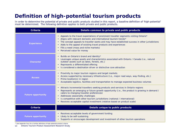# **Definition of high-potential tourism products**

In order to determine the potential of private and public products studied in this report, a baseline definition of 'high-potential' must be determined. The following definition applies to both private and public products.

| <b>Criteria</b>           | Details common to private and public products                                                                                                                                                                                                                                                                                                                                                                                                                       |
|---------------------------|---------------------------------------------------------------------------------------------------------------------------------------------------------------------------------------------------------------------------------------------------------------------------------------------------------------------------------------------------------------------------------------------------------------------------------------------------------------------|
| <b>Experience</b>         | Appeals to the travel expectations of prominent traveller segments visiting Ontario*<br>$\bullet$<br>Aligns with relevant domestic and international tourism trends*<br>$\bullet$<br>The concept appeals to traveller wants and may have established success in other jurisdictions<br>$\bullet$<br>Adds to the appeal of existing travel products and experiences<br>$\bullet$<br>Fills a need (mass and niche markets)<br>Perceived value for money<br>$\bullet$  |
| <b>Character</b>          | Builds on Ontario's brand and identity*<br>$\bullet$<br>Leverages unique assets and characteristics associated with Ontario / Canada (i.e., natural<br>outdoor assets such as lakes, forests, etc.)<br>Represents a differentiated offering<br>$\bullet$<br>Is considered a destination driver or distinctive core attraction                                                                                                                                       |
| <b>Access</b>             | Proximity to major tourism regions and target markets<br>$\bullet$<br>Access supported by necessary infrastructure (i.e., major road ways, way-finding, etc.)<br>$\bullet$<br>Prime location(s) in region<br>Acceptable logistics, facilities and transportation to manage expected business volumes                                                                                                                                                                |
| <b>Future opportunity</b> | Attracts incremental travellers seeking products and services in Ontario regions<br>$\bullet$<br>Represents an emerging or future growth opportunity (i.e., the product is growing in demand /<br>caters to changing traveller preferences)<br>Addresses seasonality challenges<br>$\bullet$<br>Is competitive with other tourism jurisdictions (national / international)<br>$\bullet$<br>Receives acceptable capital investment (relative based on product scale) |
| <b>Criteria</b>           | Details unique to public products                                                                                                                                                                                                                                                                                                                                                                                                                                   |
| <b>Future opportunity</b> | Receives acceptable levels of government funding<br>$\bullet$<br>Likely to be self-sustaining<br>$\bullet$<br>Supports or encourages development and investment of other tourism operations                                                                                                                                                                                                                                                                         |

\* See Appendix Four for a further definition of high-potential product criteria.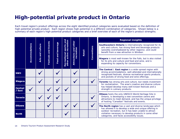### **High-potential private product in Ontario**

Each travel region's product offerings across the eight identified product categories were evaluated based on the definition of high-potential private product. Each region shows high-potential in a different combination of categories. Shown below is a summary of each region's high-potential product categories and a brief overview of each of the region's product strengths.

|                          |                |                |                      |                   |                                 |                               |  | Conventions<br>Retail                                                                                                                                                                                                                                                                | <b>Regional insights</b>                                                                                                                                                                                                            |
|--------------------------|----------------|----------------|----------------------|-------------------|---------------------------------|-------------------------------|--|--------------------------------------------------------------------------------------------------------------------------------------------------------------------------------------------------------------------------------------------------------------------------------------|-------------------------------------------------------------------------------------------------------------------------------------------------------------------------------------------------------------------------------------|
|                          | Accommodations | culture<br>and | Festivals and Events | Food and beverage | sports and<br>recreation        | other<br>recreation<br>þ<br>ā |  |                                                                                                                                                                                                                                                                                      | Southwestern Ontario is internationally recognized for its<br>arts and culture, has strong food and beverage products<br>(possibly overshadowed by other regions), and could<br>benefit from a new attraction in Windsor.           |
|                          |                | <b>Arts</b>    |                      |                   | active<br>Recreational<br>other | Attractions                   |  |                                                                                                                                                                                                                                                                                      | Niagara is most well-known for the Falls, but is also visited<br>for its arts and culture and food and wine, and is<br>expanding its capacity for conventions.                                                                      |
| <b>SWO</b>               |                |                |                      |                   |                                 |                               |  |                                                                                                                                                                                                                                                                                      | The Central / East region is a wide-spread region with<br>strong accommodations, well-attended and internationally<br>recognized festivals, diverse recreational sports products,<br>and pockets of strong food and wine offerings. |
| <b>Niagara</b>           |                |                |                      |                   |                                 |                               |  |                                                                                                                                                                                                                                                                                      | Toronto has strong arts and culture, but needs investment<br>for revitalization. The area's creative and diverse culture                                                                                                            |
| <b>Central</b><br>/ East |                |                |                      |                   |                                 |                               |  | has helped develop many well-known festivals and a<br>strength in culinary products.                                                                                                                                                                                                 |                                                                                                                                                                                                                                     |
| <b>Toronto</b>           |                |                |                      |                   |                                 |                               |  |                                                                                                                                                                                                                                                                                      | Ottawa hosts the only UNESCO World Heritage Site in<br>Ontario, is developing a new convention centre and<br>attractions to meet demand, and has the unique privilege<br>of hosting "Canadian" festivals and events.                |
| <b>Ottawa</b>            |                |                |                      |                   |                                 |                               |  | The North region has a vast and diverse landscape which<br>has allowed it to develop a wide and unique offering in<br>outdoor recreation, but it has been unable to attract<br>visitation necessary to develop products in some other<br>categories, and faces accessibility issues. |                                                                                                                                                                                                                                     |
| <b>North</b>             |                |                |                      |                   |                                 |                               |  |                                                                                                                                                                                                                                                                                      |                                                                                                                                                                                                                                     |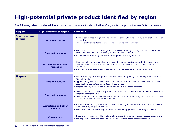# **High-potential private product identified by region**

The following table provides additional context and rationale for classification of high-potential product across Ontario's regions.

| <b>Region</b>                  | <b>High-potential category</b>             | <b>Rationale</b>                                                                                                                                                                                                                                                                                                                                          |
|--------------------------------|--------------------------------------------|-----------------------------------------------------------------------------------------------------------------------------------------------------------------------------------------------------------------------------------------------------------------------------------------------------------------------------------------------------------|
| <b>Southwestern</b><br>Ontario | <b>Arts and culture</b>                    | • There is established recognition and awareness of the Stratford festival, but visitation is not at<br>desired levels.<br>• International visitors desire these products when visiting the region.                                                                                                                                                       |
|                                | <b>Food and beverage</b>                   | • Some of the best-in-class offerings in the province including culinary products from the Chef's<br>School and wineries in the Windsor, Essex and Pelee Island areas.<br>• May be overshadowed by more well-known products in Niagara and Toronto.                                                                                                       |
|                                | <b>Attractions and other</b><br>recreation | • Elgin, Norfolk and Haldimand counties have diverse agritourism products, but overall are<br>underdeveloped; there is potential for agritourism to become an anchor attraction in<br>the region.<br>• The Windsor area lacks a distinctive, year-round, all-weather multi-market attraction.                                                             |
|                                |                                            |                                                                                                                                                                                                                                                                                                                                                           |
| <b>Niagara</b>                 | <b>Arts and culture</b>                    | • History / heritage museum participation is expected to grow by 12% among Americans in the<br>region by 2025.<br>• Approximately 23% of Canadian travellers and 47.5% of overseas travellers visit the region<br>specifically to see cultural or heritage / historic sites.<br>• Niagara has only 4.5% of the provinces arts and culture establishments. |
|                                | <b>Food and beverage</b>                   | • Wine tourism in the region is expected to grow by 20% in the Canadian market and 28% in the<br>American market by 2025.<br>• Current offerings are diverse and known nationally and internationally, and have earned many<br>awards, but have potential to be expanded.                                                                                 |
|                                | <b>Attractions and other</b><br>recreation | . The Falls are visited by 90% of all travellers to the region and are Ontario's largest attraction,<br>with up to 105,000 people per day.<br>• New attractions are developing to create complimentary products to primary attractions.                                                                                                                   |
|                                | <b>Conventions</b>                         | • There is a recognized need for a stand-alone convention centre to accommodate larger events.<br>• The region is currently investing in a \$100 million stand-alone conference facility.                                                                                                                                                                 |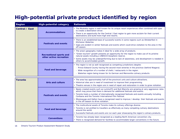# **High-potential private product identified by region**

| <b>Region</b>  | <b>High-potential category</b>                            | <b>Rationale</b>                                                                                                                                                                                                                                                                                                                                                                                                                                                                   |
|----------------|-----------------------------------------------------------|------------------------------------------------------------------------------------------------------------------------------------------------------------------------------------------------------------------------------------------------------------------------------------------------------------------------------------------------------------------------------------------------------------------------------------------------------------------------------------|
| Central / East | <b>Accommodations</b>                                     | • The Muskoka region is well-known for its unique resort experiences often combined with spas<br>to create a destination driver.<br>• There is an opportunity for the Central / East region to gain more acclaim for their current<br>destinations and build more high-end resorts.                                                                                                                                                                                                |
|                | <b>Festivals and events</b>                               | • There is an established base of successful events in some regions such as Oktoberfest in<br>Kitchener-Waterloo.<br>• Gaps are evident in winter festivals and events which could drive visitation to the area in the<br>off-season.                                                                                                                                                                                                                                              |
|                | <b>Recreational sports and</b><br>other active recreation | • The area's geography makes it ideal for a wide array of products.<br>• "Green tourism" growth presents an opportunity for the region to make use of its pristine<br>natural assets including a UNESCO biosphere reserve.<br>• Some assets may be underperforming due to lack of awareness, and development is needed in<br>others to accommodate growth.                                                                                                                         |
|                | <b>Food and beverage</b>                                  | • The region is not as well recognized as competing jurisdictions despite:<br>- Prince Edward County having the second-most wineries in the province (behind Niagara).<br>- Wide recognition of a number of chefs / restaurants in the region.<br>- Waterloo region being known for its German and Mennonite culinary products.                                                                                                                                                    |
| <b>Toronto</b> | <b>Arts and culture</b>                                   | • The area has approximately half of the province's arts and culture attractions.<br>• Historical sites are in need of investment to improve their programming.<br>• Theatre venues in the region are in need of repair and restoration in order to grow visitation.                                                                                                                                                                                                               |
|                | <b>Festivals and events</b>                               | • Newly created events such as LuminaTO and Nuit Blanche are growing at very aggressive rates<br>which may prove that there is demand for additional festivals and events.<br>• Toronto hosts a number of internationally recognized festivals and events annually including<br>Caribana and the Toronto International Film Festival.<br>. Mississauga and Halton have a recognized need to improve / develop their festivals and events<br>in the off-season to drive visitation. |
|                | <b>Food and beverage</b>                                  | • The multicultural assets of Toronto make its culinary offerings diverse.<br>• Toronto is not profiled to travellers as effectively as many competing culinary destinations<br>around the world.<br>• Successful festivals and events are run each year showcasing the region's culinary products.                                                                                                                                                                                |
|                | <b>Conventions</b>                                        | • Toronto has already been recognized as a leading North American convention city.<br>• There is recognized demand for facilities to accommodate larger conventions in the future.                                                                                                                                                                                                                                                                                                 |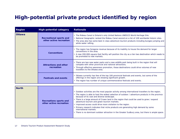# **High-potential private product identified by region**

| <b>Region</b> | <b>High-potential category</b>                            | <b>Rationale</b>                                                                                                                                                                                                                                                                                             |
|---------------|-----------------------------------------------------------|--------------------------------------------------------------------------------------------------------------------------------------------------------------------------------------------------------------------------------------------------------------------------------------------------------------|
| l Ottawa      | <b>Recreational sports and</b><br>other active recreation | . The Rideau Canal is Ontario's only United Nations UNESCO World Heritage Site.<br>. National Geographic ranked the Rideau Canal second on a list of 109 worldwide historic sites.<br>• The area also has some best in class adventure tourism products including bungee jumping and<br>white water rafting. |
|               | <b>Conventions</b>                                        | • The region has foregone revenue because of its inability to house the demand for larger<br>conventions in the area.<br>• A new 200,000-square-foot facility will position the city as a tier-two destination which needs to<br>be promoted to new markets.                                                 |
|               | <b>Attractions and other</b><br>recreation                | • There are two new water parks and a new wildlife park being built in the region that will<br>compete with other provincial and national attractions.<br>• Through effective awareness promotion, these destinations could drive volumes of new<br>travellers to the Ottawa area.                           |
|               | <b>Festivals and events</b>                               | • Ottawa currently has few of the top 100 provincial festivals and events, but some of the<br>offerings in the region are showing significant growth.<br>• The region has number of unique commemorative festivals and events.                                                                               |

| l North |                                                          |                                                                                                                                                                                                                                                                                                                                                                                                                                                                                                                                                                                                                                                                                     |
|---------|----------------------------------------------------------|-------------------------------------------------------------------------------------------------------------------------------------------------------------------------------------------------------------------------------------------------------------------------------------------------------------------------------------------------------------------------------------------------------------------------------------------------------------------------------------------------------------------------------------------------------------------------------------------------------------------------------------------------------------------------------------|
|         | <b>Recreations sports and</b><br>other active recreation | . Outdoor activities are the most popular activity among international travellers to the region.<br>• The region is able to host the widest selection of outdoor / adventure products in the province<br>because of its vast and diverse landscape.<br>There is a large amount of Crown land in the region that could be used to grow / expand<br>adventure tourism and green tourism markets.<br>• Improved access could drive more visitation to the region.<br>• Primary research indicates that niche products are generating high demand by some<br>international markets.<br>. There is no dominant outdoor attraction in the Greater Sudbury area, but there is ample space. |
|         |                                                          |                                                                                                                                                                                                                                                                                                                                                                                                                                                                                                                                                                                                                                                                                     |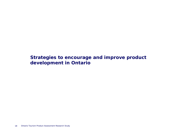**Strategies to encourage and improve product development in Ontario**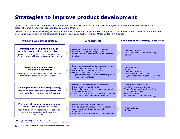### **Strategies to improve product development**

Based on best practices from other tourism destinations, four key product development strategies have been developed that have the potential to improve tourism product development in Ontario.

Each of the four identified strategies can stand alone as independent opportunities to improve product development. However there are clear interrelationships between the strategies, that if utilized, could further improve Ontario's tourism product.

| <b>Product development strategy</b>                                                                                                                                                       | <b>Core elements</b>                                                                                                                                                                                                                                  | Examples of the strategy in practice*                                                                                                                                                                  |
|-------------------------------------------------------------------------------------------------------------------------------------------------------------------------------------------|-------------------------------------------------------------------------------------------------------------------------------------------------------------------------------------------------------------------------------------------------------|--------------------------------------------------------------------------------------------------------------------------------------------------------------------------------------------------------|
| Development of a provincial high-<br>potential product development strategy<br>A provincial strategy which sets clear priorities and<br>goals for public and private product stakeholders | • Develop a central and unified direction<br>Foster public / private cooperation<br>Consideration of both provincial and regional<br><i>implications</i>                                                                                              | • Mexico's FONATUR<br>• East London Development Strategy<br>• Ireland                                                                                                                                  |
| Creation of an investment /<br>funding environment<br>Encouraging product development and innovation<br>through dedicated funding and investment                                          | Dedicated provincial tourism investment fund<br>Small / medium business funding<br>Major projects (material funding)<br>Different investment vehicles<br>Alignment with provincial and regional product<br>development strategies                     | • South Australia<br>• Ireland<br>• Mexico's FONATUR<br>• Tropical North Queensland<br>• Guyana Trade and Investment Support                                                                           |
| Development of a clustering strategy<br>Grouping tourism operations together that offer a<br>complementary set of products to travellers                                                  | • Iconic product creation or revitalization<br>Bundling of product offerings<br>• Produce linkages between regions and public<br>and private products<br>• Attraction of further investment / development<br>• Access to products and around clusters | • Tropical North Queensland<br>• Alberta's Agritourism Cluster<br>Guyana Trade and Investment Support<br><b>Barrie's Winter Cluster</b><br><b>Mexico's FONATUR</b><br>East London Development Strategy |
| Provision of regional support to align<br>product development activities<br>Product development responsibility is assigned to<br>regions and supported by the provincial<br>government    | • Improve destination management<br>Provide development support to entrepreneurs<br>(e.g., education, training, research,<br>marketing)<br>Promote knowledge sharing / communication                                                                  | • British Columbia<br>• Ouebec                                                                                                                                                                         |

**\*NOTE:** See Appendix Five for detailed case studies See Appendix Six for government product development best practices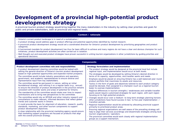### **Development of a provincial high-potential product development strategy**

A provincial tourism product strategy would bring together the many stakeholders in the industry by setting clear priorities and goals for public and private stakeholders, both at provincial and regional levels.

#### **Context / rationale**

- Ontario's current product landscape is in need of a revitalization.1
- A product strategy would address gaps in product offerings and potential opportunities identified by market research.
- A provincial product development strategy would set a coordinated direction for Ontario's product development by prioritizing geographies and product categories.
- A harmonized mandate for product development has thus far been difficult to achieve and many regions do not have a clear and obvious champion for such initiatives; product development activities are often carried out in isolation.
- Well thought-out and executed product strategies have proven successful in uniting tourism organizations in other jurisdictions by guiding priorities and operational decisions.

| <b>Components</b>                                                                                                                                                                                                                                                                                                                                                                                                                                                                                                                                                                                                                                                                                                                                                                                                                                                                                                                                                                                                                                                                                                                                                                                                                                                                                                                                                                                                                                                                   |                                                                                                                                                                                                                                                                                                                                                                                                                                                                                                                                                                                                                                                                                                                                                                                                                                                                                                                                                                                                                                                                                                                                                                                                                                                                                                                                                                                                                                                                                                                                                                            |  |  |  |
|-------------------------------------------------------------------------------------------------------------------------------------------------------------------------------------------------------------------------------------------------------------------------------------------------------------------------------------------------------------------------------------------------------------------------------------------------------------------------------------------------------------------------------------------------------------------------------------------------------------------------------------------------------------------------------------------------------------------------------------------------------------------------------------------------------------------------------------------------------------------------------------------------------------------------------------------------------------------------------------------------------------------------------------------------------------------------------------------------------------------------------------------------------------------------------------------------------------------------------------------------------------------------------------------------------------------------------------------------------------------------------------------------------------------------------------------------------------------------------------|----------------------------------------------------------------------------------------------------------------------------------------------------------------------------------------------------------------------------------------------------------------------------------------------------------------------------------------------------------------------------------------------------------------------------------------------------------------------------------------------------------------------------------------------------------------------------------------------------------------------------------------------------------------------------------------------------------------------------------------------------------------------------------------------------------------------------------------------------------------------------------------------------------------------------------------------------------------------------------------------------------------------------------------------------------------------------------------------------------------------------------------------------------------------------------------------------------------------------------------------------------------------------------------------------------------------------------------------------------------------------------------------------------------------------------------------------------------------------------------------------------------------------------------------------------------------------|--|--|--|
| Product development committee role and responsibilities<br>• A product development steering committee would be tasked with<br>setting the general direction of Ontario's tourism product development<br>based on high-potential opportunities and expected market prospects.<br>- The committee would include industry associations and operators,<br>government, and academic representatives to ensure diverse and<br>representative input from key stakeholders.<br>- The committee would be permanent in nature, setting an initial<br>foundational strategy, and refining it on a regular basis (e.g., annual)<br>to ensure the direction of product development in the province remains<br>consistent with traveller wants and areas of potential for Ontario.<br>- The membership of the committee would rotate over time to respect<br>contributions and to bring new perspectives to the committee.<br>• The committee would rely on MTOUR and other industry research and<br>consultations to make relevant, informed decisions that reflect global<br>trends and customer wants in Ontario.<br>- It could provide the basis for alignment of education, research, quality<br>standards, marketing, and other tourism components to support<br>product development objectives.<br>- A close relationship with the provincial marketing agency would ensure<br>that marketing support programs are focused on products that align<br>with the overall provincial strategy. | <b>Strategy formulation and implementation</b><br>• The product strategy would be designed at the provincial level but include<br>regional input, and implementation would occur at both levels.<br>- The strategies would be developed by setting Ontario's desired direction in<br>terms of its capacity, opportunities, and traveller wants and needs.<br>- Emphasis would be placed on ensuring Ontario has a well-balanced year-round<br>product portfolio that maximizes its assets and resources.<br>- Tactics in the form of goals and objectives tailored to each product category<br>would be devised, then assigned to a champion (such as a regional tourism<br>body) to oversee implementation.<br>- Regional differences in tourism strengths / weaknesses and variable traveller<br>wants would require customized strategies for each region, with each region<br>focusing on its high-potential products.<br>• Changes would occur over a medium- to long-term strategic planning horizon;<br>other jurisdictions have found success in two- to five-year implementation /<br>transition periods.<br>• Regional implementation would be achieved by allocating provincial support<br>primarily to prioritized product areas.<br>- Ensuring regional organizations are well aware of the prevailing strategy will<br>help to align their services accordingly and disseminate strategies among local<br>tourism organizations / operators.<br>- The provincial committee would work closely with regional implementation<br>groups as a support mechanism. |  |  |  |

**Sources:** (1) Primary research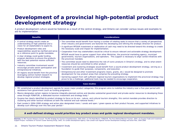### **Development of a provincial high-potential product development strategy**

A product development culture would be fostered as a result of the central strategy, and Ontario can consider various issues and examples to aid its implementation.

| <b>Benefits</b>                                                                                                                                                                                                                                                                                                                                                                                                                                                                                                                                                                                                                                                 | <b>Considerations</b>                                                                                                                                                                                                                                                                                                                                                                                                                                                                                                                                                                                                                                                                                                                                                                                                                                                                                                                                                                                                                                                                                                                                                                                                                                                                                                                                                                                                                                                                                                         |  |  |
|-----------------------------------------------------------------------------------------------------------------------------------------------------------------------------------------------------------------------------------------------------------------------------------------------------------------------------------------------------------------------------------------------------------------------------------------------------------------------------------------------------------------------------------------------------------------------------------------------------------------------------------------------------------------|-------------------------------------------------------------------------------------------------------------------------------------------------------------------------------------------------------------------------------------------------------------------------------------------------------------------------------------------------------------------------------------------------------------------------------------------------------------------------------------------------------------------------------------------------------------------------------------------------------------------------------------------------------------------------------------------------------------------------------------------------------------------------------------------------------------------------------------------------------------------------------------------------------------------------------------------------------------------------------------------------------------------------------------------------------------------------------------------------------------------------------------------------------------------------------------------------------------------------------------------------------------------------------------------------------------------------------------------------------------------------------------------------------------------------------------------------------------------------------------------------------------------------------|--|--|
| • A central strategy would create an<br>understanding of high-potential and a<br>vision for all stakeholders to aspire to.<br>Product development roles and<br>responsibilities would be clarified and serve<br>as a reference point to quide mandates.<br>• A clear strategy could quide funding<br>program decisions to ensure the products<br>with the best potential receive sufficient<br>resources.<br>Industry committee involvement would<br>encourage private-sector participation and<br>entrepreneurial initiatives.<br>All regions would benefit from the province<br>leveraging central market research to<br>develop regional product strategies. | • The committee would benefit from having a number of rotating seats to ensure that a variety of perspectives<br>(from industry and government) are factored into developing and refining the strategic direction for product.<br>• A significant MTOUR investment or reallocation of cash may need to be directed toward this strategy to create<br>the necessary scale and impact for implementation.<br>• Cooperation from key stakeholders would be critical to ensure relevant and actionable strategy development.<br>MTOUR would have to garner support from other Ministries, the provincial marketing agency, municipal<br>governments, tourism organizations, and operators. This support is necessary to align varied initiatives with<br>the provincial mandate.<br>• The committee would need to determine the role of iconic products in Ontario's strategy, and to what extent<br>resources should be committed to other product.<br>• Investment and clustering strategies would benefit from a sound product development strategy, serving as a<br>foundation to guide their purposes, components, and execution.<br>• Entrepreneurial and other investment programs (loans, grants, etc.) would be designed to promote<br>development for key product areas that comprise the prevailing strategy.<br>• Garnering support from self-sufficient regional tourism organizations to implement the provincial strategy may<br>prove to be a challenge; additional tools may be needed to encourage cooperation. |  |  |
| <b>Case studies</b>                                                                                                                                                                                                                                                                                                                                                                                                                                                                                                                                                                                                                                             |                                                                                                                                                                                                                                                                                                                                                                                                                                                                                                                                                                                                                                                                                                                                                                                                                                                                                                                                                                                                                                                                                                                                                                                                                                                                                                                                                                                                                                                                                                                               |  |  |

- PEI established a product development agenda for seven major product categories; this program aims to mobilize the industry over a five-year period with assistance from government (such as funding programs).1
- Mexico designates certain regions to become integrally-planned centres and devotes substantial government and private-sector resources to developing these areas through FONATUR, a dedicated tourism investment and strategy body.2
- • Guyana has clearly identified its product strategy to focus on its eco-, nature, and cultural tourism strengths; this central mandate provides direction to clustering and other tactical initiatives at both the national and sub-national levels.3
- East London's 2004-2006 strategy and action plan designated rivers / canals and open / green spaces as their product focuses, and supported initiatives to develop such offerings over this two-year period.4

#### **A well-defined strategy would prioritize key product areas and guide regional development mandates.**

Sources: (1) PEI Tourism Advisory Council: The PEI Strategy for Tourism Competitiveness, 2005-2010; (2) The Real Mexico: FONATUR, The Force Behind Mexican Tourism, 2004; (3) Guyana Trade and Investment Support Project: Facilitation of Tourism Cluster Working Group, 2005; (4) London Development Agency: East London Sub-regional Tourism Development Strategy and Action Plan, 2004-2006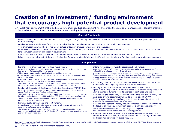### **Creation of an investment / funding environment that encourages high-potential product development**

An investment environment that is dedicated to tourism product development will encourage the creation / improvement of tourism products in Ontario by all types of tourism operations (large, small, public, and private).

#### **Context / rationale**

- Product development and innovation must be encouraged through funding and investment if Ontario is to stay competitive with ever-expanding global tourism offerings.
- Funding programs are in place for a number of industries, but there is no fund dedicated to tourism product development.
- Tourism investment would help foster a new culture of tourism product development and innovation.
- Public sector investment and the use of creative investment vehicles (such as tax breaks and land allocation) could be used to motivate private sector and foreign investment in tourism product development.
- Access to capital / funds for should be coordinated and organized to facilitate the process of tourism product development in Ontario.
- Primary research indicates that there is a feeling that Ontario's product is "old and tired" due in part to a lack of funding vehicles for product development.4

#### **Components** • Provincial tourism agency funding (the 'mega-fund'): - An iconic attraction / tourism infrastructure program designed to develop large-scale tourism products (both public and private). o This program would require coordination from multiple ministries. o Infrastructure development would help improve access to tourism destinations and increase visitation.o Grants for this program would be based on a percentage of total cost and would involve a negotiated equity stake for the government. - This funding would be made up of larger grants and loans (other jurisdictions have given approximately \$1 million to \$10 million depending on the project). • Funding at the regional, Destination Marketing Organization ("DMO") level: - An application-based program for SME's (under a given number of employees) to access funding based on a feasible business case. - This funding would be made up of relatively small seed funds, grants and loans (other jurisdictions give between \$25,000 and \$500,000 depending on the type of project). - These funds would be distributed in alignment with regional priorities set out in product development strategies. • Private / public partnerships and joint ventures: - A coordinated effort needs to be made to further involve the private sector in the development of major tourism products. - The private sector could further participate through encouraging public / private partnerships and joint ventures by offering benefits such as deals on land, tax breaks, profitability guarantees, etc. • Criteria for investment must be coordinated and include:- Quantitative factors: ROI, economic impact, incremental revenue generation, financial sustainability, credit score, payback period, etc. - Qualitative factors: Alignment with high-potential criteria, ability to leverage other assets in the area, potential of attracting new developments, consistency with product strategy, effective management team, ability to deliver the type of project proposed, adheres to mandate / legislation, etc. • Specific high-potential needs could be addressed on a one-time basis (e.g., the need for a new highway to aid in cluster development). • Funding rounds with well-communicated deadlines would allow the agencies to fund specific high-potential areas for a certain time period, and allow a change in funding focus to address current gaps and trends. • A permanent provincial body to work in partnership with government, and have large private-sector involvement (e.g., Mexico's FONATUR). - The body would raise awareness of destinations in order to source investment capital to execute the product strategy most effectively. • A product development strategy should be created to assist in determining the focus of all funding / investment both regionally and provincially. - Overall tourism development vs. specific category development . - New product creation vs. redevelopment of existing products. • A funding budget and timeline must be determined which outlines total amount of funds available, maximum contribution, percentage of matching funds required, renewability guidelines, etc.

Sources: (1) South Australia: Tourism Development Fund; (2) Fáilte Ireland National Development Plan 2007 - 2013: Tourism Capital Investment Programme; (3) Playa Cortes: FONATUR and its Commitment to Mexico; (4) Primary research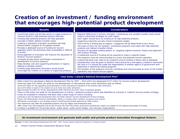### **Creation of an investment / funding environment that encourages high-potential product development**

| <b>Benefits</b>                                                | <b>Considerations</b>                                                                        |
|----------------------------------------------------------------|----------------------------------------------------------------------------------------------|
| • Incentivizes public and private sector to create products to | . Regional differences in tourism strengths / weaknesses and variable traveller wants would  |
| improve Ontario's high-potential product offerings.            | require customized strategies for each region.                                               |
| • Funding high-potential products will help operators          | - Each region should focus its funding on its high-potential products.                       |
| innovate to better address traveller wants.                    | - Supporting industries are also critical investment targets.                                |
| • Creating a reputation of product innovation will help        | • There will be a finding bias as regions / categories will be determined to be a focus.     |
| Ontario better compete for the global traveller.               | - The areas of focus for the funding / investment programs must align with high-potential    |
| • Provides a dedicated source of funding for tourism           | products and relevant traveller trends.                                                      |
| operators which has previously been unavailable or difficult   | - Provision of equitable funding options vs. targeting highest economic impact and alignment |
| to access.                                                     | with product strategy.                                                                       |
| • Encouragement of innovation will improve the reputation of   | • A substantial source of funding will be required to make a material impact.                |
| Ontario's tourism product. <sup>2</sup>                        | • The programs must be communicated to current and potential tourism operators.              |
| • Increases private sector and foreign involvement in          | • A governing body may need to be created to ensure funding is being used as designed.       |
| development of tourism products.                               | • Consideration must be given to whether there should be a new agency created to administer  |
| • Helps develop core and supporting attractions in regions,    | the fund or if it should fall under the responsibility of another agency of government with  |
| helping to develop clusters.                                   | experience in delivering funding programs.                                                   |
| • Funding large destination attractions would further          | • The duration of the programs must be considered and communicated as some of the funded     |
| encourage the creation of a variety of supporting products.    | operations may require annual support.                                                       |

#### **Case study: Ireland's National Development Plan1**

- Fáilte Ireland has developed a National Development Plan for 2007 2013 which has designated €137 million for tourism product development.
- There has been €70 million set aside for the development of international class visitor attractions split as follows:
- Some €50 million for the upgrading and presentation to best international standards of 20 existing visitor attractions.
- Up to €14 million to assist in the creation of up to three new visitor attractions.
- Approximately €6 million for further developments within historical and other major ornamental gardens.
- There is €28 million set aside for the development of activity / adventure products which was identified as a priority in Ireland's tourism product strategy.
- Funds are available to initiatives that best meet a wide range of criteria including:
- Consistency with the National Development Plan and Fáilte Ireland's Tourism Development Product Strategy.
- Proven cost-effectiveness, financial sustainability, ability to increase visitor numbers, occupancy and revenue.
- Willingness to participate in any strategic product marketing partnerships approved by Fáilte Ireland.
- The maximum aid rates for proposed projects vary by region and enterprise size.
- SME's (fewer than 250 employees and annual turnover less than €50 million) and priority development regions are eligible for the highest percentages of funding.
- Funding is available for the private sector, public sector, public sector bodies, and voluntary organizations.

#### **An investment environment will generate both public and private product innovation throughout Ontario.**

**Sources:** (1) Fáilte Ireland National Development Plan 2007 - 2013: Tourism Capital Investment Programme; (2) Primary research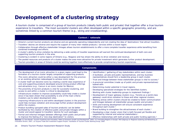### **Development of a clustering strategy**

A tourism cluster is comprised of a group of tourism products (ideally both public and private) that together offer a true tourism experience to travellers. The most successful clusters are often developed within a specific geographic proximity, and are sometimes linked by a common tourism theme (e.g., skiing and snowboarding).

#### **Context / rationale**

- Ontario's current tourism products are diverse and are generally operating independently and not creating the idea of 'destinations' that attract travellers.
- Travellers' desires are diverse and require the support of many inter-related products / services within a travel region.
- Collaboration through effective stakeholder linkages allows tourism establishments to offer a more complete traveller experience while benefiting from combined knowledge and efforts.
- A cluster's ability to drive visitation by delivering a wide variety of traveller experiences will warrant the continued development of both core and supporting tourism products in the area.
- Clustering is evident in some regions of Ontario (e.g., Niagara) and has shown the ability to drive visitation and revenue.
- The pooled resources and products of a cluster makes the area more attractive for private investment which generates further product development.
- Tourism providers in areas of Ontario could be working together more effectively to provide complimentary tourism experiences.

| <b>Components</b>                                                                                                                                                                                                                                                                                                                                                                                                                                                                                                                                                                                                                                                                                                                                                                                                                                                                                                                                                                                                                                                                                                                                                                                                                                                                                                                                                                                                                                                                                                                                                                                                                                                                                  |                                                                                                                                                                                                                                                                                                                                                                                                                                                                                                                                                                                                                                                                                                                                                                                                                                                                                                                                                                                                                                                                                                                                                                                                                                                                                                                                                                           |  |  |  |  |
|----------------------------------------------------------------------------------------------------------------------------------------------------------------------------------------------------------------------------------------------------------------------------------------------------------------------------------------------------------------------------------------------------------------------------------------------------------------------------------------------------------------------------------------------------------------------------------------------------------------------------------------------------------------------------------------------------------------------------------------------------------------------------------------------------------------------------------------------------------------------------------------------------------------------------------------------------------------------------------------------------------------------------------------------------------------------------------------------------------------------------------------------------------------------------------------------------------------------------------------------------------------------------------------------------------------------------------------------------------------------------------------------------------------------------------------------------------------------------------------------------------------------------------------------------------------------------------------------------------------------------------------------------------------------------------------------------|---------------------------------------------------------------------------------------------------------------------------------------------------------------------------------------------------------------------------------------------------------------------------------------------------------------------------------------------------------------------------------------------------------------------------------------------------------------------------------------------------------------------------------------------------------------------------------------------------------------------------------------------------------------------------------------------------------------------------------------------------------------------------------------------------------------------------------------------------------------------------------------------------------------------------------------------------------------------------------------------------------------------------------------------------------------------------------------------------------------------------------------------------------------------------------------------------------------------------------------------------------------------------------------------------------------------------------------------------------------------------|--|--|--|--|
| • The development of an iconic attraction in a given region could lead to the<br>formation of a tourism cluster largely composed of supporting products.<br>- This iconic attraction could be either a new development for the province<br>or an existing attraction redeveloped to achieve iconic status.<br>• A cluster itself can become iconic by creating a world-class experience of<br>core and supporting products developed around strong product offerings<br>and attractions (e.g., Cancun is an iconic cluster for Mexico).<br>• The proximity of tourism products is vital for successful clustering, and<br>access to and within a cluster is critical to development.<br>- Infrastructure creation to improve accessibility could help create a cluster<br>since it has been shown that accessibility is one of the main criteria<br>investors use to select development sites.<br>- Improving infrastructure to and within developed clusters in the province<br>could help increase visitation and encourage further product development<br>within the clusters.<br>• Product bundling (grouped sales of tourism products) can be better<br>facilitated by the creation of effective public and private linkages within a<br>cluster and would appeal to travellers' desires for such packages.<br>• Formal and informal linkages between offerings (both public and private)<br>to improve the feeling of a "one-stop destination" to visitors.<br>Accounts 74) And Nighth, Andrew Alexander and International Accounts Accounts and Accounts Advisory Andreasty Accounts and Accounts and Nighth and International and Nighth and Accounts and Nighth and Accounts and Accounts | • Identification / gathering of key stakeholders within each cluster:<br>- A facilitator, private and public representatives, and key business<br>representatives should form a leadership group in each cluster.<br>- Trust and linkage between these stakeholder groups is vital to success. <sup>2</sup><br>• A provincial committee (made up of public and private representatives)<br>tasked with:<br>Determining cluster potential in travel regions.<br>Developing specialized strategies for the identified clusters.<br>- Working with cluster leadership groups to implement findings. <sup>3</sup><br>• Development of major gateway clusters (e.g., Toronto as a world-class<br>gateway) could drive visitation to these and other regional clusters.<br>• Meeting arenas within clusters should be created to foster communication<br>and linkages between all stakeholder groups (public and private). <sup>1</sup><br>• Skills and training development will ensure consistent experience<br>throughout each cluster. <sup>1</sup><br>• Brand building to strengthen the attractiveness of each cluster. <sup>1</sup><br>Developing a clear cluster vision that is both focused yet flexible and<br>supported by internal and external stakeholders. <sup>1</sup><br>• Effective relationships with both private and public funding agencies. <sup>2</sup> |  |  |  |  |

**Sources:** (1) Sara Nordin: Tourism Clustering and Innovation: Paths to Economic Growth and Development, 2003; (2) Innovating Regions in Europe: IRE Subgroup on 'Regio Innovation Drivers, 2007; (3) Guyana Trade and Investment Support Project: Facilitation of Tourism Cluster Working Group, 2005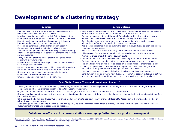### **Development of a clustering strategy**

#### **Benefits**

- Potential development of iconic attractions and clusters which themselves drive visitation to the province.
- travellers could be more willing to visit Ontario because they can experience a wider product offering in a concentrated area.
- Shared knowledge and best practices amongst linkages will improve product quality and management skills.
- Potential to generate need for further tourism product development by increasing visitation to cluster areas.
- Tourism product providers benefit from cooperative marketing efforts which establishes more consistent branding and reaches a wider audience.
- Ability to bundle products across product categories which aligns with traveller demands.
- Broader traveller demographic appeal since clusters provide a wider range of experiences.
- Repeat visitation to the province could increase with travellers wanting to experience the strengths of different clusters.
- Operators within a cluster have the potential to create economies of scale through cooperation.
- Greater lobbying power (funds, legislation, etc.).

#### **Considerations**

- Many areas in the province lack the critical mass of operators necessary to establish a tourism cluster as well as the required financial or human resources.
- Clusters are generally formed through informal relationships, but contracts may be required to formalize relationships and the rights of all parties involved.
- • Consideration must be given to the size and organization of the cluster because relationships suffer and complexity increases as size grows.
- Public sector assistance must be tailored to each individual cluster as each has unique competencies and needs.
- Public assistance to clusters must be given to minimize the perception of bias.
- Willingness of SME owners to participate in networking and knowledge sharing.
- Poor experiences impact the entire tourism cluster.
- Cluster creation is dynamic, with clusters developing from a bottom-up perspective.
- Clusters can not be created from the ground-up or by government / policy alone.
- The foundation for a cluster must be based on a critical mass of enterprises / skills.
- Creating supporting structures and efforts to promote clusters are thought to be effective ways for public sector to help generate cluster success.1
- Effective access must be available both to the cluster and between its products.
- Consideration must be given to how clusters will share the costs of collective initiatives
- (e.g., membership fees, profit sharing, project by project basis, public funds, etc.).

#### **Case Study: Guyana Trade and Investment Support2,3**

• The Guyana Trade and Investment Support ("GTIS") Project has identified cluster development and marketing assistance as one of its major program components and has implemented initiatives to foster cluster development.

•

- Guyana has clearly identified its tourism cluster product strengths as eco, nature-based, adventure, and cultural tourism.
- Guyana's tourism operators have a strong sense of collaboration and networking, but there is a distinct lack of a vision for the industry and marketing efforts are poorly organized.
- GTIS has launched a Tourism Cluster Working Group made up of private operators, the Tourism and Hospitality Association of Guyana, and a number of relevant government agencies.
- The working group is designed to mobilize cluster participants, develop a common vision which is lacking, and develop action plans intended to increase cluster competitiveness and increase visits and receipts.

### **Collaborative efforts will increase visitation encouraging further tourism product development.**

Sources: (1) Sara Nordin: Tourism Clustering and Innovation: Paths to Economic Growth and Development, 2003; (2) USAID Guyana Trade and Investment Support: Tourism Cluster Profile, April 2005; (3) Guyana Trade and Investment Support Project: Facilitation of Tourism Cluster Working Group, 2005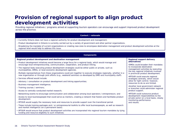### **Provision of regional support to align product development activities**

Providing regional initiatives / programs aimed at supporting tourism operators can encourage and support improved product development across the province.

#### **Context / rationale**

- Currently Ontario does not have a regional authority for product development and management.
- Product development in Ontario is currently carried out by a variety of government and other partner organizations.
- Broadening the mandate of current organizations or creating new ones to encompass destination management and product development activities at the regional level would help to address this issue.

#### **Components Regional product development and destination management** • Product development initiatives would become a large focus for a regional body, which would manage and encourage local entrepreneurship, communication, cooperation, and product linking. • The regional body executing product development strategies could be either public or private, such as municipalities, DMOs, or local economic development agencies. - Multiple representatives from these organizations could join together to execute strategies regionally, whether in a new organization or through joint efforts (e.g., weekend seminars co-developed by DMO and municipality staff). • Services offered would include:- Advisory / consultation on product development and linking opportunities; - Business management intelligence; - Training courses / seminars; - Access to centrally-conducted market research; - Networking events to encourage communication and collaboration among local operators / entrepreneurs; and - Access to local businesspeople that could serve as mentors, creating a network that fosters and facilitates product development. • MTOUR would supply the necessary tools and resources to provide support over the transitional period. - These include training packages and / or entrepreneurial toolkits to offer local businesspeople, as well as research and market intelligence (on a permanent basis). • MTOUR would ensure that product development activities are incorporated into regional tourism mandates by tying funding and resource eligibility to such initiatives. **Regional support delivery alternatives**•DMOs could broaden their mandates to incorporate destination management activities by executing the key regional initiatives involved in provincial product development. •MTOUR could execute regional strategies centrally, which would allow for tight control; however, resources to do so are limited.•Another local government network or branches could administer regional product support. •MTOUR could outsource product development responsibilities to the private sector on a local basis, closely monitoring performance and results.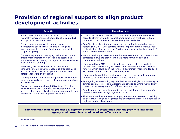### **Provision of regional support to align product development activities**

| <b>Benefits</b>                                                                                                                                                                                                             | <b>Considerations</b>                                                                                                                                                                                                                                                  |
|-----------------------------------------------------------------------------------------------------------------------------------------------------------------------------------------------------------------------------|------------------------------------------------------------------------------------------------------------------------------------------------------------------------------------------------------------------------------------------------------------------------|
| • Product development activities would be executed<br>regionally, where intimate knowledge of local product<br>and opportunities are housed.                                                                                | • A centrally-developed provincial product development strategy would<br>serve to effectively guide regional organizations in emphasizing high-<br>potential product areas and streamlining their activities.                                                          |
| • Product development would be encouraged by<br>incorporating specific requirements into regional<br>tourism mandates through funding and provincial<br>support eligibility.                                                | • Benefits of consistent support program design implemented across all<br>regions (e.g., if MTOUR controls regional implementation) versus local<br>customization of services (e.g., DMO or other local authority managing)<br>would have to be considered.            |
| • Charging regions with managing their tourism product<br>entails more interaction with local businesses and<br>entrepreneurs, increasing the organization's knowledge                                                      | • Mandating that public-sector organizations execute product development<br>strategies allows the province to have more formal control and<br>communication links.                                                                                                     |
| base and value offering.<br>- Networking via this channel or through formal<br>seminars / meetings would encourage product linking<br>and collaboration, as more operators are aware of<br>others' endeavors or intentions. | • If managed by a DMO, it may best be able to execute the product<br>development mandate if given access to independent and sustainable<br>funding, which could be in the form of a destination marketing fee (DMF),<br>as is the case in British Columbia and Quebec. |
| • Training and tools would foster a product development                                                                                                                                                                     | - If provincially legislated, this fee would have product development uses<br>mandated for a portion of the DMO's funds generated.                                                                                                                                     |
| culture, and likely drive more entrepreneurial initiatives<br>and activities.                                                                                                                                               | • Aggregating some existing regional bodies into a single tourism entity per<br>defined region (e.g., local development agencies or DMOs) would likely                                                                                                                 |
| • Centralized research (through MTOUR and / or the<br>PMA) would ensure a standard knowledge foundation<br>across regions, while allowing the regional organization<br>to focus on product development execution.           | create the necessary scale for efficient resource use.<br>• Prioritizing product development in the provincial marketing agency's<br>mandate would encourage regions to follow suit.                                                                                   |
|                                                                                                                                                                                                                             | - The PMA would be committed to supplying resources (research, training<br>guides, etc.) to regional organizations and training their staff in facilitating<br>regional product development.                                                                           |

### **Implementing regional product development strategies in cooperation with the provincial marketing agency would result in a coordinated and effective execution.**

**Source: Primary research**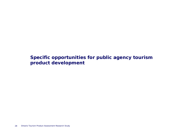**Specific opportunities for public agency tourism product development**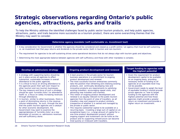### **Strategic observations regarding Ontario's public agencies, attractions, parks and trails**

To help the Ministry address the identified challenges faced by public sector tourism products, and help public agencies, attractions, parks, and trails become more successful as a tourism product, there are some overarching themes that the Ministry may want to consider.

#### **Determine agency mandate (self-sustainable vs. investment tool)**

- A key consideration for Government is whether the agencies should be considered and viewed as a profit centre / an agency that must be self sustaining, vs. an investment tool that pays returns and dividends to the private sector (both in tourism and non-tourism).
- The requirement for agencies to be self-sustaining drives some operational decisions that do not always align with tourism goals and objectives.
- Determining the most appropriate balance between agencies with self-sufficiency and those with other mandates is complex.

- A strategy with supporting tactics should be put in place across all agencies to effect substantial, sustainable increases in overall attendance to the public agencies.
- It is critical to focus on driving attendance to the agencies given their spill over impact to other tourism and non-tourism businesses.
- The key measure and focus of such a strategy should be upon 'turnstile clicks' (or attendance itself) vs. a focus on solely increasing revenues through attendance.
- In tourism, similar to other businesses, there is a point of diminishing returns in the revenuevolume relationship. As such, through the lens that the public tourism agencies are a catalyst for other economic development, the Government may want to examine the appropriateness of 'turnstile clicks' as a key barometer of success vs. admissions revenues and self-sufficiency alone.

- A best practice in the private sector for tourism business operations is a commitment to ongoing product development and renewal.
- • The most successful tourism enterprises commonly take the position that refreshing and vitalizing existing products, and continually developing new and innovative products are requirements to satisfying existing travellers, encouraging repeat visits, and attracting new travellers and markets.
- • This notion of ongoing product development and renewal is as equally relevant to the public tourism agencies from the point of view of travellers, as all travellers view and respond to product similarly, irrespective of whether it is owned and managed by the private or public sector.
- • This requires substantial capital to be available on a recurring basis. Investing a large sum of capital on an exceptional basis (i.e., a large amount of capital for a one-time product development project) without ongoing support and investment can be futile as the product and its supporting infrastructure can become tired quickly or irrelevant with travellers.

### **Develop an admissions strategy Ongoing product development and renewal Target funding to agencies with the highest potential**

- Given the requirement for product development capital to be available on an ongoing basis, providing necessary levels of funding to all agencies at an equitable level may not be possible.
- • Government needs to weigh the level of equitable funding it should provide across agencies vs. how to target funding to the agencies with the highest potential and how those agencies might provide a greater return on investment and provide a higher return on investment.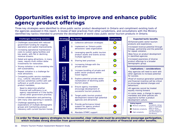### **Opportunities exist to improve and enhance public agency product offerings**

Three key strategies were identified to drive public sector product development in Ontario and compliment existing tools of the agencies assessed in this report. A review of best practices from other jurisdictions, and consultations with the Ministry identified key tactics intended to promote the development of world class public sector tourism products in Ontario.

#### **Challenges impacting success**

- • Challenges associated with reduced government funding for ongoing operations and capital improvements.
- Increasing operational maintenance costs to sustain aging facilities and key assets, with flat or declining revenue streams.
- • Dated and aging attractions, in many cases, require multi-million dollar investments for restoration.
- • Strong visitation is not translating into self-sustainability.
- • Repeat visitation is a challenge for most attractions.
- Competing public service mandates (e.g., cultural, education, public service) sometimes conflict with selfsufficient or profit-driven tourism product mandates.
- Need to determine whether financial self-sufficiency is an agency requirement or if the facility serves other government priorities.
- Limited collaboration and partnering, with many sites operating in isolation.
- Challenge appealing to the expectations of multiple demographic groups and maintaining product relevancy with current tourism trends.

| <b>Strategy</b>                             |                                                | <b>Key tactics</b>                                                                             | <b>Complexity</b> | <b>Expected tactic benefits</b>                                                                                                                                  |
|---------------------------------------------|------------------------------------------------|------------------------------------------------------------------------------------------------|-------------------|------------------------------------------------------------------------------------------------------------------------------------------------------------------|
|                                             | 1)                                             | Collective admission strategies                                                                |                   | •Enhanced public sector tourism<br>products and experiences.                                                                                                     |
|                                             | 2)                                             | Implement an 'Ontario public<br>attractions' sales organization                                |                   | .Increased revenue potential through<br>linkage, partnership and the potentia                                                                                    |
| Enhancing<br>collaboration                  | 3)                                             | Leveraging specific public tourism<br>product assets and events across<br>multiple agencies    |                   | for repeat visitation.<br>.New focus on product development<br>in identified agencies                                                                            |
|                                             | 4)                                             | Sharing best practices                                                                         |                   | . Increased awareness of diverse<br>product offerings to a broader                                                                                               |
|                                             | 1)                                             | Increasing linkage with the<br>private sector                                                  |                   | demographic group.                                                                                                                                               |
| Working with<br>private sector              | 2)                                             | Increase bundling of private and<br>public sector products within<br>travel regions            |                   | Implications / considerations<br>.Key agencies will need to work with<br>other agencies to increase potential<br>for success.                                    |
|                                             | 3)                                             | Explore potential private sector<br>revitalization of declining public<br>tourism assets       |                   | •Proof of revenue generation potentia<br>and financial incentive will be critical<br>to encourage desired changes and                                            |
| tor                                         | $\left( \begin{matrix} 1 \end{matrix} \right)$ | Ensure agency mandates<br>encourage development of<br>successful tourism products              |                   | behaviours.<br>•All agencies cannot be treated<br>equally moving forward.                                                                                        |
| high-potential public<br>product<br>support | 2)                                             | Target public tourism product<br>development toward high potential<br>agencies and attractions |                   | . In some cases, a change to agency<br>mandates and other policies are<br>required to further a product<br>development culture.                                  |
| tourism<br>Improving                        | 3)                                             | Provide performance linked<br>support for agency product<br>development activities             |                   | Rating legend:<br>Note:<br><b>Complexity ratings</b><br>Minimal complexity<br>factor in estimated<br>effort to drive<br>Moderate complexity<br>change, potential |
|                                             | 4)                                             | Mandate OTMPC support                                                                          |                   | cost and impact to<br>High complexity<br>the Ministry                                                                                                            |

through potential

potential

**In order for these agency strategies to be successful, clear rationale must be provided to encourage participation, which includes strong direction from government and clear communication of financial and other benefits.**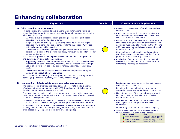### **Enhancing collaboration**

### **1) Collective admission strategies**

- Multiple options of admission to public agencies and attractions would be created and supported by collective media and promotion across participating sites. Options include:
	- 'All Ontario public attractions pass': providing access to all participating agencies over a defined period of time.
	- 'Regional public attraction pass': providing access to a group of regional agencies over a defined period of time; similar to the existing 'City Pass,' but involving only public agencies.
	- 'Attractions discount card': providing ongoing discounts to all participating attractions; similar to the existing 'Fun Pass,' however designed for broader demographic groups.
- The creation of passes would improve collective marketing, cross promotion, and bundling / linkages between agencies.
	- Supporting collateral could include information of all sites including relevant information on core attractions, directions, as well coupons to encourage use of alternative services (e.g., space rentals, weddings, concessions, etc.).
	- Collective admission strategies will also increase the potential of repeat visitation as a result of perceived value.
- Passes could be themed (e.g., culture pass) and span over a variety of time periods (e.g., annually, quarterly, seasonally, weekly, daily).

#### **2) Implement an 'Ontario public attractions' sales organization**

- The agency would organize, promote, sell, and coordinate multiple agency offerings and programming; work with MTOUR and agency stakeholders to develop core products, marketing, and pricing.
- Core focus and mandate is to increase both new and repeat attendance and revenues across all Ontario public attractions through sales efforts to general public and to corporate clients.
	- Responsibilities would include bulk sales to travel wholesalers / operators as well as direct account management with prominent corporate partners.
- A customer portal / interface could be created to allow for year round advanced bookings and purchase of packages along with same day print capabilities of offer passes (i.e., comparable to existing trails and parks).
- Convincing attractions to offer joint promotions
- and discounts. Impacts to revenues, incremental benefits from new visitation and the collective business case

will be critical to achieve buy-in.

- Key attractions may be hesitant to subsidize other attractions through substantial discounts of their admission fees (e.g., attractions like the ROM and AGO may forgo more admission revenue through repeated visitation).
- • Coordination of pricing, sales, and promotion complexities could be managed by the 'Ontario public attractions' sales organization.
- Availability of passes will be critical to overall success and development of a website or other customer portal may be necessary.

- Providing ongoing customer service and support could be cost prohibitive.
- Key attractions may object to partnering or supporting lesser recognized brands / attractions.
- Mandate and role of the new sales agency must be clear to ensure minimal overlap of sales resources and efforts.
- Reaching out to existing corporate sponsors of select agencies may represent a conflict of interest.
- OTMPC may be able to act as the sales agency.
- Service level standards must be established to ensure consistent customer experiences. **Note:** 
	- **Rating legend:** Complexity ratings factor in
	- **O** Minimal complexity
	- **O** Moderate complexity
	- High complexity
- estimated effort to drive change, potential cost and impact to the Ministry

**Key tactics Complexity Considerations / implications**

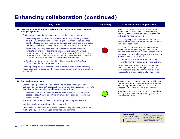## **Enhancing collaboration (continued)**

| Key tactics                                                                                                                                                                                                                                                                                                                                              | <b>Complexity</b> | Considerations / implications                                                                                                                                                                                                      |
|----------------------------------------------------------------------------------------------------------------------------------------------------------------------------------------------------------------------------------------------------------------------------------------------------------------------------------------------------------|-------------------|------------------------------------------------------------------------------------------------------------------------------------------------------------------------------------------------------------------------------------|
| Leveraging specific public tourism product assets and events across<br>multiple agencies                                                                                                                                                                                                                                                                 |                   | • Based on prior efforts the concept of rotating<br>product across attractions is well embraced,                                                                                                                                   |
| • Product assets could be leveraged across multiple sites as follows.                                                                                                                                                                                                                                                                                    |                   | however, has proven to be very cost prohibitive<br>with existing funding models.                                                                                                                                                   |
| - 'Increasing exhibit attraction outreach and touring': Identify exhibits /<br>attractions / programming that have significant mass appeal and that<br>could be toured to drive incremental attendance, awareness and interest<br>to other agencies (e.g., ROM dinosaur exhibit displayed at Fort Henry).                                                |                   | • Certain agency sites may be excluded due to<br>insufficient infrastructure requirements to house<br>exhibits or host events.                                                                                                     |
| - 'Offer complimentary products and experiences for major events':<br>Innovate around a product theme and cross promote with unique<br>experiences at other agencies (e.g., Chinese Lantern Festival hosted at<br>Ontario Place, ROM hosts history exhibit for the festival, AGO creates a<br>contemporary art exhibit with supporting festival themes). |                   | • Coordination of events and product rotation<br>require extensive planning and cooperation<br>between sites and would ideally be managed by<br>one body (i.e., a single agency or the previously<br>proposed sales organization). |
| o Existing events to be considered for this concept include The War<br>of 1812, Family Day, Aboriginal Day.                                                                                                                                                                                                                                              |                   | - Limited resourcing is currently available if<br>coordination is required by existing agencies.                                                                                                                                   |
| Diverse public product is created across a varied customer base that may<br>never have been exposed to otherwise, encouraging visitation to alternative<br>agency sites.                                                                                                                                                                                 |                   | • Typical planning of major exhibits and events is<br>conducted over three to five year periods for<br>most agencies, providing limited flexibility to<br>incorporate events outside of planning cycles.                           |
|                                                                                                                                                                                                                                                                                                                                                          |                   |                                                                                                                                                                                                                                    |

- **4) Sharing best practices**
	- Create ongoing opportunities and forums to educate existing agency operators on management best practices, programming successes, learning's from day-to-day operations, and business plan writing.
		- Sessions could also be used to discuss promotions, success of group passes, discount cards and other programs developed to promote the agency group.
	- Presenters and facilitators could come from public and private sector.
	- Meetings would be held bi-annually or quarterly.
	- Online collaboration could help provide access to support tools year round relating to key forum messages, outcomes and learnings.
- Sessions should be interactive and provide core content relevant to the agency group, supported by learning and education tools that can be adopted / utilized at individual agency sites.
- Attendance of all operators should be mandatory, making advanced meeting planning and date coordination critical.



**Note:** 

**O** Moderate complexity High complexity

 Complexity ratings factor in estimated effort to drive change, potential cost and impact to the Ministry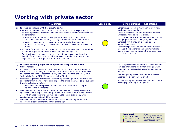### **Working with private sector**

#### **1) Increasing linkage with the private sector**

- Efforts should be increased to attract appropriate corporate sponsorship of tourism agencies and their exhibits and attractions. Different approaches can be considered:
	- Partner with private sector companies to develop and fund specific attractions and exhibits (e.g., Disney – 'Innoventions' exhibit at Epcot).
	- Permit private sector to sponsor existing or newly developed public tourism products (e.g., Canada's Wonderland's sponsorship of individual rides).
- In return for funding and sponsorship, corporate partners would be permitted to limited corporate exposure at sites, exhibits and agencies.
- To attract sponsors, agencies must be able to successfully package the benefits (e.g., target demographics, expected attendance numbers, how exposures can be incorporated with attractions, etc.).

#### **2) Increase bundling of private and public sector products within travel regions**

- • Increased opportunities exist for private and public sector tourism product to collaborate on marketing and promotion of tourism products to increase new and repeat visitation to respective sites, exhibits and attractions (e.g., Royal York Hotel offering 50% off admission to the ROM).
- • Partnerships provide incremental visitation by attracting non-typical travellers and visitors that may not have been exposed to offers otherwise (e.g., business travellers staying at hotels).
	- Discounts should represent a substantial call to action, realizing that revenues are incremental.
- • Offers should be unique to the private partners and not typically available at agency sites on a regular basis (e.g., a behind-the-scenes tour of the Toronto Zoo), which adds incentive and value to private sector customers, while providing a unique point of differentiation.
- • Offers should be measured to determine success, creating opportunity to improve or expand partnership offers accordingly.

#### **Key tactics Complexity Considerations / implications**

- Corporate sponsorship may be in conflict with existing agency mandates.
- Types of sponsors that are associated with the attractions need to be considered.
- Corporate exposures must be managed with the core purpose of attractions (e.g., education, heritage), which may limit appeal to some potential sponsors.
- Corporate sponsorships should be coordinated to manage the relationship and ensure multiple agencies are not approaching the same sponsors in an ad-hoc fashion.
- Select agencies require approvals when fees for services, attractions, and offers change, which could inhibit a responsive account management approach.
- Marketing and promotion should be a shared expense for all partners involved.
- Bundling and promotion should not conflict with existing sponsorship with agencies.



**Note:**  Complexity ratings factor in estimated effort to drive change, potential cost and impact to the Ministry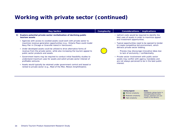# **Working with private sector (continued)**

|    | Key tactics                                                                                                                                                                                                         | <b>Complexity</b> | Considerations / implications                                                                                                                                                                                                                                                                                                                                                  |
|----|---------------------------------------------------------------------------------------------------------------------------------------------------------------------------------------------------------------------|-------------------|--------------------------------------------------------------------------------------------------------------------------------------------------------------------------------------------------------------------------------------------------------------------------------------------------------------------------------------------------------------------------------|
| 3) | Explore potential private sector revitalization of declining public<br>tourism assets                                                                                                                               |                   | • Upfront costs would be required to identify the<br>best uses of assets in order to maximize appeal<br>and investment opportunities.<br>• Typical opportunities need to be opened to tender<br>to create competitive bid environment, which<br>detracts private sector bidding.<br>- Process may discourage innovative ideas due<br>to lack of exclusivity / confidentiality. |
|    | • Agencies with access to coveted assets could work with private sector to<br>maximize revenue generation opportunities (e.g., Ontario Place could model<br>Navy Pier in Chicago or Granville Island in Vancouver). |                   |                                                                                                                                                                                                                                                                                                                                                                                |
|    | • Under developed assets could be utilized to drive alternative forms of<br>revenue from the private sector, while also increasing the tourism appeal to<br>public sector products and assets.                      |                   |                                                                                                                                                                                                                                                                                                                                                                                |
|    | • Government teams may be required to conduct initial feasibility studies to<br>understand maximum uses for assets and solicit private sector interest of<br>profitable ventures.                                   |                   | • Private sector involvement with public sector<br>assets may conflict with agency mandates and<br>are not always perceived to be in the best public<br>interest.                                                                                                                                                                                                              |
|    | • Assets would typically be retained under government control and leased or<br>rented to private sector (e.g., Maid of the Mist, Molson Amphitheatre).                                                              |                   |                                                                                                                                                                                                                                                                                                                                                                                |

| <b>Rating legend:</b> |                 |  |
|-----------------------|-----------------|--|
| Minimal complexity    | C               |  |
| Moderate complexity   | $\epsilon$<br>C |  |
| High complexity       | ìı              |  |

**Note:**  Complexity ratings factor in estimated effort to drive change, potential cost and impact to the Ministry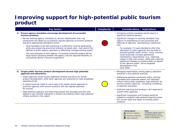### **Improving support for high-potential public tourism product**

|    | <b>Key tactics</b>                                                                                                                                                                                                                                                                                                                                                                                                                                                                                                                                                                                                                               | <b>Complexity</b> | Considerations / implications                                                                                                                                                                                                                                                                                                                                                                                                                                                                                                                                                                    |
|----|--------------------------------------------------------------------------------------------------------------------------------------------------------------------------------------------------------------------------------------------------------------------------------------------------------------------------------------------------------------------------------------------------------------------------------------------------------------------------------------------------------------------------------------------------------------------------------------------------------------------------------------------------|-------------------|--------------------------------------------------------------------------------------------------------------------------------------------------------------------------------------------------------------------------------------------------------------------------------------------------------------------------------------------------------------------------------------------------------------------------------------------------------------------------------------------------------------------------------------------------------------------------------------------------|
| 1) | Ensure agency mandates encourage development of successful<br>tourism products.                                                                                                                                                                                                                                                                                                                                                                                                                                                                                                                                                                  |                   | • Changing existing mandates would require a<br>significant political decision.                                                                                                                                                                                                                                                                                                                                                                                                                                                                                                                  |
|    | • Review existing agency mandates to remove impediments that may<br>compromise the ability to successfully operate agencies as tourism products<br>and drive appropriate attendance levels.<br>- Dual mandates to be self-sustaining or sufficiently revenue-generating,<br>while also preserving provincial interests (at great cost), may restrict the<br>abilities of public agency operators to effectively manage existing assets.<br>- The core purposes of each agency, its existing corporate powers will be<br>large factors dictating whether the agency has the required flexibility to<br>successfully deliver a tourism experience. |                   | • Significant changes to existing mandates may<br>require re-engineering of core processes and<br>offerings at agencies, representing a significant<br>cost.<br>- For example, if it were decided to offer free<br>admission to select agencies like the AGO to<br>promote greater public access, visitor volumes<br>could drastically increase operational<br>maintenance requirements (e.g., replacing<br>carpet in high ware areas), while also requiring<br>significant changes to existing offers to appeal<br>to the 'general public' versus targeted<br>demographics that<br>exist today. |
| 2) | Target public tourism product development toward high potential<br>agencies and attractions.                                                                                                                                                                                                                                                                                                                                                                                                                                                                                                                                                     |                   | • Managing expectations among agency operators<br>would be a very political exercise.                                                                                                                                                                                                                                                                                                                                                                                                                                                                                                            |
|    | • Select agencies would receive additional funding and focus for further<br>product development, while other agencies are sustained to meet acceptable<br>operating levels.<br>• A choice would be made to move away from equity across agencies to<br>prioritize agencies with tourism products with the highest potential                                                                                                                                                                                                                                                                                                                      |                   | • Addressing potential constraints within existing<br>mandates and corporate powers will represent<br>critical criteria when assessing 'high-potential' for<br>tourism product agencies, increasing complexity<br>of selection processes.                                                                                                                                                                                                                                                                                                                                                        |
|    | for success.<br>• High-potential agencies are those that present the strongest promise and<br>appeal to key traveller segments in Ontario and address other high-potential<br>criteria outlined in this report.                                                                                                                                                                                                                                                                                                                                                                                                                                  |                   | • Sufficient planning and funding is still required to<br>sustain other agencies.                                                                                                                                                                                                                                                                                                                                                                                                                                                                                                                |
|    |                                                                                                                                                                                                                                                                                                                                                                                                                                                                                                                                                                                                                                                  |                   | • Significant investment and funding would be<br>needed to establish high-potential agencies given<br>the current state and repair of existing public                                                                                                                                                                                                                                                                                                                                                                                                                                            |

#### **O** Minimal complexity **Rating legend: O** Moderate complexity **High complexity**

products.

**Note:**  Complexity ratings factor in estimated effort to drive change, potential cost and impact to the Ministry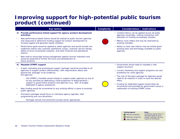### **Improving support for high-potential public tourism product (continued)**

|           | <b>Key tactics</b>                                                                                                                                                                                                                                           | <b>Complexity</b> | Considerations / implications                                                                                                                    |
|-----------|--------------------------------------------------------------------------------------------------------------------------------------------------------------------------------------------------------------------------------------------------------------|-------------------|--------------------------------------------------------------------------------------------------------------------------------------------------|
| 3)        | Provide performance linked support for agency product development<br>activities.                                                                                                                                                                             |                   | • Limited metrics can be applied across all public<br>agencies universally, making comparison and<br>allocation of funding increasingly complex. |
| $\bullet$ | New performance based metrics would be tracked at public tourism agencies<br>and measured to determine funding support for product development to<br>increase appeal and generate repeat visitation.                                                         |                   | • Metrics must reflect and may be restricted by<br>existing mandate.                                                                             |
| $\bullet$ | Performance goals would be applied to select agencies and would include non-<br>traditional metrics like customer satisfaction scores, customer service ratings,<br>ability to drive incremental visitation, and other financial and operational<br>metrics. |                   | • Ability to track new metrics may be limited given<br>existing tools and technology available to public<br>agencies.                            |
| $\bullet$ | New metrics encourage strong management against tourism indicators and<br>would be expected to further the focus and development of<br>future products.                                                                                                      |                   |                                                                                                                                                  |
| 4)        | <b>Mandate OTMPC support</b>                                                                                                                                                                                                                                 |                   | • Government would need to mandate a new<br>support structure.                                                                                   |
| $\bullet$ | A basic marketing and promotional support 'package' would be provided to all                                                                                                                                                                                 |                   |                                                                                                                                                  |
|           | agencies to support product effectiveness, with requirements above and<br>beyond the 'package' to be funded by                                                                                                                                               |                   | • Current marketing and support programs are cost<br>prohibitive for most agencies.                                                              |
|           | the agencies.                                                                                                                                                                                                                                                |                   | • The cost of the basic package for agencies would                                                                                               |
|           | - The OTMPC's mandate would change to support public agencies as one of<br>its key activities by dedicating a fixed proportion of disbursements /                                                                                                            |                   | need to be material in order to have the desired<br>effect.                                                                                      |
|           | support to government products and agencies (e.g., 20% of budget<br>dedicated to agency assistance).                                                                                                                                                         |                   | • Funding for dedicated support would likely be<br>incremental and provided by government versus a                                               |
| $\bullet$ | New funding would be incremental to any existing efforts in place to promote<br>public agencies.                                                                                                                                                             |                   | reallocation of existing OTMPC funds.                                                                                                            |

- • Promotion packages would focus on individual agency agendas, their programming and core attractions.
	- Packages should rival prominent private sector approaches.



**Note:**  Complexity ratings factor in estimated effort to drive change, potential cost and impact to the Ministry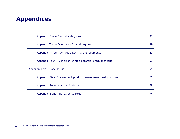# **Appendices**

| Appendix One - Product categories                             | 37 |
|---------------------------------------------------------------|----|
| Appendix Two – Overview of travel regions                     | 39 |
| Appendix Three – Ontario's key traveller segments             | 41 |
| Appendix Four – Definition of high-potential product criteria | 53 |
| Appendix Five - Case studies                                  | 55 |
| Appendix Six - Government product development best practices  | 61 |
| Appendix Seven - Niche Products                               | 68 |
| Appendix Eight - Research sources                             | 74 |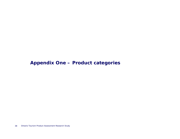### **Appendix One – Product categories**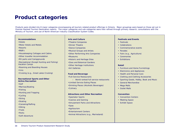### **Product categories**

Products were divided into 8 major categories encompassing all tourism-related product offerings in Ontario. Major groupings were based on those set out in Premier-Ranked Tourism Destination reports. The major categories and sub-categories were then refined through primary research, consultations with the Ministry of Tourism, and use of North American Industry Classification System Codes.

#### **Accommodations**

- •Hotels
- •Motor Hotels and Motels
- •Resorts
- •B&B's
- •Housekeeping Cottages and Cabins
- •Other traveller Accommodation
- •RV parks and Campgrounds
- •Recreational (Except Hunting and Fishing) Vacation Camps
- •Rooming and Boarding Houses
- •Inns
- •Cruising (e.g., Great Lakes Cruising)

#### **Recreational Sports and Other Active Recreation**

- •Golf•Marinas/Boating •Fishing •Hunting and Trapping •Cycling •Skiing •Skating •Canoeing/Rafting
- 
- •Hiking
- •Trails
- •Parks
- •Soft Adventure

#### **Arts and Culture**

- •Theatre Companies
- •Dinner Theatre
- •Dance Companies
- •Musical Groups and Artists
- •Other Performing Arts Companies
- •Museums
- •Historic and Heritage Sites
- •Zoos and Botanical Gardens
- •Other Heritage Institutions
- •Art Galleries

#### **Food and Beverage**

•Full-Service Restaurants

- ‒ World ranked full service restaurants •Limited-Service Eating Places
- •Drinking Places (Alcoholic Beverages) •Culinary

#### **Attractions and Other Recreation**

- •Spectator Sports
- •Casinos and Gaming
- •Amusement Parks and Attractions
- •Spas
- •Agritourism
- •Entertainment Centers
- •Animal Attractions (e.g., Marineland)

#### **Festivals and Events**

- Festivals
- Celebrations
- Commemorative events
- Parades
- Fairs (e.g., Agriculture)
- Ceremonies
- Exhibitions

#### **Retail**

- Furniture and Home Furnishings
- Electronics and Appliances
- Health and Personal Care
- Clothing and Clothing Accessories
- Sporting Goods, Hobby, Book and Music
- General Merchandise
- Mega Malls
- Outlet Malls

#### **Convention**

- Convention Centers
- Meeting Space
- Exhibit Space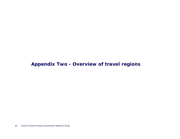### **Appendix Two - Overview of travel regions**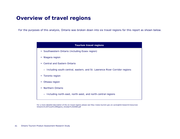## **Overview of travel regions**

For the purposes of this analysis, Ontario was broken down into six travel regions for this report as shown below.

| <b>Tourism travel regions</b>                                               |
|-----------------------------------------------------------------------------|
| Southwestern Ontario (including Essex region)<br>$\bullet$                  |
| Niagara region<br>٠                                                         |
| <b>Central and Eastern Ontario</b><br>$\bullet$                             |
| - Including south-central, eastern, and St. Lawrence River Corridor regions |
| Toronto region<br>$\bullet$                                                 |
| Ottawa region                                                               |
| Northern Ontario                                                            |
| Including north-east, north-west, and north-central regions                 |

For a more detailed description of the six travel regions please see http://www.tourism.gov.on.ca/english/research/resources/ Ontario's%20Travel%20Regions\_October%202006.pdf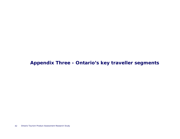### **Appendix Three - Ontario's key traveller segments**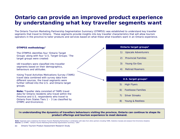### **Ontario can provide an improved product experience by understanding what key traveller segments want**

The Ontario Tourism Marketing Partnership Segmentation Summary (OTMPSS) was established to understand key traveller segments that travel to Ontario. These segments provide insights into key traveller characteristics that will allow tourism operators in the province to tailor products and services based on what these what travellers want in an Ontario experience.



### **In understanding the dynamics of travellers behaviours visiting the province, Ontario can continue to shape its product offerings and tourism experience to meet demand.**

**Note:** Segments were created by the Ontario Tourism Marketing Partnership in combination with data from other partners including TAMS, Statistics Canada and analysis from Environics Analytics **Source:** (1) OTMPC: "Ontario Tourism Marketing Partnership Segmentation Summary," 2007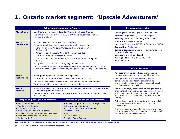# **1. Ontario market segment: 'Upscale Adventurers'**

| What 'Upscale Adventurers' want <sup>1,2</sup>                                                                                                                                                                                                                                                                                                                                                                                                                                                         |                                                                                                                                                                          |                                                                                                                                                                                                                                                                                                    | Demographic overview <sup>1</sup>                                                                                                                                                                                                                                                                |
|--------------------------------------------------------------------------------------------------------------------------------------------------------------------------------------------------------------------------------------------------------------------------------------------------------------------------------------------------------------------------------------------------------------------------------------------------------------------------------------------------------|--------------------------------------------------------------------------------------------------------------------------------------------------------------------------|----------------------------------------------------------------------------------------------------------------------------------------------------------------------------------------------------------------------------------------------------------------------------------------------------|--------------------------------------------------------------------------------------------------------------------------------------------------------------------------------------------------------------------------------------------------------------------------------------------------|
| <b>Market size</b>                                                                                                                                                                                                                                                                                                                                                                                                                                                                                     | • Key Ontario travel regions: Toronto, Ottawa, Southwest Ontario.3<br>• This group represents a total of 11.6% of Ontario households or 558,366<br>potential travellers. |                                                                                                                                                                                                                                                                                                    | • Lifestage: Middle-aged (45-64) families; kids (18+)<br>• HH size: Large (Over 1/3 with 4+ people)<br>• Housing type: Own; older single-detached                                                                                                                                                |
| <b>Travel</b><br>• Represents Ontario's most active travel group.<br>preferences<br>• Preferred travel destinations vary according with the season:<br>- Spring / summer: Whistler, Vancouver, PEI, and cities in the<br>Western U.S.<br>- Winter: Hawaii, Southern U.S., Banff, Jasper, the Rockies.<br>- Fall: New Brunswick, Western Provinces.<br>- Other vacation spots include Mexico, and Europe (France, Italy, and<br>the UK).<br>• Nearly 50% use an online travel agency to book vacations. |                                                                                                                                                                          | • Education: University (42%)<br>• Job type: White collar (41%), self-employed (14%)<br>• Commuting: Public transit, car<br>• Ethnic presence: Average (31% immigrant pop.);<br>Chinese, Italian, Greek<br>• Language: English and French<br>• Average HH income: \$121,848 (54%<br>above average) |                                                                                                                                                                                                                                                                                                  |
| • Popular vacation activities include sports (skiing, sailing, and golfing), cultural<br>activities (concerts, operas, museums) along with higher end spas and wineries.                                                                                                                                                                                                                                                                                                                               |                                                                                                                                                                          | Lifestyle overview <sup>1</sup>                                                                                                                                                                                                                                                                    |                                                                                                                                                                                                                                                                                                  |
| <b>Travel</b><br>motivations                                                                                                                                                                                                                                                                                                                                                                                                                                                                           | • Prefer group travel with like-minded companions.                                                                                                                       | • Seek authentic experiences with a focus and attention on details.<br>• Pursue trips and packages catering to their special interests and hobbies.<br>• They enjoy making choices and like control over their agenda.                                                                             | • Key description words include: energy, control,<br>comfort, connected, aesthetics, and technology.<br>Indulge in active leisurely pursuits, as both<br>participants and spectators; attendance at<br>professional sporting events for basketball, baseball,<br>and football are highly valued. |
| <b>Travel</b><br>will draw this group of travellers.<br>detractors<br>priced options.                                                                                                                                                                                                                                                                                                                                                                                                                  |                                                                                                                                                                          | • Spiritual journeys, rustic nature, camping and open spaces are not activities that<br>• Value is more important than the final price with a willingness to pay for higher                                                                                                                        | The majority enjoy sports that include golf, tennis,<br>swimming, skiing, jogging, and canoeing; while one<br>in ten would look for more extreme sports that<br>include sky diving, scuba diving, and white water<br>rafting.                                                                    |
|                                                                                                                                                                                                                                                                                                                                                                                                                                                                                                        | Examples of 'public product' interests <sup>1,3</sup>                                                                                                                    | Examples of 'private product' interests <sup>1,3</sup>                                                                                                                                                                                                                                             | • Culture is as important as sports with plays, ballets,                                                                                                                                                                                                                                         |
| • Royal Ontario Museum<br>• Art Gallery of Ontario<br>• Ontario Doors Open<br>• McMichael Canadian Art Collection<br>• Hamilton Museum of Steam and Technology<br>• Fallsview Casino and Casino Niagara<br>• National Arts Centre                                                                                                                                                                                                                                                                      |                                                                                                                                                                          | • Attending a Raptors, Blue-Jays or Argo's game<br>• Golf and wineries in Niagara<br>• Skiing and golfing at Blue Mountain<br>• Stratford Festival<br>• Spas<br>• Ottawa Blues Fest<br>• Canadian Opera Company                                                                                    | operas, and concert performances representing<br>typical events.<br>• They are above average internet users and will go<br>online to book airfare, accommodations, and search<br>for information on package deals.                                                                               |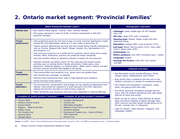# **2. Ontario market segment: 'Provincial Families'**

|                                                                                                                                                                                                                                                                                                                                                                                                                                                                                                                                                                                                                                                                                                                                                                                                                     | What 'Provincial Families' want <sup>1,2</sup>                                                                                                                                                                                                                                                                      | Demographic overview <sup>1</sup>                                                                                                                                                                                                                                                                                                                                                   |                                                                                                                                                                                                                                       |  |
|---------------------------------------------------------------------------------------------------------------------------------------------------------------------------------------------------------------------------------------------------------------------------------------------------------------------------------------------------------------------------------------------------------------------------------------------------------------------------------------------------------------------------------------------------------------------------------------------------------------------------------------------------------------------------------------------------------------------------------------------------------------------------------------------------------------------|---------------------------------------------------------------------------------------------------------------------------------------------------------------------------------------------------------------------------------------------------------------------------------------------------------------------|-------------------------------------------------------------------------------------------------------------------------------------------------------------------------------------------------------------------------------------------------------------------------------------------------------------------------------------------------------------------------------------|---------------------------------------------------------------------------------------------------------------------------------------------------------------------------------------------------------------------------------------|--|
| <b>Market size</b>                                                                                                                                                                                                                                                                                                                                                                                                                                                                                                                                                                                                                                                                                                                                                                                                  | • Key Ontario travel regions: Central / East, Toronto, Ottawa.3<br>potential travellers.                                                                                                                                                                                                                            | • This group represents a total of 19.8% of Ontario households or 952,610                                                                                                                                                                                                                                                                                                           | •Lifestage: Lower middle age (35-54) families;<br>kids $<$ 15<br>•HH size: Large (57% with >3 people)                                                                                                                                 |  |
| <b>Travel</b><br>• Little preference given for the time of year to travel. Summer destinations might<br>include PEI and Cape Breton Island as it is less costly to drive than fly.<br>preferences<br>• Typical vacation destinations are local and will include family friendly destinations<br>such as Toronto, Niagara Falls, Banff, Ottawa, Quebec City, Northeastern U.S.,<br>and Southern U.S.<br>• Cost conscious travel by car is preferred for vacations versus flying due to large<br>families; Hertz, Enterprise, and Avis are preferred rental companies.<br>• Very few families choose to adventure abroad or explore far-off provinces.<br>• Vacation activities are family-centric for the most part and would include<br>activities such as visiting family-friendly attractions, theme parks, zoos, |                                                                                                                                                                                                                                                                                                                     | . Housing type: Owned; Newer single and semi-<br>detached homes<br>• Education: College (28%) and university (27%)<br>.Job type: Mixed. Service sector (37%), blue collar<br>(32%), white collar (30%)<br><b>.Commuting: Car</b><br><b>.Ethnic presence:</b> Low (26% immigrant pop.); Italian<br><b>.Language: English</b><br>•Average HH income: \$103,182 (31% above<br>average) |                                                                                                                                                                                                                                       |  |
|                                                                                                                                                                                                                                                                                                                                                                                                                                                                                                                                                                                                                                                                                                                                                                                                                     | are also common activities that appeal to this group.                                                                                                                                                                                                                                                               | aquariums, fireworks displays, or national parks. Water sports, fishing, and golf                                                                                                                                                                                                                                                                                                   | Lifestyle overview <sup>1</sup>                                                                                                                                                                                                       |  |
| <b>Travel</b><br>motivations                                                                                                                                                                                                                                                                                                                                                                                                                                                                                                                                                                                                                                                                                                                                                                                        | • Time saving offers and simplicity (e.g., group tours and guided trips).<br>• Last minute trips, packages, or specials.<br>• Sharing travel experiences from visits to high desired travel locations.<br>• Family inclusive travel options.                                                                        |                                                                                                                                                                                                                                                                                                                                                                                     | • Key description words include efficiency, family,<br>escape, status, independence, and refresh.<br>• Busy family that is outdoorsy and has one or two<br>children involved in a variety of recreational sports.                     |  |
| <b>Travel</b><br>detractors                                                                                                                                                                                                                                                                                                                                                                                                                                                                                                                                                                                                                                                                                                                                                                                         | • The environment, conservations and ecology are not significant appealing travel<br>themes. They would not respond to a 'push yourself to the limit' approach,<br>making eco-tourism and back-to-nature trips a weak fit.<br>• Prefer familiarity over discovery and aren't very interested in cultural offerings. |                                                                                                                                                                                                                                                                                                                                                                                     | • The children are interested in computers, riding<br>bikes, and playing with their pets.<br>• The adults would be considered average internet<br>users, with the children benefiting from high-speed<br>internet at home and school. |  |
| Examples of 'public product' interests <sup>1,3</sup><br>Examples of 'private product' interests <sup>1,3</sup><br>• Ontario Place<br>• Canada's Wonderland<br>• Ontario Science Centre<br>• Toronto Zoo<br>• Science North<br>• Wild Water Kingdom<br>• Medieval Times Dinner and Theatre<br>• Niagara - 'Maid of the Mist'<br>• Rideau Canal<br>• Stratford Festival<br>• The Toronto Zoo<br>• Commercial Theatre (e.g., 'Sound of Music',<br>'Dirty Dancing')<br>• Huronia Parks<br>• Second City<br>• Wasaga Beach                                                                                                                                                                                                                                                                                              |                                                                                                                                                                                                                                                                                                                     | • While not big on culture, these families do attend<br>plays and dinner theatres at above average rates;<br>other common activities would include going out to<br>the bar, comedy club, or restaurant.<br>• Light TV viewers, radio listeners, magazine, and<br>newspaper readers.                                                                                                 |                                                                                                                                                                                                                                       |  |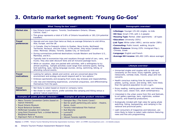# **3. Ontario market segment: 'Young Go-Gos'**

|                                                                                                                                                                                                                                                                                                                                                                                                                                               | What 'Young Go-Gos' want <sup>1,2</sup>                                                                                                                                                                                                                                                                                                                                                                                                                                                                                                                                                                           | Demographic overview <sup>1</sup>                                                                                                                                                                                                                                                                           |                                                                                                                                                                                                                                                                                                                                                                                                |
|-----------------------------------------------------------------------------------------------------------------------------------------------------------------------------------------------------------------------------------------------------------------------------------------------------------------------------------------------------------------------------------------------------------------------------------------------|-------------------------------------------------------------------------------------------------------------------------------------------------------------------------------------------------------------------------------------------------------------------------------------------------------------------------------------------------------------------------------------------------------------------------------------------------------------------------------------------------------------------------------------------------------------------------------------------------------------------|-------------------------------------------------------------------------------------------------------------------------------------------------------------------------------------------------------------------------------------------------------------------------------------------------------------|------------------------------------------------------------------------------------------------------------------------------------------------------------------------------------------------------------------------------------------------------------------------------------------------------------------------------------------------------------------------------------------------|
| <b>Market size</b>                                                                                                                                                                                                                                                                                                                                                                                                                            | Central / East. <sup>3</sup><br>travellers.                                                                                                                                                                                                                                                                                                                                                                                                                                                                                                                                                                       | • Key Ontario travel regions: Toronto, Southwestern Ontario, Ottawa,<br>•Lifestage: Younger (25-44) singles; no kids<br>•HH Size: Small (73% with 1-2 people)<br>• This group represents a total of 3.8% of Ontario households or 181,124 potential<br>. Housing Type: Rental; older apartments - all types |                                                                                                                                                                                                                                                                                                                                                                                                |
| <b>Travel</b><br>preferences                                                                                                                                                                                                                                                                                                                                                                                                                  | . Upscale and are more than twice as likely as average Ontarians to visit Africa,<br>Asia, Europe, and the UK.<br>• In Canada, they're frequent visitors to Quebec, Nova Scotia, Northwest<br>Territories, Nunavut, and the Yukon. In the winter, they enjoy Canada's big<br>cities: Montreal, Ottawa, Toronto, Quebec City, or Vancouver.<br>. During summertime preferred destinations include Western and Southern U.S.<br>Manitoba, and B.C.<br>• Typically look to economize trips and vacations through rental of cars, vans, and<br>trucks; they also seek discount fares and all inclusive package tours. |                                                                                                                                                                                                                                                                                                             | <b>.Education: University (55%)</b><br>• Job Type: White collar (48%), service sector (38%)<br>. Commuting: Public transit, walking, bicycle<br><b>.Ethnic Presence:</b> Strong (33% Immigrant Pop.);<br>Chinese, Greek<br><b>. Language: English and French</b><br>• Average HH Income: \$91,492 (16% above average)                                                                          |
|                                                                                                                                                                                                                                                                                                                                                                                                                                               | • While on vacation, days are packed with activities, with a willingness to try<br>almost anything. Sample activities could range from extreme sports, fishing,<br>bird-watching, spas, taking language courses, skiing, swimming, biking, or<br>attending cultural events.                                                                                                                                                                                                                                                                                                                                       | Lifestyle overview <sup>1</sup><br>• Unmarried singles and couples with no kids and                                                                                                                                                                                                                         |                                                                                                                                                                                                                                                                                                                                                                                                |
| <b>Travel</b><br>motivations                                                                                                                                                                                                                                                                                                                                                                                                                  | • Looking for options, details and control, and are concerned about the<br>environment and ecology and would respond well to 'eco-options.'<br>• Embrace spontaneity and escaping from every day stresses and responsibilities.<br>• Like new and interesting experiences, uncharted uniqueness, and differentiating<br>themselves from the pack.                                                                                                                                                                                                                                                                 |                                                                                                                                                                                                                                                                                                             | constantly on the move. Enjoy nightlife, going to<br>restaurants, comedy clubs, movies, plays and rock<br>concerts.<br>• Health conscious making time for exercise like<br>pilates, cycling, soccer, and skiing; 50% more likely<br>than the general population to join a gym.                                                                                                                 |
| <b>Travel</b><br>detractors                                                                                                                                                                                                                                                                                                                                                                                                                   | • Not likely to select based on brand or company name.<br>• Not drawn to rustic nature, prefer activities like camping and hiking versus a<br>general 'nature experience.'                                                                                                                                                                                                                                                                                                                                                                                                                                        |                                                                                                                                                                                                                                                                                                             | Enjoy reading, making gourmet meals, and listening<br>to music (jazz, classic rock, adult contemporary).<br>• Interested in the urban scene from film and festivals,                                                                                                                                                                                                                           |
| Examples of 'public product' interests <sup>1,3</sup><br>• Metro Toronto Convention Centre (based on<br>topical interests)<br><b>Royal Ontario Museum</b><br>dance, music<br><b>Royal Botanical Gardens</b><br>• McMichael Canadian Art Collection<br>• Nuit Blanche<br>• Long Point Provincial Park; a United Nations<br>• LuminaTO<br><b>Biosphere Reserve</b><br>• Bluesfest<br>• Algonquin Park or Muskoka<br>• Vibrant Toronto nightlife |                                                                                                                                                                                                                                                                                                                                                                                                                                                                                                                                                                                                                   | Examples of 'private product' interests <sup>1,3</sup><br>• Georgian Bay ('The Scenic Caves')<br>• Not-for-profit performing arts sector - theatre,<br>• Toronto International Film Festival                                                                                                                | to art gallery openings, bars, nightclubs, outdoor<br>concerts, and theatrical productions.<br>Ecologically minded with high rates for going whale<br>watching, hiking, backpacking, and camping in the<br>national and provincial parks.<br>• Light consumers of magazines and television, are<br>more likely to listen to select radio stations featuring<br>news and fine arts programming. |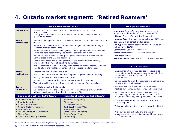## **4. Ontario market segment: 'Retired Roamers'**

| What 'Retired Roamers' want <sup>1,2</sup>                                                                                                                                                                           |                                                                                                                                                                                                                                                                                                                                                                                                                                                                                                                                                                                                                                                                                                                                                                                                                  |                                                                                                                                                                                                            |  |  |
|----------------------------------------------------------------------------------------------------------------------------------------------------------------------------------------------------------------------|------------------------------------------------------------------------------------------------------------------------------------------------------------------------------------------------------------------------------------------------------------------------------------------------------------------------------------------------------------------------------------------------------------------------------------------------------------------------------------------------------------------------------------------------------------------------------------------------------------------------------------------------------------------------------------------------------------------------------------------------------------------------------------------------------------------|------------------------------------------------------------------------------------------------------------------------------------------------------------------------------------------------------------|--|--|
| Market size                                                                                                                                                                                                          | Key Ontario travel regions: Toronto, Southwestern Ontario, Ottawa,<br>$\bullet$<br>Central / East. <sup>3</sup><br>This group represents a total of 12.3% of Ontario households or 590,162<br>potential travellers.                                                                                                                                                                                                                                                                                                                                                                                                                                                                                                                                                                                              |                                                                                                                                                                                                            |  |  |
| <b>Travel</b><br>preferences                                                                                                                                                                                         | • Enjoy vacationing mainly in North America, taking in Canada and select areas of<br>the U.S.<br>• High rates of owning RV's and campers with a higher likelihood of driving to<br>preferred vacation destinations.<br>• By-pass costly full-service travel agencies and will go online to book their own<br>airline and hotel reservations; use discount carriers when flying.<br>• When venturing outside Canada, packages or timeshares to Mexico and the<br>warmer areas of the U.S. are appealing.<br>• Always researching and planning their next trip, familiarity is important,<br>evidenced by high rates of travel inside Canada.<br>• Popular activities include ice-fishing, sport fishing, salt water fishing, golfing at<br>resorts, observing wildlife, camping, and dinner theatre performances. |                                                                                                                                                                                                            |  |  |
| <b>Travel</b><br>motivations                                                                                                                                                                                         | • Experiencing the outdoors versus cities.<br>• Want as much information about travel options as possible before booking.<br>• Getting the most for their money is important.<br>• Nationalism is important, leading to options supporting their country.<br>• Think of travelling in terms of regions, making regional offers appealing.                                                                                                                                                                                                                                                                                                                                                                                                                                                                        |                                                                                                                                                                                                            |  |  |
| <b>Travel</b><br>detractors                                                                                                                                                                                          | • Less likely to deal with big brands.<br>• Emotional or discover-the-world messaging is less effective compared with<br>rational, clearly communicated features and benefits.                                                                                                                                                                                                                                                                                                                                                                                                                                                                                                                                                                                                                                   |                                                                                                                                                                                                            |  |  |
|                                                                                                                                                                                                                      | Examples of 'public product' interests <sup>1,3</sup>                                                                                                                                                                                                                                                                                                                                                                                                                                                                                                                                                                                                                                                                                                                                                            | Examples of 'private product' interests <sup>1,3</sup>                                                                                                                                                     |  |  |
| • Chapleau Game Reserve<br>• Ontario Doors Open<br>• National War Museum<br>• National Gallery of Canada<br>• Heritage sites<br>• Canadian Museum of Civilization<br>• Rideau Canal<br>• Casino Rama, Georgian Downs |                                                                                                                                                                                                                                                                                                                                                                                                                                                                                                                                                                                                                                                                                                                                                                                                                  | • Horseshoe Valley skiing<br>• Winterlude<br>• St. Lawrence market<br>• Black Creek Pioneer Village<br>• Stratford Festival<br>• Grand River North fishing<br><b>Ontario Garden Show</b><br>• Toronto Indy |  |  |

### **Demographic overview**<sup>1</sup>

- •**Lifestage:** Mature (55+) couples without kids at home; some widowed (9%) and divorced (7%)
- •**HH Size:** Small (67% with 1 or 2 people)
- •**Housing Type:** Own older single-detached; 27% rent
- •**Education:** High school, trades, college
- •**Job Type:** Mix service sector, white and blue collar, self-employed (13%)
- •**Commuting:** Car (88%), walk (6%)
- •**Ethnic Presence:** Low (15% immigrant pop.)
- •**Language:** English
- •**Average HH Income:** \$64,838 (18% below average)

### **Lifestyle overview**<sup>1</sup>

- Despite modest incomes, lead active leisure lives centered around the outdoors close to home in their communities; they are 'nationalistic' and enjoy nature.
- Strong appeal to local theatres, festivals, exhibitions, carnivals, fairs, and markets.
- Will attend shows to stay up-to-date on their hobbies; RV shows, garden shows, and boat shows.
- Participate in winter activities like curling, skiing, snowmobiling, in addition to other activities that include bird watching, fishing, hunting, and boating.
- Enjoy the great outdoors and favour national and provincial parks.
- Enjoy gambling on lotteries and the occasional trip to a casino.
- Are likely to join golf clubs and are actively interested in other sports like auto and horse racing and figure skating.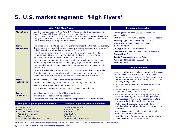# **5. U.S. market segment: 'High Flyers'**

|                                                                                                                                                                          | What 'High Flyers' want 1,2                                                                                                                                                                                                                                                                                                                                                                                                                                                                                                                                                                                                    | Demographic overview <sup>1</sup>                                                                                                                                                                                                                                                                                    |                                                                                                                                                                                                                                                                  |
|--------------------------------------------------------------------------------------------------------------------------------------------------------------------------|--------------------------------------------------------------------------------------------------------------------------------------------------------------------------------------------------------------------------------------------------------------------------------------------------------------------------------------------------------------------------------------------------------------------------------------------------------------------------------------------------------------------------------------------------------------------------------------------------------------------------------|----------------------------------------------------------------------------------------------------------------------------------------------------------------------------------------------------------------------------------------------------------------------------------------------------------------------|------------------------------------------------------------------------------------------------------------------------------------------------------------------------------------------------------------------------------------------------------------------|
| <b>Market size</b>                                                                                                                                                       | one-to-three or 6,536,100 potential travellers.                                                                                                                                                                                                                                                                                                                                                                                                                                                                                                                                                                                | • Key U.S. markets include: New York (NY), Washington (DC) and surrounding<br>areas, Chicago (IL), Boston (MA-NH) and surrounding area.<br>• Travel regions close to border states include Southwestern Ontario and Niagara.3<br>• This group represents a total of 13.45% of households of selected states in tiers | •Lifestage: Middle aged (35-59) families and<br>empty nesters<br>$\cdot$ HH Size: Mix (34% with 2 people & 46% 4+ people)<br>.Housing Type: Own; newer single-detached<br>.Education: College / university / post-                                               |
| <b>Travel</b><br>preferences                                                                                                                                             | • Two times more likely to belong to frequent flyer clubs than the national average,<br>this group is evenly divided between those who pursue vacations with organized<br>activities and those who relax or partake in few activities.<br>• More than a third have travelled to Asia and Europe, with nearly 30% have<br>visited Canada, Mexico, and the Caribbean in the last three years. Other<br>destinations include Switzerland, China, and Jamaica.<br>• Travel in style, exhibiting high rates for staying in upscale hotels (Hyatt and<br>Hilton are popular), taking cruises and staying at golf and tennis resorts. |                                                                                                                                                                                                                                                                                                                      | graduate degrees<br>.Job Type: White collar professionals<br><b>.Occupations:</b> Legal, engineer, financial specialist<br><b>.Commuting: Car</b><br><b>.Ethnic Presence:</b> Low: some Asian<br>•Average HH Income: \$150,000 + (well<br>above average)         |
|                                                                                                                                                                          | • Enjoy gambling and frequent casinos in Las Vegas, Atlantic City, Niagara Falls,<br>and Windsor.                                                                                                                                                                                                                                                                                                                                                                                                                                                                                                                              |                                                                                                                                                                                                                                                                                                                      | Lifestyle overview <sup>1</sup>                                                                                                                                                                                                                                  |
|                                                                                                                                                                          | • Those with kids make a strong market for Disney resorts and Universal Studios.<br>• Other key activities include visiting science museums, aquariums, art galleries,<br>comedy clubs, and strolling through historic sites and downtown streets.                                                                                                                                                                                                                                                                                                                                                                             |                                                                                                                                                                                                                                                                                                                      | • Key description words include reputation, discovery,<br>active, adventurous, control, and technology.<br>• Outdoorsy, affluent, middle-aged families and empty                                                                                                 |
| <b>Travel</b><br>motivations                                                                                                                                             | • Brand conscious, respond to stimulating advertising.<br>• Seek real life experiences in natural settings.                                                                                                                                                                                                                                                                                                                                                                                                                                                                                                                    | • Likely to take advantage of last minute trips, packages and specials.<br>• Less traditional outlook, rely on gut reaction related to destinations.                                                                                                                                                                 | nesting couples who go camping, skiing, hiking, and<br>canoeing at high rates.<br>• Go to theatres, museums, and restaurants at high<br>rates.<br>• Live in luxury at home with the latest gym                                                                   |
| <b>Travel</b><br>• Appeals of safety and security of little importance.<br>detractors<br>• Inflexible itineraries will not be appealing.                                 |                                                                                                                                                                                                                                                                                                                                                                                                                                                                                                                                                                                                                                | • Appearance and image are not key factors despite the trust in brand names.                                                                                                                                                                                                                                         | equipment, books, DVDs, and CDs.<br>• Enjoy a variety of 'members only' sports played at<br>health and country clubs that include golf, tennis,<br>and racquetball. They are also regular spectators at<br>pro hockey, basketball and football games.            |
| Examples of 'public product' interests <sup>1,3</sup><br>• Ontario Place<br>• Science North<br>• Ontario Science Centre<br>• Art Gallery of Ontario<br>• Caesars Windsor |                                                                                                                                                                                                                                                                                                                                                                                                                                                                                                                                                                                                                                | Examples of 'private product' interests <sup>1,3</sup><br>• Canada's Wonderland<br>• Great Wolf Lodge<br>• Marineland<br>• Shaw Festival<br>• Eaton Centre                                                                                                                                                           | • Well educated, appreciating cultural offerings,<br>attending plays, movies and dance performances at<br>high rates.<br>• Voracious consumers buying products through<br>stores, mail order, and online.<br>• Have high rates of donating money to arts causes, |
| • McMichael Canadian Art Collection                                                                                                                                      |                                                                                                                                                                                                                                                                                                                                                                                                                                                                                                                                                                                                                                | • Toronto's culinary offerings                                                                                                                                                                                                                                                                                       | public television, and other charities.                                                                                                                                                                                                                          |

**Source:** (1) OTMPC: "Ontario Tourism Marketing Partnership Segmentation Summary," 2007; (2) OTMPC (tourismpartners.com) ; (3) Deloitte analysis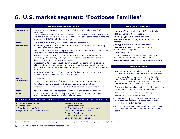# **6. U.S. market segment: 'Footloose Families'**

|                                                                                                                                |                                                                                                                                                                                                                                                                                                                                                                                                                                                                                         | What 'Footloose Families' want <sup>1,2</sup>                                                                                                                                                                                                                                                                                                                                                                                                                                                                                                                                                                                                                                                                                                                                                                                                                                                                                                                                                                                    |                                                                                                                     |  |
|--------------------------------------------------------------------------------------------------------------------------------|-----------------------------------------------------------------------------------------------------------------------------------------------------------------------------------------------------------------------------------------------------------------------------------------------------------------------------------------------------------------------------------------------------------------------------------------------------------------------------------------|----------------------------------------------------------------------------------------------------------------------------------------------------------------------------------------------------------------------------------------------------------------------------------------------------------------------------------------------------------------------------------------------------------------------------------------------------------------------------------------------------------------------------------------------------------------------------------------------------------------------------------------------------------------------------------------------------------------------------------------------------------------------------------------------------------------------------------------------------------------------------------------------------------------------------------------------------------------------------------------------------------------------------------|---------------------------------------------------------------------------------------------------------------------|--|
| Market size                                                                                                                    | Detroit (MI).<br>to three or 3,061,462 potential travellers.                                                                                                                                                                                                                                                                                                                                                                                                                            | • Key U.S. markets include: New York (NY), Chicago (IL), Philadelphia (PA),<br>• Travel regions close to border states include Southwestern Ontario and Niagara.3<br>• This group represents a total of 6.3% of households of selected states in tiers one                                                                                                                                                                                                                                                                                                                                                                                                                                                                                                                                                                                                                                                                                                                                                                       | ·Lifestage:<br>·HH Size: La<br>•Housing Ty<br>·Education:                                                           |  |
| <b>Travel</b><br>preferences                                                                                                   | organized activities for the kids.<br>American.<br>websites include Travelocity, Expedia, and Orbitz.                                                                                                                                                                                                                                                                                                                                                                                   | degrees<br>• Like to travel as a family to beaches, lakes, and campgrounds.<br>·Job Type:<br>• Preference given to all inclusive resorts in warm-weather destinations offering<br><b>•Occupation</b><br>mathematic<br>• Exhibit higher rates for travelling to Mexico and the Caribbean than Canada; 17%<br><b>•Commutin</b><br>have visited Canada in the past three years.<br><b>.Ethnic Pres</b><br>• Value-conscious travellers that prefer domestic vacations to international<br>Hispanic / L<br>excursions, often driving, with high rates for renting cars. Discount carriers like<br>Southwest are the preference when flying.<br><b>Average H</b><br>• Interests in Ontario include rustic summer vacations, going fishing, camping,<br>hiking, and swimming in national and provincial parks; also more likely to go<br>water skiing, boating, and white water rafting in Ontario compared to the average<br>• Key descri<br>• Internet bookings are a preferred approach for booking reservations; key<br>connection |                                                                                                                     |  |
| <b>Travel</b><br>motivations<br><b>Travel</b><br>detractors                                                                    | • Experiential travel.<br>• Openness to multicultural offerings in the form of fairs, shows and events.<br>• Value technology and vacations that maximize time spent on trips.<br>• Attracted to larger venues and crowds such as amusement parks and resorts.<br>• Relaxed service and sales approach, prefer order and structured treatment.<br>• Do not adhere to traditional family and gender roles, therefore messaging<br>focused on the 'all American' family is not an appeal. |                                                                                                                                                                                                                                                                                                                                                                                                                                                                                                                                                                                                                                                                                                                                                                                                                                                                                                                                                                                                                                  | • Young, spr<br>rates for p<br>soccer, an<br>that includ<br>• Overwheln<br>belonging<br>• Active hou<br>skating rin |  |
| • Attend mo<br>Examples of 'public product' interests <sup>1,3</sup><br>Examples of 'private product' interests <sup>1,3</sup> |                                                                                                                                                                                                                                                                                                                                                                                                                                                                                         |                                                                                                                                                                                                                                                                                                                                                                                                                                                                                                                                                                                                                                                                                                                                                                                                                                                                                                                                                                                                                                  |                                                                                                                     |  |
| • Ontario Science Centre<br>• Science North<br>• Ontario Parks and Trails                                                      | • Elgin and Winter Garden Theatres                                                                                                                                                                                                                                                                                                                                                                                                                                                      | • Marineland, Toronto Zoo<br>• Niagara's water parks<br>• Air Canada Centre (concerts and sports)<br>• Molson Park (outdoor concerts)<br>• Canada's Wonderland<br>• Ottawa Valley white water rafting<br>• Canadian Aboriginal Festival                                                                                                                                                                                                                                                                                                                                                                                                                                                                                                                                                                                                                                                                                                                                                                                          | high rates<br>football or<br>• Purchase a<br>and athleti<br>books.                                                  |  |

### **Demographic overview**<sup>1</sup>

- Younger middle aged (35-54) families •**HH Size:** Large (53% 3+ people)
- •**Housing Type:** Own; single-detached
- Some college, associate and bachelor
- Service sector and white collar
- **ns:** Sales, office administration, s / computer
- **q**: Car
- sence: Average; higher presence of atin and multi-race households
- **H Income:** \$50,000-\$100,000 (average)

### **Lifestyle overview**<sup>1</sup>

- iption words include diversity, memories, is, efficiency, excitement, and uniqueness.
- rawling, high energy families have high articipating in team sports like baseball, d basketball along with individual sports the jogging, biking, and aerobics.
- ningly religious, with nearly nine out of ten to a church, temple, or synagogue.
- iseholds visiting zoos, bowling alleys, ice iks, and campgrounds.
- vies, plays, and pop music concerts at and occasionally attend professional ice hockey games.
- a wide assortment of games, videos, CD's, ic equipment; especially fond of self-help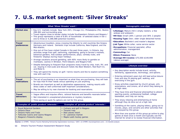# **7. U.S. market segment: 'Silver Streaks'**

|                                                                                                                                                                                                                                                                                                                                                                                                                                                                                                                                                                                                                                                               | What 'Silver Streaks' want <sup>1,2</sup>                                                                                                                            | Demographic overview <sup>1</sup>                                                                                                                                                                                                                                                                             |                                                                                                                                                                            |
|---------------------------------------------------------------------------------------------------------------------------------------------------------------------------------------------------------------------------------------------------------------------------------------------------------------------------------------------------------------------------------------------------------------------------------------------------------------------------------------------------------------------------------------------------------------------------------------------------------------------------------------------------------------|----------------------------------------------------------------------------------------------------------------------------------------------------------------------|---------------------------------------------------------------------------------------------------------------------------------------------------------------------------------------------------------------------------------------------------------------------------------------------------------------|----------------------------------------------------------------------------------------------------------------------------------------------------------------------------|
| <b>Market size</b>                                                                                                                                                                                                                                                                                                                                                                                                                                                                                                                                                                                                                                            | (MA-NH) and surrounding area.<br>one to three or 4,288,088 potential travellers.                                                                                     | • Key U.S. markets include: New York (NY), Chicago (IL), Philadelphia (PA), Boston<br>• Travel regions close to border states include Southwestern Ontario and Niagara.3<br>• This group represents a total of 8.8% of households of selected states in tier s                                                | •Lifestage: Mature (50+) empty nesters; a few<br>widows and widowers<br>•HH Size: Small (26% 1 person and 36% 2 people)<br>.Housing Type: Own; older single detached homes |
| <b>Travel</b><br>Adventurous travellers, enjoy crossing the Atlantic to visit countries like Greece,<br>Germany and Ireland. Domestic trips include California, New England, and the<br>preferences<br>Mid-Atlantic.<br>• One out-of-five have visited Canada in the past three years. In Ontario, key<br>activities range from golf, swimming, sightseeing, going to farmer's markets,<br>botanical gardens, free outdoor performances, plays, comedy clubs, and<br>fireworks' displays during major holidays.<br>• Arrange vacations around gambling, with 60% more likely to gamble on<br>riverboats, casinos in Windsor, Point Edward, and Niagara Falls. |                                                                                                                                                                      | <b>.Education:</b> Bachelor's and master's degrees<br>.Job Type: White collar; some service sector<br><b>.Occupations:</b> Financial specialist, office<br>administration, management<br><b>.Commuting: Car</b><br><b>.Ethnic Presence: None</b><br>*Average HH Income: \$75,000-\$149,999<br>(above average) |                                                                                                                                                                            |
|                                                                                                                                                                                                                                                                                                                                                                                                                                                                                                                                                                                                                                                               | • Despite belonging to frequent flyer programs many travel by ship, train, RV, and<br>car, staying in mid-scale and discount hotels like Best Western, Red Roof Inn, |                                                                                                                                                                                                                                                                                                               | Lifestyle overview <sup>1</sup>                                                                                                                                            |
| and Motel 6.<br>• They will spend the money on golf / tennis resorts and like to explore something<br>new with each trip.                                                                                                                                                                                                                                                                                                                                                                                                                                                                                                                                     |                                                                                                                                                                      | • Key description words include brand, activity,<br>familiarity, appearances, technology, and options.<br>• Entering retirement years but still lead active leisure                                                                                                                                           |                                                                                                                                                                            |
| <b>Travel</b><br>motivations                                                                                                                                                                                                                                                                                                                                                                                                                                                                                                                                                                                                                                  |                                                                                                                                                                      | • The act of purchasing is as important as what they are purchasing, they will look                                                                                                                                                                                                                           | lives and stay fit playing golf, walking, and<br>exercising in the gym.                                                                                                    |
| for trips that fit their needs versus spending on just anything.<br>dress codes or well-uniformed staff important considerations.                                                                                                                                                                                                                                                                                                                                                                                                                                                                                                                             |                                                                                                                                                                      | • Brands are important as well as destination appearances, making resorts with<br>• May be willing to try new channels for booking and reservations.                                                                                                                                                          | • Enjoy activities organized by church groups, arts<br>associations, and unions, all of which they belong to<br>at high rates.                                             |
| <b>Travel</b><br>. Vague offers and impulse offers; rational features and benefits resonate better.<br>detractors<br>• Not interested in unexplained phenomena or mystery locations.                                                                                                                                                                                                                                                                                                                                                                                                                                                                          |                                                                                                                                                                      |                                                                                                                                                                                                                                                                                                               | • They have time and financial wherewithal to attend<br>sporting events; professional football, college<br>basketball, and Indy car racing.                                |
| • Time saving or quick fix options are not for this group.                                                                                                                                                                                                                                                                                                                                                                                                                                                                                                                                                                                                    |                                                                                                                                                                      |                                                                                                                                                                                                                                                                                                               | • They enjoy relaxing and entertaining at home<br>although they do dine out at a high rate.                                                                                |
| Examples of 'public product' interests <sup>1,3</sup><br>• Royal Botanical Gardens<br>• Ontario Place                                                                                                                                                                                                                                                                                                                                                                                                                                                                                                                                                         |                                                                                                                                                                      | Examples of 'private product' interests <sup>1,3</sup><br>• Culinary and golf in Niagara<br>• Toronto Indy                                                                                                                                                                                                    | • Gambling at the casino, playing lottery, going out to<br>movies, plays, and concerts are other activities that<br>are enjoyed by this group.                             |
| • Ontario Parks and Trails<br>• Fallsview Casino and Casino Niagara<br>• Niagara's fireworks display                                                                                                                                                                                                                                                                                                                                                                                                                                                                                                                                                          |                                                                                                                                                                      | <b>Red Leaves resort</b><br>· St. Lawrence market<br>• Maple Leafs hockey games                                                                                                                                                                                                                               | • More than one quarter of this group go online to play<br>games at least once a month and typically use the<br>internet for email or to review financial information.     |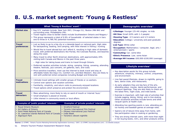# **8. U.S. market segment: 'Young & Restless'**

| What 'Young & Restless' want <sup>1,2</sup>                                                                                                                                                                     |                                                                                                                                                                                                                                                                                                                                                                                                                                                                                                                                                                                                  |                                                                                                                                                                                                                                                        | Demographic overview <sup>1</sup>                                                                                                                                                                                                                                                                                                       |
|-----------------------------------------------------------------------------------------------------------------------------------------------------------------------------------------------------------------|--------------------------------------------------------------------------------------------------------------------------------------------------------------------------------------------------------------------------------------------------------------------------------------------------------------------------------------------------------------------------------------------------------------------------------------------------------------------------------------------------------------------------------------------------------------------------------------------------|--------------------------------------------------------------------------------------------------------------------------------------------------------------------------------------------------------------------------------------------------------|-----------------------------------------------------------------------------------------------------------------------------------------------------------------------------------------------------------------------------------------------------------------------------------------------------------------------------------------|
| <b>Market size</b>                                                                                                                                                                                              | surrounding area, Philadelphia (PA).<br>one to three or 4,789,761 potential travellers.                                                                                                                                                                                                                                                                                                                                                                                                                                                                                                          | • Key U.S. markets include: New York (NY), Chicago (IL), Boston (MA-NH) and<br>• Travel regions close to border states include Southwestern Ontario and Niagara.3<br>• This group represents a total of 9.9% of households of selected states in tiers | •Lifestage: Younger (25-44) singles; no kids<br>•HH Size: Small (63% with 1-2 people)<br>.Housing Type: 2/3 owners and 1/3 renters<br><b>.Education:</b> College / university and post-graduate<br>degrees                                                                                                                              |
| <b>Travel</b><br>preferences                                                                                                                                                                                    | • Just as likely to go to a big city or a lakeside beach or national park. High rates<br>for backpacking, boating, and camping, with little interest in fishing / hunting.<br>• Would like to travel abroad but can't afford it, resulting in high rates of domestic<br>travel, with preferred destinations like Florida, the Colorado Rockies, and beaches<br>along the coast.<br>• Many travel to other North American destinations, with approximately 20%<br>visiting both Canada and Mexico in the past three years.<br>- High rates for taking buses and trains to travel through Ontario. |                                                                                                                                                                                                                                                        | .Job Type: White collar<br><b>. Occupation:</b> Mathematics / computer, legal, arts /<br>entertainment / sports<br><b>.Commuting:</b> Car; some bike<br><b>.Ethnic Presence: Low: some Asian</b><br>•Average HH Income: \$50,000-\$100,000 (average)                                                                                    |
|                                                                                                                                                                                                                 | • Preferred vacation activities include: skiing, camping, hiking, canoeing, attending<br>theatre, festivals, jazz concerts, art galleries, bars, and clubs.                                                                                                                                                                                                                                                                                                                                                                                                                                      |                                                                                                                                                                                                                                                        | Lifestyle overview <sup>1</sup>                                                                                                                                                                                                                                                                                                         |
|                                                                                                                                                                                                                 | • Price sensitive travellers, most use the internet to book travel and stay at<br>affordable hotels like Days Inn, Comfort Inn, and Best Western. Also are likely to<br>rent with preferred rental companies including Budget and Enterprise.                                                                                                                                                                                                                                                                                                                                                    |                                                                                                                                                                                                                                                        | • Key description words for this group include:<br>adventure, simplicity, intimacy, control, uniqueness,<br>and environment.                                                                                                                                                                                                            |
| <b>Travel</b><br>motivations                                                                                                                                                                                    | • Intimate travel settings with smaller groups of friends or co-workers.<br>• Control over options and vacation activities.<br>• Familiarity, simplicity, and return visits to previously enjoyed locations.<br>• Travel options which preserve and protect the environment.                                                                                                                                                                                                                                                                                                                     |                                                                                                                                                                                                                                                        | • Live fast paced lifestyles, drawn to nightlife, going to<br>bars, dance clubs, and restaurants.<br>• As early adopters they are big fans of the arts,<br>attending plays, movies, dance performances, and<br>museum openings. They are also likely to check out                                                                       |
| <b>Travel</b><br>. Mass advertising, more likely to rely on word of mouth or Internet 'buzz.'<br>detractors<br>• Small emphasis is placed on brands.<br>• Little interest in community events or local affairs. |                                                                                                                                                                                                                                                                                                                                                                                                                                                                                                                                                                                                  | the latest films, night clubs, and indie bands.<br>• Exercise is important, with high rate of activities that<br>include jogging, biking, hiking, and in-line skating.<br>Other occasional activities include tennis and other                         |                                                                                                                                                                                                                                                                                                                                         |
| Examples of 'public product' interests <sup>1,3</sup><br>Examples of 'private product' interests <sup>1,3</sup>                                                                                                 |                                                                                                                                                                                                                                                                                                                                                                                                                                                                                                                                                                                                  |                                                                                                                                                                                                                                                        | racquet sports at health clubs.                                                                                                                                                                                                                                                                                                         |
| • Royal Ontario Museum<br>• Art Gallery of Ontario<br>• Point Pelee National Park of Canada<br>• St. Lawrence Islands National Park of Canada<br>• Indie Week<br>• Algonquin Park                               |                                                                                                                                                                                                                                                                                                                                                                                                                                                                                                                                                                                                  | • Stratford Festival<br>• Toronto International Film Festival<br>• Ottawa International Jazz Festival<br>• Toronto's vibrant nightlife                                                                                                                 | • Attending live sporting events is rare, attending pro<br>ice hockey and baseball games at average rates.<br>• Spend a lot of leisure time away from home, with<br>low participation rates in cooking or gardening.<br>• They are strong internet users, with more than eight<br>in ten buying books, CD's, and other products online. |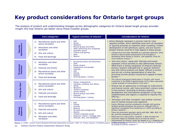## **Key product considerations for Ontario target groups**

The analysis of product and understanding linkages across demographic categories for Ontario based target groups provides insight into how Ontario can better serve these traveller groups.

|                               | Core categories <sup>3</sup>                                                                                                                                               | Typical activities of interest <sup>1,3</sup>                                                                                                                                                            | <b>Considerations for Ontario</b>                                                                                                                                                                                                                                                                                                                                                                                                                                                                                                                                                                                                                          |
|-------------------------------|----------------------------------------------------------------------------------------------------------------------------------------------------------------------------|----------------------------------------------------------------------------------------------------------------------------------------------------------------------------------------------------------|------------------------------------------------------------------------------------------------------------------------------------------------------------------------------------------------------------------------------------------------------------------------------------------------------------------------------------------------------------------------------------------------------------------------------------------------------------------------------------------------------------------------------------------------------------------------------------------------------------------------------------------------------------|
| <b>Adventurers</b><br>Upscale | Recreational sports and other<br>1)<br>active recreation<br>Attractions and other<br>2)<br>recreation<br>Arts and culture<br>3)<br>Food and beverage<br>4)                 | Golf<br><b>Skiing</b><br><b>Museums</b><br>Musical groups and artists<br>Other performing arts companies<br>Spectator sports<br>Casinos and gaming<br>٠<br><b>Spas</b><br><b>Resorts</b>                 | • Active lifestyles represent a common trait for most<br>segment profiles, which identified some form of recreation<br>or sporting activities as important when travelling. Further<br>development of soft adventure, sports, and eco-tourism<br>product themes could be of high appeal to these groups.<br>- Infrastructure has been identified as a potential deterrent, while<br>Ontario's natural assets would prove to be strengths in<br>developing these themes in Ontario. (see Appendix Three for<br>niche products review). $2,3$                                                                                                                |
| 'Provincial<br>Families'      | Attraction and other<br>1)<br>recreation<br><b>Festivals and events</b><br>2)<br>Recreational sports and other<br>3)<br>active recreation<br>Food and beverage<br>4)       | Amusement parks and attractions<br>Zoos<br>• Dinner theatre<br>Celebrations and parades<br>Festivals<br>Golf<br>Fishing<br><b>Boating</b><br>$\bullet$<br>Drinking places / culinary                     | • 'Arts and culture', along with 'festivals and events'<br>represent critical activities to help differentiate Ontario.<br>While there is strong recognition of Ontario's festivals,<br>primary research indicated that in 'general' Ontario's<br>arts and culture products are dated, difficult to access<br>and are not a strong representation of what the<br>provincial tourism product should be to appeal to these<br>$qroups.$ <sup>2,3</sup><br>The cultural renaissance taking place in Toronto, with recent                                                                                                                                      |
| <b>Young Go-Gos</b>           | Recreational sports and other<br>1)<br>active recreation<br>(2)<br>Arts and culture<br><b>Festivals and events</b><br>3)<br>Food and beverage<br>4)                        | Hiking / backpacking<br>Camping, canoeing, and rafting<br><b>Skiing</b><br>• Museums<br>Theatre companies<br>Dinner theatre<br>• Musical groups and artists<br>Festivals<br>• Drinking places / culinary | investment in the ROM of approximately \$270 million represents<br>a great example of improvement in this area. <sup>4</sup><br>• Ontario has an opportunity to leverage its multicultural<br>and diverse cuisine, with many prominent culinary areas<br>in the province. According to primary research,<br>development and international recognition of top class<br>establishments and regions is required to improve this<br>offering. 2<br>• 'Attraction and other recreation' was another common                                                                                                                                                      |
| 'Retired<br>Roamers'          | Recreational sports and other<br><b>1</b><br>active recreation<br><b>Festivals and events</b><br>(2)<br>Arts and culture<br>3)<br>Attraction and other<br>4)<br>recreation | Golf<br>Fishing<br>• Hunting<br><b>Boating</b><br>RV parks and campgrounds<br>Resorts<br>Theatre companies (local)<br>• Museums, historic / heritage sites<br>• Festivals, fairs, and exhibitions        | area of interest among most segments.<br>- Casino offerings could be considered a strength with gaming<br>facilities spread throughout the province, although there is<br>significant competition from bordering U.S. offers according to<br>primary research. <sup>2</sup><br>- There are prominent spectator sports with NHL, NBA, MLB, CFL,<br>NLL and the emergence of Toronto FC.<br>- Retail was not a key priority, however, it does increase the<br>economic impact of visitation and is an area for future<br>improvement for Ontario. Given the appeal of U.S. shopping and<br>$current$ conomic considerations this may be difficult to ashieve |

according to primary research.<sup>2,3</sup>

Source: (1) OTMPC: "Ontario Tourism Marketing Partnership Segmentation Summary," 2007; (2) Primary research; (3) Deloitte analysis; (\$YR6Maลิลิยลูคอยู่6rญารiderations this may be difficult to achieve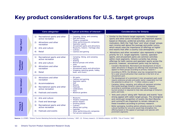### **Key product considerations for U.S. target groups**

|                         | Core categories <sup>3</sup>                                                                                                                                                                    | Typical activities of interest <sup>1,3</sup>                                                                                                                                                                                                                             | <b>Considerations for Ontario</b>                                                                                                                                                                                                                                                                                                                                                                                                                                                                                                                                                                                             |
|-------------------------|-------------------------------------------------------------------------------------------------------------------------------------------------------------------------------------------------|---------------------------------------------------------------------------------------------------------------------------------------------------------------------------------------------------------------------------------------------------------------------------|-------------------------------------------------------------------------------------------------------------------------------------------------------------------------------------------------------------------------------------------------------------------------------------------------------------------------------------------------------------------------------------------------------------------------------------------------------------------------------------------------------------------------------------------------------------------------------------------------------------------------------|
| 'High Flyers'           | Recreational sports and other<br>1)<br>active recreation<br>Attractions and other<br>2)<br>recreation<br>Arts and culture<br>3)<br>4)<br>Retail                                                 | • Camping, hiking, and canoeing<br>• Golf and skiing<br>• Theatre companies<br>• Other performing arts companies<br><b>Spectator sports</b><br>• Amusement parks and attractions<br>• Museums, historic / heritage sites<br>Culinary<br>$\bullet$<br>• Casinos and gaming | • Similar to the Ontario target segments, 'recreational<br>sports and other active recreation' are important aspects<br>based on lifestyles, preferred activities, and travel<br>motivators. Both the 'high flyer' and 'silver streak' groups<br>earn income well above the average and prefer luxury,<br>which would raise the importance of offerings at higher<br>end resorts that offer a country club atmosphere.<br>• 'Attractions and other recreation' also represents a higher                                                                                                                                       |
| 'Footloose<br>Families' | Recreational sports and other<br>1)<br>active recreation<br>Arts and culture<br>2)<br>Attractions and other<br>3)<br>recreation<br>Retail<br>4)                                                 | Camping, hiking, and canoeing<br>• Fishing<br>• Skating<br>Musical groups and artists<br>Zoos<br>٠<br>Spectator sports<br>٠<br>Amusement parks and attractions<br>• Shopping (sporting goods, hobby,<br>book, and music)                                                  | priority for U.S. target segments. Casinos, spectator<br>sports, and amusement parks are common activities<br>within most segments. Ontario currently has strong<br>offerings for both casinos and spectator sports across the<br>province, however, amusement parks may be lacking.<br>- Canada's Wonderland, Marineland and development of future<br>water attractions in Niagara are offerings that would likely have<br>appeal to these groups according to primary research. <sup>2</sup><br>According to PRTD, the Windsor area has recognized the need<br>for a year around attraction that could be in the form of an |
| 'Silver Streaks'        | Attractions and other<br>1)<br>recreation<br>Accommodations<br>(2)<br>Recreational sports and other<br>3)<br>active recreation<br><b>Festivals and events</b><br>4)                             | • RV parks<br>• Casinos and gaming<br>Spectator sports<br>Golf<br>$\bullet$<br>• Resorts<br>Festivals<br>• Celebrations<br>• Fairs<br>• Botanical gardens                                                                                                                 | amusement park.<br>- The development of a prominent 3-star amusement park could<br>require extensive private and public sector cooperation but has<br>the potential to attract 4.5 - 7 million visitors a year. <sup>4</sup><br>Camping, hiking, canoeing, and rafting all represent activities<br>that would leverage Ontario's natural assets. However,<br>according to workshops and primary research, improved<br>tourism product is required to fully take advantage of Ontario's<br>parks and trails.<br>• 'Arts and culture' along with 'festivals and events' have                                                    |
| 'Young &<br>Restless'   | Arts and culture<br>$\left( \begin{matrix} 1 \end{matrix} \right)$<br>Food and beverage<br>(2)<br>Recreational sports and other<br>3)<br>active recreation<br><b>Festivals and events</b><br>4) | • Museums<br>Theatre companies<br>Dinner theatre<br>Drinking places<br>$\bullet$<br>• Culinary<br>• Hiking and cycling<br>• Festivals<br>Other performing arts companies<br>• Full service restaurants                                                                    | strong appeal with select target groups. The emergence<br>and continued recognition of events like Nuit Blanche<br>and LuminaTO are important to remain relevant to<br>these travellers according to primary research.<br>Better packaging, bundling options allowing access to multiple<br>cultural facilities for one price would help strengthen the<br>offering based on the appeal of packages and specials with<br>prominent segments.                                                                                                                                                                                  |

Source: (1) OTMPC: "Ontario Tourism Marketing Partnership Segmentation Summary," 2007; (2) Primary research; (3) Deloitte analysis; (4) PRTD: "City of Toronto," 2007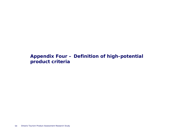### **Appendix Four – Definition of high-potential product criteria**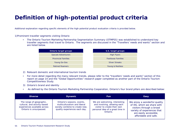# **Definition of high-potential product criteria**

Additional explanation regarding specific elements of the high-potential product evaluation criteria is provided below.

1)Prominent traveller segments visiting Ontario

• The Ontario Tourism Marketing Partnership Segmentation Summary (OTMPSS) was established to understand key traveller segments that travel to Ontario. The segments are discussed in the "Travellers' needs and wants" section and are listed below.

| Ontario target groups      | U.S. target groups        |
|----------------------------|---------------------------|
| <b>Upscale Adventurers</b> | <b>High Flyers</b>        |
| <b>Provincial Families</b> | <b>Footloose Families</b> |
| Young Go-Gos               | <b>Silver Streaks</b>     |
| <b>Retired Roamers</b>     | Young & Restless          |

- 2) Relevant domestic and international tourism trends
- • For more detail regarding the many relevant trends, please refer to the "travellers' needs and wants" section of this report on page 14 and the "Global Opportunities" research paper completed as another part of the Ontario Tourism Competitiveness Study.
- 3) Ontario's brand and identity
- •As defined by the Ontario Tourism Marketing Partnership Cooperation, Ontario's four brand pillars are described below:

| <b>Diverse</b>                                                                                                      | <b>Dynamic</b>                                                                                                                | <b>Fun</b>                                                                                                                                   | Easy                                                                                                                                                                      |
|---------------------------------------------------------------------------------------------------------------------|-------------------------------------------------------------------------------------------------------------------------------|----------------------------------------------------------------------------------------------------------------------------------------------|---------------------------------------------------------------------------------------------------------------------------------------------------------------------------|
| The range of geographic,<br>cultural, and activity-based<br>experiences available across<br>Ontario is unsurpassed. | Ontario's seasons, events,<br>multiculturalism and liberal<br>society combine to create new,<br>quality experiences each day. | We are welcoming, interesting<br>and involving, allowing each<br>visitor to create their own<br>personal idea of a great time in<br>Ontario. | We enjoy a wonderful quality<br>of life, which we share with<br>visitors through a broad<br>variety of experiences that<br>are easily accessible,<br>affordable and safe. |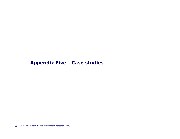### **Appendix Five - Case studies**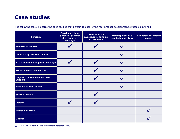The following table indicates the case studies that pertain to each of the four product development strategies outlined.

| <b>Strategy</b>                                      | <b>Provincial high-</b><br>potential product<br>development<br>strategy | <b>Creation of an</b><br>investment / funding<br>environment | Development of a<br>clustering strategy | <b>Provision of regional</b><br>support |
|------------------------------------------------------|-------------------------------------------------------------------------|--------------------------------------------------------------|-----------------------------------------|-----------------------------------------|
| <b>Mexico's FONATUR</b>                              |                                                                         |                                                              |                                         |                                         |
| Alberta's agritourism cluster                        |                                                                         |                                                              |                                         |                                         |
| East London development strategy                     |                                                                         |                                                              |                                         |                                         |
| <b>Tropical North Queensland</b>                     |                                                                         |                                                              |                                         |                                         |
| <b>Guyana Trade and Investment</b><br><b>Support</b> |                                                                         |                                                              |                                         |                                         |
| <b>Barrie's Winter Cluster</b>                       |                                                                         |                                                              |                                         |                                         |
| <b>South Australia</b>                               |                                                                         |                                                              |                                         |                                         |
| Ireland                                              |                                                                         |                                                              |                                         |                                         |
| <b>British Columbia</b>                              |                                                                         |                                                              |                                         |                                         |
| <b>Quebec</b>                                        |                                                                         |                                                              |                                         |                                         |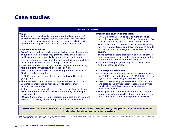### **Mexico's FONATUR**

### **Vision**<sup>1</sup>

To be an institutional leader in promoting the development of diversified tourism projects that are consistent with worldwide trends, with a business structure that encourages private sector investment in projects that stimulate regional development.

#### **Purpose and functions**

- FONATUR is a national public agency which executes its mandate by funding tourism operations, granting loans, and by actively participating in operations likely to result in self-sufficiency.
- It is the designated coordinator for tourism efforts among all three levels of government as well as the private sector.
- It performs studies and designs tourism projects, and has a key role in building infrastructure and public services.
- FONATUR has been successful in involving the private sector in Mexican tourism operations.
- In 2003 alone, private investment increased over 12% from the year prior.<sup>2</sup>
- The organization often partners with private investors in joint ventures to encourage participation in Mexico's tourism development programs.
- As tourism is a national priority, the government has legislation protecting foreign investors, allowing for majority ownership of tourism assets.
- FONATUR offers investors a profitability guarantee and investment security, stimulating foreign and private-sector involvement.

#### **Product and clustering strategies**

- FONATUR concentrates its development efforts on integrally-planned centres (CIPs), and has created five: Cancun, Los Cabos, Ixtapa, Loreto, and Huatulco.
- These destinations represent 40% of Mexico's hotels, host 46% of its international travellers, and contribute 54% of the country's foreign exchange earnings from tourism.<sup>2</sup>
- These centres clusters products in an easy-to-access area, boasting golf courses, beaches, accommodations, entertainment, and retail tourism products.
- National funding programs align with current product and regional focus areas.

### **CIP example: Loreto Bay**<sup>2</sup>

- A 15-year plan to develop a resort at Loreto Bay with over 7,000 rooms will channel U.S. \$1.2 billion into the region, more than tripling its traveller arrivals.
- FONATUR has already generated U.S. \$80M through land sales to the private sector, encouraging private contributions and development to supplement government resources.
- The organization carefully selected this location and products based on feasibility studies, which project a rate of return of 22.3% for the project's investors.

### **FONATUR has been successful in stimulating investment, cooperation, and private-sector involvement to develop tourism products and clusters.**

Sources: (1) Playa Cortes: FONATUR and its Commitment to Mexico; (2) BNET Business Network: "Mexico and Fonatur: celebrating 30 years of success in tourism investment," 2004; (3) The Real Mexico: FONATUR, The Force Behind Mexican Tourism, 2004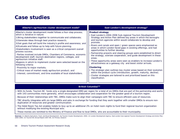| Alberta's agritourism cluster development model <sup>1</sup>                                                                                                                                                                                                                                                                                                                                                                                                                                                                                                                                                                                                                                                                                                                                                                                                                          | East London's development strategy <sup>2</sup>                                                                                                                                                                                                                                                                                                                                                                                                                                                                                                                                                                                                                                                                                                                                                                                                                                                                                                                               |
|---------------------------------------------------------------------------------------------------------------------------------------------------------------------------------------------------------------------------------------------------------------------------------------------------------------------------------------------------------------------------------------------------------------------------------------------------------------------------------------------------------------------------------------------------------------------------------------------------------------------------------------------------------------------------------------------------------------------------------------------------------------------------------------------------------------------------------------------------------------------------------------|-------------------------------------------------------------------------------------------------------------------------------------------------------------------------------------------------------------------------------------------------------------------------------------------------------------------------------------------------------------------------------------------------------------------------------------------------------------------------------------------------------------------------------------------------------------------------------------------------------------------------------------------------------------------------------------------------------------------------------------------------------------------------------------------------------------------------------------------------------------------------------------------------------------------------------------------------------------------------------|
| Alberta's cluster development model follows a four-step process,<br>which is iterative in nature:<br>1) Bring stakeholders together to communicate and collaborate;<br>2) Generate ideas through best practice research;<br>3) Set goals that will build the industry's profile and awareness; and<br>4) Evaluate and follow-up to help with future planning.<br>•Stakeholders involvement is seen as a critical component overall<br>process success.<br>-Parties involved include DMOs, Chambers of Commerce, economic<br>development staff, tourism destination regions, colleges, and<br>agritourism initiative staff.<br>•Regions in which to implement cluster were selected based on the<br>following criteria:<br>-Proximity to major markets;<br>-Critical mass of market-ready agritourism product; and<br>-Interest, commitment, and time available of local stakeholders. | <b>Product strategy</b><br>• East London's 2004-2006 Sub-regional Tourism Development<br>Strategy and Action Plan defined key areas in which the boroughs<br>and tourism agencies within would collaborate to develop and<br>promote.<br>-Rivers and canals and open / green spaces were emphasized as<br>areas in which London faced gaps in existing offerings, and had<br>opportunities to further develop.<br>-Partnership projects and steering groups were established to direct<br>the strategy, oversee cooperation, and guide development in these<br>areas.<br>-These opportunity areas were seen as enablers to increase London's<br>attractiveness as a gateway city and boost visitor arrivals.<br><b>Clustering</b><br>• The strategic plan outlines key cluster areas based on their evolution<br>within the product cycle (introduction, growth, maturity, decline).<br>- Cluster strategies are tailored to and prioritized based on this<br>classification. |

### **British Columbia3,4**

- With its funds, Tourism BC funds only a single designated DMO per region for a total of six DMOs that are part of the partnership and works with 143 communities more generally, which encourages collaboration and cooperation for the greater good of a tourism region.
- Because of their relationships with TBC, DMOs make sure to align their campaigns with TBC to ensure efficient uses of resources.
- TBC directly integrates with six large DMOs and asks in exchange for funding that they work together with smaller DMOs to ensure nonduplication of resources and greater communication.
- The Hotel Room Tax Act enables hotels to levy up to an additional 2% on hotel room nights to fund their regional tourism organization without modifying the existing Municipal acts.
- These monies are remitted to the Ministry of Finance and flow to local DMOs, who are accountable to their municipality.
- Sources: (1) Alberta Agriculture, Food, and Rural Development: Ag Tourism Cluster Development, 2004; (2) London Development Agency: East London Sub-regional Tourism Development Strategy and Action Plan, 2004-2006; (3) Tourism BC Annual Report 2007-08; (4) Primary research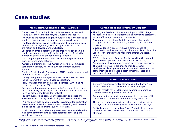| Tropical North Queensland (TNQ), Australia <sup>1</sup>                                                                                                                                                                                                                                                                                                                                                                                                                                                                                                                                                                                                                                                                                                                                                                                                                                                                              | Guyana Trade and Investment Support <sup>2,3</sup>                                                                                                                                                                                                                                                                                                                                                                                                                                                                                                                                                                                                                                                                                                                                                                                                                                                           |
|--------------------------------------------------------------------------------------------------------------------------------------------------------------------------------------------------------------------------------------------------------------------------------------------------------------------------------------------------------------------------------------------------------------------------------------------------------------------------------------------------------------------------------------------------------------------------------------------------------------------------------------------------------------------------------------------------------------------------------------------------------------------------------------------------------------------------------------------------------------------------------------------------------------------------------------|--------------------------------------------------------------------------------------------------------------------------------------------------------------------------------------------------------------------------------------------------------------------------------------------------------------------------------------------------------------------------------------------------------------------------------------------------------------------------------------------------------------------------------------------------------------------------------------------------------------------------------------------------------------------------------------------------------------------------------------------------------------------------------------------------------------------------------------------------------------------------------------------------------------|
| • The success of clustering in Australia has seen success and<br>failure over the years with varying Government support.<br>• The Queensland region has grown quickly, and is thought to be<br>due to the keenness of regional operators to collaborate.<br>• The Cairns Regional Economic Development Corporation was a<br>catalyst for the region's growth through its focus on the<br>promotion and development of clusters.<br>• Cooperation among operators in the area has been seen in a<br>number of areas, most significantly in the areas of collective<br>marketing efforts and environmental protection.<br>• Marketing and promotion in Australia is the responsibility of<br>many different organizations:<br>- Australia is promoted by the Australian traveller Commission.<br>- Each state / territory has their own government tourism<br>agency.<br>- Tourism Tropical North Queensland (TTNQ) has been developed | • The Guyana Trade and Investment Support (GTIS) Project<br>has identified cluster development and marketing assistance<br>as one of its major program components.<br>· Guyana has clearly identified its tourism cluster product<br>strengths as Eco-, nature-based, adventure, and cultural<br>tourism.<br>• Guyana's tourism operators have a strong sense of<br>collaboration and networking, but there is a distinct lack of a<br>vision for the industry and marketing efforts are poorly<br>organized.<br>• GTIS has launched a Tourism Cluster Working Group made<br>up of private operators, the Tourism and Hospitality<br>Association of Guyana, and relevant government agencies.<br>- The working group is designed to mobilize cluster<br>participants, develop a common vision, and develop action<br>plans intended to increase cluster competitiveness and<br>increase visits and receipts. |
| to promote the TNQ region.<br>• The regional promotion agencies have played a crucial role in<br>the development of cluster-based cooperation.                                                                                                                                                                                                                                                                                                                                                                                                                                                                                                                                                                                                                                                                                                                                                                                       | <b>Barrie's Winter Cluster<sup>4</sup></b>                                                                                                                                                                                                                                                                                                                                                                                                                                                                                                                                                                                                                                                                                                                                                                                                                                                                   |
| TTNQ is funded through both public agencies (30%) and its<br>private sector members (50%).<br>• Operators in the region cooperate with Government to ensure<br>the sustainability of the region's natural attractions (TNQ's main<br>traveller draw is the Great Barrier Reef).<br>• Tourism success has been highly dependent on access and                                                                                                                                                                                                                                                                                                                                                                                                                                                                                                                                                                                         | • Core and supporting winter attractions in the Barrie Area<br>have collaborated to offer winter activity packages.<br>• Four ski resorts have collaborated to produce marketing<br>material advertising their winter deals.<br>• Accommodations establishments have also made use of the                                                                                                                                                                                                                                                                                                                                                                                                                                                                                                                                                                                                                    |
| infrastructure in the region (including an international airport).<br>• TNQ has been able to attract private investment for destination<br>development, attraction development, marketing and research<br>in addition to just traditional business creation.                                                                                                                                                                                                                                                                                                                                                                                                                                                                                                                                                                                                                                                                         | collaboration to advertise in the marketing materials.<br>- The accommodations providers act as the providers of the<br>packages and are knowledgeable of all offers in the region.<br>• Festivals and events including Barrie Winterfest have also                                                                                                                                                                                                                                                                                                                                                                                                                                                                                                                                                                                                                                                          |
| • Local operators, industries and government have established a<br>long-term commitment to support potential, emerging and<br>established clusters.                                                                                                                                                                                                                                                                                                                                                                                                                                                                                                                                                                                                                                                                                                                                                                                  | partnered as part of the cluster to advertise their 2008<br>offerings.                                                                                                                                                                                                                                                                                                                                                                                                                                                                                                                                                                                                                                                                                                                                                                                                                                       |

**Sources:** (1) Sara Nordin: Tourism Clustering and Innovation: Paths to Economic Growth and Development, 2003; (2) USAID Guyana Trade and Investment Support: Tourism Cluster Profile, April<br>2005; (3) Guyana Trade and Invest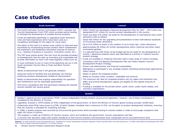| South Australia <sup>1</sup>                                                                                                                            | Ireland <sup>2</sup>                                                                                                                                                                                                                                                |  |  |
|---------------------------------------------------------------------------------------------------------------------------------------------------------|---------------------------------------------------------------------------------------------------------------------------------------------------------------------------------------------------------------------------------------------------------------------|--|--|
| • The South Australian Tourism Commission (SATC) oversees the                                                                                           | • Fáilte Ireland has developed a National Development Plan for 2007 – 2013 which has                                                                                                                                                                                |  |  |
| Tourism Development Fund (TDF) which provides partial funding                                                                                           | designated €137 million for tourism product development in the country.                                                                                                                                                                                             |  |  |
| to facilitate the development of suitable tourism products.                                                                                             | . There has been €70 million set aside for the development of international class visitor                                                                                                                                                                           |  |  |
| • Funds are dedicated specifically to upgrading South Australia's                                                                                       | attractions split as follows:                                                                                                                                                                                                                                       |  |  |
| wine and food experiences which have been used as a                                                                                                     | Some $\epsilon$ 50 million for the upgrading and presentation to best international standards                                                                                                                                                                       |  |  |
| competitive advantage for the region for many years.                                                                                                    | of 20 existing visitor attractions.                                                                                                                                                                                                                                 |  |  |
| • The object of the fund is to attract more visitors to food and wine                                                                                   | - Up to $\epsilon$ 14 million to assist in the creation of up to three new visitor attractions.                                                                                                                                                                     |  |  |
| businesses by incorporating tourism product which complements                                                                                           | Approximately €6 million for further developments within historical and other major                                                                                                                                                                                 |  |  |
| the experience and establishes alternative avenues of revenue                                                                                           | ornamental gardens.                                                                                                                                                                                                                                                 |  |  |
| (e.g., retailing of produce or souvenirs, innovative cuisine, etc.).                                                                                    | • It is planned that €28 million of the budget will be set aside for the development of                                                                                                                                                                             |  |  |
| • The TDF gives partial grants (the rest must be provided privately)                                                                                    | activity / adventure products which was identified as a priority in Ireland's tourism                                                                                                                                                                               |  |  |
| to developments that are seen as innovative and sustainable and                                                                                         | product strategy.                                                                                                                                                                                                                                                   |  |  |
| provide information on how it will meet eligibility criteria such as:                                                                                   | • Funds are available to initiatives that best meet a wide range of criteria including:                                                                                                                                                                             |  |  |
| - It must contribute to one or more of the objectives set out in the<br>South Australian Tourism Plan or Food and Wine Tourism<br>Strategy.             | Consistency with the National Development Plan and Fáilte Ireland's Tourism<br>Development Product Strategy.<br>Proven cost-effectiveness and financial sustainability.<br>- Willingness to participate in any strategic product marketing partnerships approved by |  |  |
| - Ability to demonstrate how it will generate visitation.                                                                                               | Fáilte Ireland.                                                                                                                                                                                                                                                     |  |  |
| - Using the funds for facilities that are generally not revenue                                                                                         | Ability to deliver the proposed project.                                                                                                                                                                                                                            |  |  |
| producing (product development instead of improvement).                                                                                                 | Ability to increase visitor numbers / bednights and revenue.                                                                                                                                                                                                        |  |  |
| Ability to demonstrate that ongoing responsibility for operation                                                                                        | . The maximum aid rates for proposed projects vary by region and enterprise size.                                                                                                                                                                                   |  |  |
| and maintenance can be reasonably guaranteed.                                                                                                           | SME's and priority development regions are eligible for the highest amounts of                                                                                                                                                                                      |  |  |
| • The fund is competitive with the businesses showing the clearest<br>tourism benefits will receive grants.                                             | funding.<br>• Funding is available for the private sector, public sector, public sector bodies, and<br>voluntary organizations                                                                                                                                      |  |  |
| Quebec <sup>3</sup>                                                                                                                                     |                                                                                                                                                                                                                                                                     |  |  |
| • Quebec's regional tourism associations ("RTA") receive independent funding streams via provincial legislation; however, use of these contributions is |                                                                                                                                                                                                                                                                     |  |  |

- mandated by the Ministry of Tourism.
- Legislation enacted in 1979 created 22 RTAs independent of the government, to which the Ministry of Tourism grants funding annually (\$10M total).
- Collectively these RTAs have access to \$75M, of which Quebec mandates that a maximum of 25% can be spent on product development initiatives, ensuring that the majority is allocated for marketing activities.
- In 2006, a quality program was launched by the provincial government which provided training to industry bodies in order to encourage compliance with eight ISO norms in tourism.
- This program is made up of Ministry of Tourism courses, which are funded by the government, tourism associations and fees.
- It ensures that education aligns with quality standards so that tourism products and businesses have comparable service and performance level.

Sources: (1) South Australia Tourism Development Fund: Guidelines for Tourism Development Assistance Upgrade of South Australian Wine and Food Experiences; (2) Fáilte Ireland National Development Plan 2007 -2013: Tourism Capital Investment Programme; (3) Primary research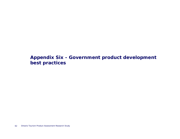**Appendix Six - Government product development best practices**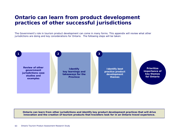### **Ontario can learn from product development practices of other successful jurisdictions**

The Government's role in tourism product development can come in many forms. This appendix will review what other jurisdictions are doing and key considerations for Ontario. The following steps will be taken:



**Ontario can learn from other jurisdictions and identify key product development practices that will drive innovation and the creation of tourism products that travellers look for in an Ontario travel experience.**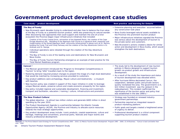### **Government product development case studies**

#### *The Bay of Fundy*<sup>1</sup>

**New Brunswick**

**New Brunswick** 

**Mexico**

Vexico

**Prince Edward Island**

Prince

Edward Island

- New Brunswick spent decades trying to understand and plan how to balance the true value of the Bay of Fundy as a potential tourism product, while also preserving its natural wonder. • Nova Scotia leveraged natural assets available to After discovering new approaches that could support and maintain the one-of-a-kind ecosystem the Province began major infrastructure initiatives that included: ‒ Creation of the Fundy Coastal Drive, reinvention of the Hopewell Rocks, the creation of the Cape Enrage Adventure site, rebuilding of the Algonquin Golf Course to a signature level, expansion and modernization of the famed Algonquin Hotel, community enhancement in places such as St. Martins, building the Fundy Trail and Fundy Parkway and the creation of the Day Adventures Centre in St. Andrews and St. George • Individual operations were retooled through the creation of the Day Adventure initiative.• The Bay of Fundy is one of the leading icons and destinations for New Brunswick and Nova Scotia.• The Bay of Fundy Tourism Partnership emerged as an example of best practice for the Total Market Readiness program. any construction took place the private sector and customers. strengthen the both destinations. *Cancun*1,2 • The Mexican government introduced the 'Program to Strengthen Competitiveness in Tourism' to bring "elite" travellers back to the region. • Restoring demand required product changes to present the image of a high-level destination that would be matched by increasing services provided to customers. • Key product additions were archaeology, Mayan culture and biodiversity – a museum with beaches.• New tourism policy was created in support of this major initiative in order to leverage unique Mexican assets, preserve culture and create economic prosperity for the region. • Key policy included regional and sustainable development, financing and investment, transport and facilitation, education / training / culture, infrastructure and promotion. development. was established in the late 1990's.<sup>3</sup> *The New Product Culture*<sup>1</sup> • The global objective – to attract two million visitors and generate \$600 million in direct spending by the year 2010. government partnerships.
- The Product Development Agenda is a partnership between the Atlantic Canada Opportunities Agency (ACOA), the Province and industry to allocate scarce resources towards the most strategic opportunities.
- Key product development areas include: Iconic products, coastal experiences, culture and heritage, meetings and conventions, provincial parks, festivals and major events and industry professional development.

#### **Case study –** product development **Best product and learning for Ontario Best practice and learning for Ontario**

- Extensive planning and execution occurred before
- the Province into prominent tourism product
- Major infrastructure initiatives signaled the Province was serious about the development of tourism to
- New Brunswick's actions created a desire for similar action and development in Nova Scotia, which would

- The study led to the development of new tourism policies in Mexico designed to support tourism growth via product growth and infrastructure
- As a result of the study the importance and status of tourism development was elevated within.
- After hurricane Wilma decimated Cancun, the cooperation, between public and private sectors quickly revitalized the area. The government's U.S. \$22 million investment was the catalyst in the redevelopment. This incident reaffirmed the significance of the tourism sector and policy that
- Strategy was founded on renewed industry-
- Partnership required an integrated researchproduct-marketing platform.
- Public goals and targets created a heightened sense of urgency to deliver.
- Professional development is a critical component supporting tourism product creation.

Sources: (1) The Prince Edward Island Strategy for Tourism Competitiveness 2005 – 2010; (2) Mexico Tourism Sector Development Program 1995 – 2000; (3) All Business - "Cancun is back and better than ever," 2006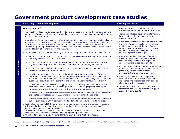### **Government product development case studies**

#### **Case study – product development Learning for Ontario**

#### *Tourism BC (TBC)*

- The Ministry of Tourism, Culture, and the Arts plays a supporting role in the management and operations of products. Government-owned land (e.g., parks) is managed and operated by the private sector by tenure.1
- Improving tourism market readiness of new and emerging tourism sectors and products is a key priority in the TBC 2006/07 – 2008/09 Service Plan. Tourism product initiatives include: BC Experiences, Community Tourism Foundations, Circles of Opportunity, Community Sport Tourism program in partnership with 2010 Legacies Now, the Canadian Sport Tourism Alliance and the Ministry of Tourism, Sport and the Arts.2
- The Province has provided the following in an effort to support tourism product development:
	- ‒ \$65 million to TBC from 2005 to 2008 for product development and marketing, more than doubling investment in TBC since 2001.4
	- ‒ \$25 million to the Union of B.C. Municipalities for its Community Tourism Program so regions can develop local tourism services, products and marketing initiatives.4
	- ‒ \$12 million in one-time funding to the province's six tourism regions to enhance their infrastructure and marketing programs.<sup>4</sup>
	- ‒ Provided \$5 million over four years to the Aboriginal Tourism Association of B.C. to implement its Aboriginal cultural tourism strategy. The Aboriginal Tourism Association of B.C.'s Blueprint Strategy, launched in September 2007, provides a long-term plan for the sustainable growth and development of the province's Aboriginal tourism industry.4
	- ‒ Implemented the B.C. Resort Strategy to create new and expanded all-season resorts throughout the province. B.C.'s existing alpine ski resorts are projecting new capital investments of more than \$1 billion over the next two to five years.4
	- ‒ Invested \$8 million towards the construction of six Provincial Gateway Visitor Centers that are strategically located across B.C. where most visitors enter the province.4
	- ‒ It is estimated that \$566 million of B.C.'s tourism revenues can be attributed to arts and culture activities. In 2008, additional funding for arts and culture projects included:
- o \$150 million for the BC150 Cultural Fund, a permanent endowment, the earned revenues of which will distributed to support arts and cultural activities throughout the province; 4
- o \$50 million to the Vancouver Art Gallery; 4
- o \$9 million to restore and revitalize the Vancouver East Cultural Centre and establish an endowment to assist with the centre's ongoing operating costs; and4
- o \$9 million for planning a new National Maritime Centre of the Pacific and Arctic.4

- Government-owned land may be better managed and operated by the private sector.
- Training and labour development for tourism is largely industry-led and supported by Government funding.
- Significant expenditures have be committed to a variety of product development projects ranging from the establishment of new product, restoration existing products, and infrastructure support to support the access and development of the region.
- Investment and development of provincial travel regions can help establish better cohesion of operators within regions to encourage more cooperative efforts.
- B.C has recognized the potential of Aboriginal tourism as a unique differentiated cultural product by assisting with strategy development and long-term funding.
- Gateway and visitor centers represent strategic hubs to help enhance the traveller experience and support local marketing and attractions within the regions.
- The BC150 Cultural Fund acts as a new mechanism for on going funding to support arts and cultural events.

Sources: (1) Primary research; (2) Tourism BC (hellobc.com); (3) Tourism BC Annual Report 2007-08; (4) Ministry of Tourism, Culture and Arts - "B.C investments in Tourism".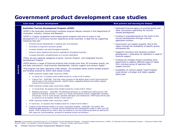### **Government product development case studies**

#### *Australian Tourism Development Program (ATDP)*<sup>1</sup>

•ATDP is the Australian Government's business program delivery division in the Department of Innovation, Industry, Science and Research.

•ATDP is a highly competitive merit-based grants program that aims to assist in the development of a continuous tourism experience across Australia. It does this by supporting initiatives that will:1

- ‒ Promote tourism development in regional and rural Australia
- ‒Contribute to long term economic growth
- Increase visitation and yield throughout Australia
- $\sim$ Enhance visitor dispersal and tourism expenditure throughout Australia
- ‒ Increase Australia's competitiveness as a tourism destination

•There are two separate categories of grant: Tourism Projects and Integrated Tourism Development Projects.

•ATDP delivers a range of financial products that include more than 30 innovation grants, tax and duty concessions, small business development, industry support and venture capital. <sup>1</sup>

•The program has been operating under phases. The examples below outline sample projects and funding received for within each phase include:

- ‒ ATDP customers funded under round one (2004):
	- $\circ$  In round one, 37 projects were funded overall for a total of \$5.9 million.<sup>2</sup>
	- o Culture Trail \$100,000: Trail links major projects on the Wilson River to the Cultural Precinct and focuses on the cultural diversity, colorful history, appealing lifestyle and quality regional cuisine of the Lismore area.2
- ‒ ATDP customers funded under round three (2006):
	- $\circ$  In round three, 45 projects were funded overall for a total of \$8.2 million.<sup>3</sup>
	- o Billabong Sanctuary \$100,000: The Billabong Sanctuary is a wildlife park featuring over 100 species of Australian animals. It caters to a mainly international market, independent travellers and groups, such as coach groups, specialty education and conferences. ATDP funds will be used to construct an all weather facility to hold visitors.3
- ‒ ATDP customers funded under round four (2007):
- oIn round four, 27 projects were funded overall for a total of \$4.6 million.<sup>4</sup>
- o Creation of the Arthouse Hostel in an iconic Launceston building - \$100,000: The historic Old Esplanade B&B premises in Inveresk will be transformed into a backpacker hostel to cater up to 90 guests. ATDP funding will be used to alter the building to suit the enhanced purpose by altering the attic space for accommodation, provide full handicap access and facilities.4

#### **Case study - product development Best practice and learning for Ontario**

- Dedicated financial agency to provide grants and other concessions specifically for tourism related development.
- Funding is evaluated based on the merit of the tourism development through a formal application process.
- Government can support projects vital to the region through the availability of specific grants, concessions etc.
- Supports innovative and necessary product development / restoration for operators in need of financial support.
- Funding has multiple streams providing more opportunity to address different types of needs from a diverse group of operators that support tourism.
- Availability of venture capital ('seed funding') could attract a stronger and highly capable talent pool.

Sources: (1) AusIndustry (ausindustry.gov.au); (2) Australian Tourism Development Program – Customers Funded under Round 1 (2004); (3) Australian Tourism Development Program – Customers Funded under Round 3 (2006); (4) Australian Tourism Development Program – Customers Funded under Round 4 (2007).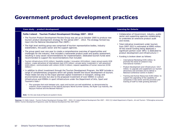### **Government product development practices**

#### **Case study – product development Learning for Ontario**

**Ireland**

**Ireland** 

#### *Failte Ireland – Tourism Product Development Strategy 2007 - 2013*

- The Tourism Product Development Review Group was set up on October 2005 to produce new tourism product development strategy for the period 2007 – 2013. The strategy formed key input into the National Development Plan (NDP).1
- The high level working group was comprised of tourism representative bodies, industry stakeholders, the public sector and the support agencies.
- The group spent over one year to create a comprehensive overview of opportunities and challenges for the industry, that included a nationwide product audit and quality assessment, resulting in sixty-seven recommendations for implementation. Dedicated tourism funds were recommended to support the recommendations that included:
- ‒ Tourism infrastructure (€133 million); feasibility studies / innovation (€21million); major annual events (€28 million); create attractions of international class (€70 million); private sector investment in 'soft adventure' (€28 million); communication with visitors (€102.5 million); expand capabilities of human resources (€156 million).*<sup>1</sup>*
- In addition to direct investment through the Tourism Development Program, the NDP includes a range of complementary programs which will greatly benefit the future development of tourism. These relate not only to the major planned capital investment in transport, energy and environmental services but also to the proposed investment of over €900m in culture infrastructure and €990m in sport infrastructure under the Department of Arts, Sport and Tourism's Vote.3
	- ‒ The synergies that exist between arts, sport and tourism are well established, as demonstrated by Ireland's recent experience of the Special Olympics World Summer Games, the Ryder Cup matches, the ReJoyce Festival and the Beckett Festival.6

**Note**: For this case study all figures are quoted in Euros.

- Collaboration of Government, industry, public sector and supporting agencies collaborating to undertake an extensive product audit and review.
- Total indicative investment under tourism from 2007-2013 is estimated at €800 million. Of the overall funding being deployed a significant portion (over 39%) is dedicated to product development and infrastructure.2,3
- Funding is broken down as follows:
	- ‒ International Marketing €335 million; to promote the island of Ireland in key international markets.3
	- ‒ Product Development and Infrastructure €317 million; to upgrade and supplement our tourism attractions and activities and to deliver a National Conference Centre in Dublin.3
	- ‒ Training and Human Resources €149 million; to support the upgrading of the capability of companies in the sector and the provision and training of staff to meet growing demand.3

**Sources:** (1) Failte Ireland – Tourism Product Development Strategy 2007 – 2013; (2) Ireland National Development Plan 2007 – 2013 (3) Ireland Department of Sports , Art and Tourism: "O'Donoghue announces €800m Tourism Development Programme under the National Development Plan 2007-2013."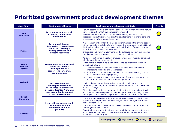## **Prioritized government product development themes**

| <b>Case Study</b>                               | <b>Best practice themes</b>                                                                                                           | <b>Implications and relevancy to Ontario</b>                                                                                                                                                                                                                                                                                                                                                                            | <b>Priority</b> |
|-------------------------------------------------|---------------------------------------------------------------------------------------------------------------------------------------|-------------------------------------------------------------------------------------------------------------------------------------------------------------------------------------------------------------------------------------------------------------------------------------------------------------------------------------------------------------------------------------------------------------------------|-----------------|
| <b>New</b><br><b>Brunswick</b>                  | Leverage natural assets in<br>developing products and<br>destinations                                                                 | • Natural assets can be a competitive advantage and often present a natural<br>traveller attraction that can be further developed.<br>• Government investment in product development, and particularly<br>supporting infrastructure, facilitate the development of tourism icons and<br>encourages private product clustering.                                                                                          |                 |
| <b>Mexico</b>                                   | <b>Government-industry</b><br>collaboration / partnering to<br>set product strategy,<br>identify priorities and<br>allocate resources | • A mechanism or body for the Ontario government and the private sector<br>with a mandate to collaborate and focus on the long-term sustainability of<br>the tourism industry will best serve the identification of product strategy,<br>prioritization and resource investment.<br>• Efficiencies and industry alignment can be achieved through combined or<br>coordinated research, product and promotion activities |                 |
| <b>Prince</b><br><b>Edward</b><br><b>Island</b> | Government recognizes and<br>invests in product<br>development as a<br>cornerstone in tourism<br>competiveness                        | • Policy recognition for the role of product development must be combined<br>with impactful fiscal investment.<br>• Investments in product development need to be prioritized based on<br>impact and return.<br>- Comprehensive product audits could be conducted routinely to<br>understand strengths and weaknesses.<br>- Prioritization of investments in new product versus existing product                        |                 |
|                                                 |                                                                                                                                       | need to be balanced appropriately.<br>- Travel regions strategies and supporting infrastructure can provide<br>important indirect support for tourism products.                                                                                                                                                                                                                                                         |                 |
| <b>Ireland</b>                                  | <b>Successful tourism</b><br>development includes<br>coordinated investment in<br>access, education / training                        | • Product should not be developed or renewed in isolation without<br>considering the integration of other supporting tourism components (e.g.,<br>access, training).                                                                                                                                                                                                                                                    |                 |
|                                                 | and promotion to support<br>product development                                                                                       | • Given the service-oriented nature of the industry, tourism labour training<br>and professional development should be a priority so that a high quality<br>labour pool is available to support public and private sector operations.                                                                                                                                                                                   |                 |
| <b>British</b><br>Columbia                      | Involve the private sector in<br>the management and                                                                                   | • The operations experience, ingenuity and responsiveness / flexibility of<br>private tourism operators can be leveraged in the management of public<br>sector tourism assets.<br>• The profit-motive of private sector operators needs to be balanced with                                                                                                                                                             |                 |
| <b>Australia</b>                                | operations of public<br>products                                                                                                      | Ontario government priorities.<br>• Opportunities may exist for Government and the private sector to make<br>joint investments in new product offerings that may otherwise not be<br>undertaken by either group.                                                                                                                                                                                                        |                 |
|                                                 |                                                                                                                                       | O Priority O<br>High priority<br><b>Rating legend</b>                                                                                                                                                                                                                                                                                                                                                                   | Low priority    |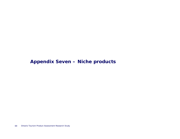### **Appendix Seven – Niche products**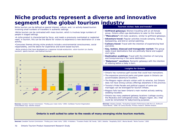### **Niche products represent a diverse and innovative segment of the global tourism industry**

Niche tourism can be defined as special interest, culture, and / or activity-based tourism involving small numbers of travellers in authentic settings.

•Niche tourism can be contrasted with mass tourism, which is involves large numbers of people in staged settings.

•A niche product is characterized by focus, and meets a previously overlooked or neglected need; in tourism, this can be the desire for visitors to experience a new destination or a new activity.

•Consumer themes driving niche products include a environmental consciousness, social responsibility, and the desire for experience and event-based tourism.

–Niche products that have developed as a response include ecotourism, volun-tourism (or charity tourism), sports tourism, and festival tourism.





#### **Tourism niches: fads and trends?**

- **Girlfriend getaways:** Women travelling with an all-female group. Ontario offers spa destinations to cater to this market.
- **"Mancations":** All-male vacations; similar to girlfriend getaways.
- **Adventure travel:** Popular activities include camping, hiking, backpacking, and bird or animal watching.
- **Culinary travel:** Travel with the intention of experiencing food and drink.
- **Gay, lesbian, bisexual and transgender market:** This group seeks travel destinations that are politically liberal and support civil rights.
- **Destination weddings:** Travel with the intention of marrying and honeymooning in the same destination.
- **"Babymoon" vacations:** Romantic getaways with the intention of relaxing before a baby is born.

### **Insights for Ontario**

- Ontario has numerous golf courses that could host mancations.
- The expansive provincial parks and green space in Ontario can accommodate adventure travellers.
- The Niagara region attracts visitors with its wineries, but Ontario does not have strong culinary offerings elsewhere in the province.
- Toronto's Pride Parade and political support of same-sex marriages can be leveraged for tourism inflows.
- Niagara Falls has been Ontario's main market actively seeking wedding travellers.
- Ontario has many weekend getaway locations (cottage country, the Muskoka and Collingwood areas, Niagara region, etc.) that could be remarketed for babymooning purposes.

**Sources:** Industry Canada: "Evaluating Canada's Performance with the U.S. Outbound Travel Market," 2008; US Census Bureau; Primary research; Deloitte analysis

### **Ontario is well suited to cater to the needs of many emerging niche tourism markets.**

Sources: Canadian Tourism Commission: "Finding your (new) niche," 2005; 4 Hoteliers: "Travelers Predict '08 Trends," 2007; Deloitte: "Hospitality 2010"; Marina Novelli: "Niche Tourism," 2005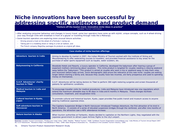### **Niche innovations have been successful by addressing specific audiences and product demand**

#### **"Venture off the beaten track: innovative niche ideas in practice"** *Canadian Tourism Commission*

- After analyzing consumer behaviour and changes in luxury travel, some tour operators have come up with stylish, unique concepts, such as 4-wheel-driving your way through Chile with breakfast in front of a geyser or travelling through India like a Maharaja.
- Some tourism operators are exploring more unusual leisure activities:
- Driving around a track at the wheel of a Formula 1 racing car,
- Taking part in a modeling shoot or riding in a hot air balloon, and
- –The French company MagicDay packages its products as original gift ideas.

| Case studies of niche tourism offerings         |                                                                                                                                                                                                                                                                                                                                                                                                                                                                                                                                                                                                                                    |  |  |
|-------------------------------------------------|------------------------------------------------------------------------------------------------------------------------------------------------------------------------------------------------------------------------------------------------------------------------------------------------------------------------------------------------------------------------------------------------------------------------------------------------------------------------------------------------------------------------------------------------------------------------------------------------------------------------------------|--|--|
| Adventure tourism in India                      | Aiming to develop its market in 2007, the Indian Ministry of Tourism worked with the Institute of Skiing and<br>Mountaineering to offer waterskiing courses to travellers, and provided financial assistance to key areas for the<br>purchase of water sports equipment such as kayaks, water scooters, etc.                                                                                                                                                                                                                                                                                                                       |  |  |
| <b>Babymooning in California</b>                | Woodside Hotels and Resorts, a luxury operator in California, developed the babymoon after hearing a group of<br>expectant mothers reminiscing about vacations. This niche product is targeted for couples needing a relaxing weekend<br>away before the "babymoon." This product is aimed at couples who want a trip or weekend away to help them relax<br>and reconnect before baby arrives. Socio-demographic data prove the relevance of this new niche: couples are waiting<br>longer before starting a family and, because they usually have two incomes, are fairly prosperous and used to spending<br>money on themselves. |  |  |
| G.A.P. Adventures' charity<br>tourism in Tibet  | G.A.P. Adventures will be taking doctors to Tibet to perform 300 sight-restoring surgeries and screen thousands of<br>patients for ophthalmic conditions.                                                                                                                                                                                                                                                                                                                                                                                                                                                                          |  |  |
| Medical tourism in India and<br><b>Malaysia</b> | To encourage traveller visits for medical procedures, India and Malaysia have introduced new visa regulations which<br>extend the maximum allowable stay to 90 days in India and 6 months in Malaysia. These changes facilitate<br>consultation, treatment, and recuperation time.                                                                                                                                                                                                                                                                                                                                                 |  |  |
| <b>Cultural tourism in Kyoto,</b><br>Japan      | To promote cultural and historical tourism, Kyoto, Japan provides free public transit and museum access to anyone<br>wearing traditional Japanese dress.                                                                                                                                                                                                                                                                                                                                                                                                                                                                           |  |  |
| Soft adventure tourism in<br><b>Vancouver</b>   | The Capilano Suspension Bridge in North Vancouver introduced Treetops Adventure, the first attraction of its kind in<br>North America. It consists of a series of elevated suspension bridges through the rainforest, and after nine months of<br>operations, the attraction saw a 40% attendance increase.                                                                                                                                                                                                                                                                                                                        |  |  |
| Nature tourism in Alaska                        | When tourism authorities at Fairbanks, Alaska decided to capitalize on the Northern Lights, they negotiated with the<br>Japanese government to attract Japan Airlines flights to the city's airport.                                                                                                                                                                                                                                                                                                                                                                                                                               |  |  |

Sources: Canadian Tourism Commission: "Finding your (new) niche," 2005; Deloitte: "Medical Tourism," 2008; Caribbean Tourism Organization (onecaribbean.org); India Ministry of Tourism Annual Report 2007-08; G.A.P Adventures: "Planeterra Helps Treat Blindness in Tibet," 2008; Dawn Ringrose & Associates Inc.: "Excellence in the Canadian Tourism Industry," 2005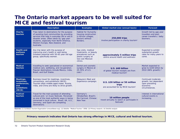## **The Ontario market appears to be well suited for MICE and festival tourism**

|                                                                          | <b>Description</b>                                                                                                                                                                                                                                                                    | <b>Examples</b>                                                                                                                 | Global market size (annual basis)                                                          | Forecast                                                                                     |
|--------------------------------------------------------------------------|---------------------------------------------------------------------------------------------------------------------------------------------------------------------------------------------------------------------------------------------------------------------------------------|---------------------------------------------------------------------------------------------------------------------------------|--------------------------------------------------------------------------------------------|----------------------------------------------------------------------------------------------|
| <b>Charity</b><br>tourism                                                | Trips taken to destinations for the purpose<br>of assisting host communities by providing<br>services that help in everyday life or aid to<br>disaster areas. Often taken by 'gap year'<br>students, especially from North America,<br>Western Europe, New Zealand, and<br>Australia. | <b>Habitat for Humanity</b><br>housing construction<br>in African villages,<br><b>Doctors without</b><br>Borders.               | 250,000 trips<br>involve participation in charity tourism <sup>1</sup>                     | Growth led by gap year<br>travellers and post-<br>career travellers / baby<br>boomers.       |
| <b>Health and</b><br>wellness<br>tourism                                 | Any trip taken with the purpose of<br>improving one's health or well-being.<br>Greatest potential with 50-65 year-old age<br>group, specifically women.                                                                                                                               | Spa visits, medical<br>treatments, or beauty<br>procedures such as<br>plastic surgery at<br><b>low-cost Mexican</b><br>clinics. | approximately 5 million trips<br>centre around health and wellness <sup>1</sup>            | <b>Expected to exhibit</b><br>substantial growth<br>rates for many years to<br>come.         |
| <b>Medical</b><br>tourism                                                | travelling to seek specialized or economical<br>medical care, wellbeing, and recuperation.<br>Popular destinations include Mexico, India,<br>Brazil, and Gulf States.                                                                                                                 | Dental and cosmetic<br>surgery in Mexico at<br>25-35% of U.S.<br>cost <sub>2</sub>                                              | U.S. \$60 billion<br>of global tourism receipts are from<br>medical tourism <sup>1</sup>   | Market expected to<br>grow to \$100 billion by<br>2010 (66% growth). <sup>2</sup>            |
| Meetings,<br>incentives,<br>conferences,<br>and<br>exhibitions<br>(MICE) | Business travel for meetings, incentives,<br>conventions, and exhibitions (MICE).<br>Tourists often middle-aged males. Russia,<br>India, and China are likely to drive growth.                                                                                                        | Malaysia's Meet and<br>Experience campaign.                                                                                     | U.S. \$30 billion or 50 million<br>trips<br>are accounted for by MICE tourism <sup>1</sup> | Continued moderate<br>growth, but dependent<br>upon prevailing<br>economic<br>circumstances. |
| <b>Festival</b><br>tourism                                               | Travel for the main purpose of attending<br>cultural and / or music festivals. Perceived<br>as one of the most authentic ways in being<br>immersed in local culture. Brazil, UK, U.S.,<br>Germany, and Spain are competing<br>destinations.                                           | Germany's<br>Oktoberfest, Brazil's<br>Rio Carnival, Chinese<br>New Year.                                                        | 10 million people<br>travel annually to watch or participate in<br>festivals <sup>1</sup>  | Interest in international<br>cultural events is<br>increasing.                               |

**Sources:** (1) Caribbean Tourism Organization (onecaribbean.org); (2) Deloitte: "Medical Tourism," 2008; (3) Primary research; (4) Deloitte analysis

**Primary research indicates that Ontario has strong offerings in MICE, cultural and festival tourism.**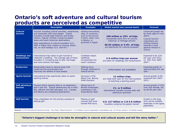# **Ontario's soft adventure and cultural tourism products are perceived as competitive**

|                                   | <b>Description</b>                                                                                                                                                                                                                                                                                                                                                                                   | <b>Examples</b>                                                                                                                 | Global market size (annual basis)                                                                                                                                                                           | <b>Forecast</b>                                                                                                                                                        |
|-----------------------------------|------------------------------------------------------------------------------------------------------------------------------------------------------------------------------------------------------------------------------------------------------------------------------------------------------------------------------------------------------------------------------------------------------|---------------------------------------------------------------------------------------------------------------------------------|-------------------------------------------------------------------------------------------------------------------------------------------------------------------------------------------------------------|------------------------------------------------------------------------------------------------------------------------------------------------------------------------|
| <b>Cultural</b><br>tourism        | Tourism including cultural activities, experiences,<br>and interaction with local people. Typical<br>travellers include baby boomers and empty<br>nesters. Popular markets include European,<br>Asian and South American destinations.<br>Daily expenditure of cultural travellers (U.S.<br>\$90) is higher than visitors on touring, beach,<br>city, or rural holidays (U.S. \$54-67). <sup>1</sup> | Visiting monuments,<br>sites, or museums,<br>such as the Louvre<br>in Paris, Aztec ruins<br>in Mexico, or<br>pyramids in Egypt. | 160 million or 20% of trips<br>incorporate some form of cultural,<br>historical, or heritage activity <sup>2</sup><br>40-65 million or 5-8% of trips<br>are specifically for cultural purposes <sup>2</sup> | Continued growth led<br>by those aged 55 and<br>above.<br>Cultural tourism<br>motivations are<br>shifting slowing<br>towards a more<br>general interest in<br>culture. |
| <b>Weddings and</b><br>honeymoons | International trips taken to get married or<br>celebrate a wedding. The average age of these<br>travellers is increasing due to later marriages<br>and more second marriages.                                                                                                                                                                                                                        | Caribbean beach<br>weddings<br>incorporated into<br>resort vacations.                                                           | 3-6 million trips per annum<br>are taken for weddings and honeymoons <sup>2</sup>                                                                                                                           | Expected to be 12%<br>per year until 2012,<br>vs. 10% from 2002-<br>2007.2                                                                                             |
| <b>Ecotourism</b>                 | Responsible travel to natural areas that<br>conserves the environment and<br>improves the welfare of local people.                                                                                                                                                                                                                                                                                   | <b>Walking tours</b><br>through rainforest or<br>natural terrain.                                                               | [information not available]                                                                                                                                                                                 | Expected growth of<br>approximately 6% per<br>year. <sup>1</sup>                                                                                                       |
| <b>Sports tourism</b>             | International trips specifically taken to watch<br>sporting events.                                                                                                                                                                                                                                                                                                                                  | Germany's FIFA<br>World Cup, Beijing<br>2008 Olympics                                                                           | 12 million trips<br>are made each year for the main purpose<br>of watching a sporting event <sup>2</sup>                                                                                                    | Annual growth of 6%<br>expected from 2007-<br>2012.2                                                                                                                   |
| Soft adventure<br>tourism         | Tourism which requires little or no experience<br>and is low risk. Typical adventurers are in their<br>40s, affluent and well-educated. U.S., Canada,<br>and Mexico are competing destinations.                                                                                                                                                                                                      | Hiking tours of<br>Bhutan landscapes,<br>snorkeling in the<br><b>Great Barrier Reef.</b>                                        | 1% or 9 million<br>international traveller arrivals seek soft<br>adventure activities <sup>2</sup>                                                                                                          | Annual growth of 10%<br>over next decade, led<br>by 40-60 year olds. <sup>2</sup>                                                                                      |
| <b>Golf tourism</b>               | Trips undertaken for the primary purpose of<br>playing golf.                                                                                                                                                                                                                                                                                                                                         | Playing on golf<br>courses that have<br>hosted PGA tours.                                                                       | U.S. \$17 billion or 2.8-5.6 million<br>travellers comprise the global market <sup>2</sup>                                                                                                                  | Growth in the long<br>term will be notable,<br>especially in the aging<br>population.                                                                                  |

Sources: (1) The International Ecotourism Society: "Fact Sheet: Global Ecotourism"; (2) Caribbean Tourism Organization (onecaribbean.org); (3) Primary research; (4) Deloitte analysis

**"Ontario's biggest challenge is to take its strengths in natural and cultural assets and tell the story better."**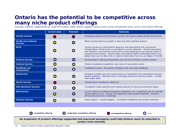# **Ontario has the potential to be competitive across many niche product offerings**

Secondary research, supplemented by insight from subject matter experts suggests varying current success and potential across various niche product offerings.

|                                       | <b>Current state</b> | <b>Potential</b> | <b>Rationale</b>                                                                                                                                                                                                                                                                                                                                                                                                                                   |
|---------------------------------------|----------------------|------------------|----------------------------------------------------------------------------------------------------------------------------------------------------------------------------------------------------------------------------------------------------------------------------------------------------------------------------------------------------------------------------------------------------------------------------------------------------|
| <b>Charity tourism</b>                |                      |                  | Emerging markets and third world countries will receive greater profile and interest.                                                                                                                                                                                                                                                                                                                                                              |
| <b>Health and wellness</b><br>tourism |                      |                  | Mixed success driven by growth in Spas and other wellness product.                                                                                                                                                                                                                                                                                                                                                                                 |
| <b>MICE</b>                           |                      |                  | Toronto serves as a strong North American and international hub, but ground<br>transportation infrastructure is considered a current deterrent. Ontario may attract<br>less interest in the incentive travel area as these destinations are typically those of<br>personal travel interest. Ontario often ranks behind higher profile destinations (e.g.,<br>global cities such as New York or vacation destinations such as Las Vegas or Florida) |
| <b>Festival tourism</b>               |                      | $\bullet$        | Strong product offering and potential, but currently limited to summer season.                                                                                                                                                                                                                                                                                                                                                                     |
| <b>Cultural tourism</b>               |                      | $\bullet$        | Product considered competitive, but a lack of new product exists.                                                                                                                                                                                                                                                                                                                                                                                  |
| <b>Weddings and</b><br>honeymoons     |                      | $\bullet$        | Traditional product, Perception of Niagara Falls and resort weddings.                                                                                                                                                                                                                                                                                                                                                                              |
| <b>Ecotourism</b>                     |                      | $\mathbf \Omega$ | Emerging markets and more exotic locals are considered more competitive and with<br>greater potential. Potential exists to leverage natural environment assets – namely<br>fresh water lakes.                                                                                                                                                                                                                                                      |
| <b>Sports tourism</b>                 |                      | $\bigcap$        | Infrastructure considered a deterrent.                                                                                                                                                                                                                                                                                                                                                                                                             |
| Soft adventure tourism                |                      | $\bullet$        | Considered a high-potential area namely because of natural environment assets.                                                                                                                                                                                                                                                                                                                                                                     |
| <b>Golf tourism</b>                   |                      |                  | Current offering considered somewhat competitive, but a significant lack of overnight<br>accommodation (e.g., resorts) will negatively impact growth potential. Ontario's<br>climate also serves as a challenge.                                                                                                                                                                                                                                   |
| <b>Culinary tourism</b>               |                      |                  | Select regions – namely Niagara – considered competitive with growth potential.                                                                                                                                                                                                                                                                                                                                                                    |
|                                       |                      |                  |                                                                                                                                                                                                                                                                                                                                                                                                                                                    |
|                                       |                      |                  |                                                                                                                                                                                                                                                                                                                                                                                                                                                    |

 $\bigcirc$ 

**competitive offering moderately competitive offering uncompetitive offering**



**An expansion of product offerings supported and improved packaging could help Ontario reach its potential in certain niche markets.** 

74Ontario Tourism Product Assessment Research Study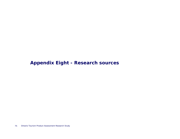# **Appendix Eight - Research sources**

75Ontario Tourism Product Assessment Research Study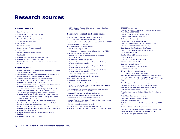## **Research sources**

#### **Primary research**

- Bear Paw Lodge
- Canadian Tourism Commission (CTC)
- Deloitte New Zealand
- Georgian Triangle Tourism Association
- Hotel Association of Canada
- Merit Travel
- Ministry of Culture
- Ontario Culinary Tourism Association
- Scenic Caves
- Toronto International Film Festival
- Tourism BC
- Tourism Industry Association of Canada (TIAC)
- Tourism Operations Division, Toronto
- Tourism Toronto and the Toronto Convention and Visitors Association

#### **Report sources**

- Alberta Agriculture, Food, and Rural Development: Ag Tourism Cluster Development, 2004
- BNET Business Network: "Mexico and Fonatur: celebrating 30 years of success in tourism investment," 2004
- Discover Winter Fun in Barrie and Area (Brochure)
- Fáilte Ireland National Development Plan 2007 2013: Tourism Capital Investment Programme
- Guyana Trade and Investment Support Project: Facilitation of Tourism Cluster Working Group, 2005
- • Innovating Regions in Europe: IRE Subgroup on 'Regional clustering and Networking as Innovation Drivers, 2007
- London Development Agency: East London Sub-regional Tourism Development Strategy and Action Plan, 2004-2006
- • PEI Tourism Advisory Council: The PEI Strategy for Tourism Competitiveness, 2005-2010
- Playa Cortes: FONATUR and its Commitment to Mexico
- Sara Nordin: Tourism Clustering and Innovation: Paths to Economic Growth and Development, 2003
- South Australia Tourism Development Fund: Guidelines for Tourism Development Assistance Upgrade of South Australian Wine and Food Experiences
- The Real Mexico: FONATUR, The Force Behind Mexican Tourism, 2004
- Tourism BC Annual Report 2007-08

• USAID Guyana Trade and Investment Support: Tourism Cluster Profile, April 2005

#### **Secondary research and other sources**

- 4 Hoteliers: "Travelers Predict '08 Trends," 2007
- •AAA / CAA: "Five Diamond Restaurants," 2008
- •Associated Press: "Maple Leafs Most Valuable NHL Team," 2008
- •Art Gallery of Ontario (ago.net)
- •Art Gallery of Ontario Annual Reports
- •Asset Registry, August 2008
- All Business "Cancun is back and better than ever," 2006
- Amanresorts (amanresorts.com)
- Artinfo: "Tokyo National Museum Breaks Attendance Records," 2008
- AusIndustry (ausindustry.gov.au)
- • Australian Tourism Development Program – Customers Funded under Round 1 (2004)
- Australian Tourism Development Program Customers Funded under Round 3(2006)
- Australian Tourism Development Program Customers Funded under Round 4 (2007)
- •Baseball Almanac (baseball-almanac.com)
- •Basketball Reference (basketballreference.com)
- •Bell Capital Cup (oihf.net)
- Bootsnall Travel (bootsnall.com)
- Bordeaux Wine Travel (bordeaux-wine-travel.com)
- Business Travel Logue: Zagat Survey's 2007/2008 World's Top Hotels, Resorts and Spas

•Business Wire: "The new trend in travel reviews: Increase in Food and Restaurant Reviews," 2008

•Canada's Wonderland (canadaswonderland.com)

•Canadian Gaming Association (canadiangaming.ca) •Canadian Museum of Civilization (civilization.ca)

•Canadian Tourism Commission: "Vancouver Convention Centre Chosen as World's Best," 2008

#### •Carnival Service (carnivalservice.com)

•City of Ottawa: Annual Development Report, 2007 •Casino Journal: "Best Practices – Putting It All Together," 2006

- •CTC 2007 Annual Report
- • Canadian Museum of Civilization / Canadian War Museum Annual Report 2007/2008
- •Canadian Tulip Festival (canadiantulip.com)
- •Caribana 2008 (caribanatoronto.com)
- Caribana (caribana.com)
- •Casino Niagara (casinoniagara.com)
- Cedar Fair Entertainment Company (cedarfair.com)
- •Chapleau Community Portal (chapleau.ca)
- Cisco Ottawa Bluesfest (ottawabluesfest.ca)
- •City of Ottawa: Annual Development Report, 2007
- •CN Tower (cntower.ca)
- •Deerhurst Resort (deerhurstresort.com)
- •Deloitte analysis
- •Deloitte: "Destination Canada," 2007
- •Deloitte: "Hospitality 2010"
- •Deloitte: "Making it Happen"
- •Deloitte: "Transparency and Vigilance"
- •Disneyland is Escapism
- •EIU 2008 Country Monitor Reports
- •ETC: Tourism Trends for Europe, 2006
- Environmental Commissioner of Ontario: "Doing Less with Less - How shortfalls in budget, staffing and in-house expertise are hampering the effectiveness of MOE and MNR," 2007
- •Falls Management Company (fallsmanagement.com)
- Fallsview Casino Resort (fallsviewcasinoresport.com)
- •Fallsview Indoor Water Park (fallsviewwaterpark.com)
- Festivals and Events in Ontario, 2008
- • Financial Statements of McMichael Canadian Art Collection, 2007
- •Fort William Historical Park (fwhp.ca)
- •Food Ontario (toronto.foodontario.com)
- •Frommer's (frommers.com)
- • Failte Ireland Tourism Product Development Strategy 2007 – 2013
- Fairmont Hotels and Resorts (fairmont.com)
- •Food and Wine Magazine: 10 Best Restaurant Cities, 2008
- Forbes Magazine: "The World's Biggest Party," 2006
- •GAP Adventures (gapadventures.com)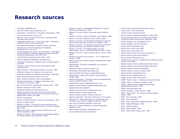## **Research sources**

- Golf Digest (golfdigest.com)
- Gourmond Breaks (gourmandbreaks.com)
- Hotelchatter: "Infinity Pool = Tranquility at Amanwella," 2008
- Huronia Historical Parks (hhp.on.ca)
- IBM.com: Fairmont reinvents the check-in experience with innovative kiosk solution
- Independenttraveler.com: "Travel trends 2007 what globetrotters can expect over the next year"
- International Association of Congress Centers (aipc.org)
- International Journal of Contemporary Hospitality Management (vol. 20, no.3)
- Ireland Department of Sports , Art and Tourism: "O'Donoghue announces €800m Tourism Development Programme under the National Development Plan 2007-2013."
- Ireland National Development Plan 2007 2013
- Kitchener Waterloo Oktoberfest (oktoberfest.ca)
- Longwoods International: "Niagara Visitor & Image Research," July 2008
- Luminato: Toronto Festival of Arts and Creativity 2008 (luminato.com)
- Martin Lohmann: "New Demand Factors in Tourism," 2004
- McMichael Canadian Art Collection (mcmichael.com)
- •McMichael Canadian Art Collection Annual Report, 2006/2007
- Metro Toronto Convention Centre (mtcc.com)
- Metro Toronto Convention Centre Annual Reports
- Meetings Review News: "Singapore ranked Asia's Top Convention City by ICCA," 2008
- •Mexico Tourism Sector Development Program 1995 – 2000
- Michelin's Restaurant Guide, 2008
- Marineland Canada (marinelandcanada.com)
- Market Overview and Economic Analysis of the Strategic Implementation Plan (SIP) Queen St. Downtown Area City of Niagara Falls, Ontario, June 2007
- Ministry consultations
- Ministry of Health Promotion: "Ontario Trails Strategy," 2005
- Ministry of Tourism Data
- Ministry of Tourism: "Investing in Huronia Historical Parks McGuinty Government Growing Tourism In Southern Georgian Bay," 2008
- Ministry of Tourism: "Ontario Tourism Performance, July 2008," September, 2008
- Ministry of Tourism: "Risk Assessment and Mitigation Options for Tourism Agencies and Attractions," 2006
- Ministry of Tourism: "Sustainability Strategies for Tourism Agencies and Attractions," 2006
- Ministry of Tourism: Ontario Convention Market Analysis, 2008
- Ministry of Tourism: Ontario's Domestic Travel Markets, 2006
- Ministry of Tourism: Regional Tourism Profiles, 2006
- • Ministry of Tourism: The Awareness and Ratings of Ontario's Major Cultural Attractions by American Travellers, 2005
- Ministry of Tourism: The Awareness and Ratings of Ontario's Outdoor Destinations by American Travellers, 2005
- Ministry of Tourism: The Niagara Region's Tourism Opportunities - The U.S. and Ontario Markets, 2007 / 2008
- Ministry of Tourism: Travel Intentions Study Wave 10 (May 2008)
- Ministry of Tourism Culture and Arts "B.C. investments in Tourism," 2008
- Ministry of Tourism: Ontario Tourism Competitiveness Study, Spring 2008
- Muenchen.de: "The Munich Oktoberfest as an Economic Factor, "2005
- Museums-in-Paris (museums-in-paris.com)
- Myrtle Beach Golf Holiday (golfholiday.com)
- National Capital Commission (canadascapital.gc.ca)
- Niagara Falls: traveller and Economic Impact Statistics, October 2008
- Niagara Falls Review: "Convention centre not jeopardized by province's \$500M shortfall," 2008
- •Niagara Falls Tourism (niagarafallstourism.com)
- Niagara Ice Wine Festival (niagaraicewinefestival.com)
- Niagara Parks Annual Reports
- Niagara Parks Commission (niagaraparks.com)
- •Northern Ontario (northernontario.org)
- Northern Ontario traveller Outfitters (noto.net)
- National Geographic: "Best Green Adventures: Eco-Success"
- National Post: "Hotels extending their friendly paw, more Canadians travel with four-legged companions," 2008
- New York City Vacation Packages (nycvp.com)
- NTA Travel: "Tourism Realities for a New Demographic Ballgame," 2007
- Oberoi Hotels and Resorts (oberoihotels.com)
- Ontario 2008 Golf and Vacation Planner
- Ontario Lottery and Gaming Corporation (olg.ca)
- Ontario Parks: Parks Guide 2008
- •Ontario Tourism (ontariotravel.net)
- Ontario Tourism Investment Newsletter, Winter 2007
- • Ontario Welcomes Back Indy: McGuinty Government Investing In Major Tourism Draw, September, 2008
- •Ontario Heritage Trust (heritagefdn.on.ca)
- Ontario Heritage Trust Annual Reports
- •Ontario Parks (ontarioparks.com)
- Ontario Parks: Parks Guide 2008
- •Ontario Place (ontarioplace.com)
- Ontario Science Centre (ontariosciencecentre.ca)
- •Ontario Science Centre Annual Reports
- Ontario Trails (ontariotrails.on.ca)
- • Ottawa Business Journal: "Congress Centre expansion leaves vacuum," June 2008
- •Ottawa Congress Centre (ottawacongresscentre.com)
- Ottawa Congress Centre Renewal Report, May 2008
- •Ottawa Congress Centre Annual Reports
- Ottawa: Report on Tourism, October 2008
- •Ottawa Festivals (ottawafestivals.ca)
- Ottawa Tourism (ottawatourism.ca)
- •Ottawa Tourism: 2007 Annual Report
- OTMPC: Meet in Ontario Meeting and Convention Guide
- •OTMPC: Ontario - Distinctive Getaways, 2008
- OTMPC: "Ontario Tourism Marketing Partnership Segmentation Summary," 2007
- •OTMPC (tourismpartners.com)
- •People and Planet: "Global Tourism," 2008
- • PRTD: "1000 Islands – St. Lawrence Seaway Regional Report," 2008
- •PRTD: "City of Toronto," 2007
- PRTD: "City of Hamilton"
- •PRTD: "Elgin, Halimand and Norfolk Counties," 2008
- PRTD: "Guelph/Wellington," 2005
- •PRTD: "Greater Sudbury"
- •PRTD: "Halton Region," 2007
- •PRTD: "Lake Simcoe Tourism Area," 2007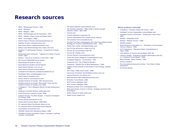## **Research sources**

- PRTD: "Mississauga Tourism," 2004
- PRTD: "Muskoka"
- PRTD: "Niagara," 2005
- PRTD: "Peterborough and the Kawarthas," 2007
- PRTD: "Windsor, Essex County and Pelee Island"
- PRTD: "York Region," 2006
- Premier Spas of Ontario (premierspasofontario.ca)
- Rainbow Country (rainbowcountry.com)
- Red Leaves Resort (redleavesmuskoka.com)
- Rideau Canal World Heritage Site (rideau-info.com)
- Rosehart, R: Northwestern Ontario Preparing for Change, 2008
- Restaurants and Institutions: "Tapping the Culinary-Tourism Trend," 2007
- Reuters: "Top 10 art museums in the world," 2008
- Rio Carnival 2009 ROM annual reports
- Royal Botanical Gardens (rbg.ca)
- Royal Botanical Gardens Annual Reports
- Royal Ontario Museum (rom.on.ca)
- Royal Ontario Museum Annual Reports
- Scotiabank Nuit Blanche (scotiabanknuitblanche.ca)
- Scotiabank Place (scotiabankplace.com)
- Shaw Festival (shawfest.com)
- Soccer America (socceramerica.com)
- Stratford Festival of Canada: 2007 Financial Facts
- Stratford Festival of Canada: New Artistic Team and the Stratford Festival of Canada, June 2006
- S.Pellegrino: "The S.Pellegrino World's 50 Best Restaurants," 2008
- Salzburg Convention Bureau (salzburgcb.com)
- Scotia Economics Industry Trends, 2008
- Scottish Tourism: The Next Decade A Tourism Framework for Change, 2006
- Science North(sciencenorth.on.ca)
- Science North Annual Report, 2004/2005
- St. Lawrence Parks Commission (parks.on.ca)
- St. Lawrence Parks Commission Annual Reports
- Summerfest (summerfest.com)
- TEA/ERA Theme Park Attendance Report, 2006
- The Metro Toronto Convention Centre: Innovative, Inspiring, Inviting, Incomparable
- The Sports Network (sportsnetwork.com)
- The Hamilton Spectator: "RBG needs to attract younger admirers: Ryder," April 2006
- Toronto.com
- Toronto Argonauts (argonauts.ca)
- Toronto International Film Festival Group (tiffg.ca)
- The Colorado Trail (coloradotrail.org)
- The New York Pass (newyorkpass.com) The Prince Edward Island Strategy for Tourism Competitiveness 2005 – 2010
- Theme Park Insider (themeparkinsider.com)
- Top 20 Free Attractions in New York City
- Tourism BC Annual Report 2007-08
- Tourism BC (hellobc.com)
- Tourism Partners (tourismpartners.com)
- Travel and Leisure Magazine (travelandleisure.com)
- Travellady Magazine: "Summerfest," 2001
- Travelooce.com: Top 10 Natural Wonders
- Tripadvisor: "Worlds Top 10 Wine Destinations," 2008
- Update on Key Activities of the Ontario Trails Strategy, October 2008
- USA Today:"2008 travel trends," 2008
- Vancouver Convention and Exhibition Centre (vcec.ca)
- Vatican Museums (mv.vatican.va)
- West Edmonton Mall (westedmontonmall.com)
- Wi Online Travel Market, 2008
- WTO Tourism Highlights 2007
- WTO Tourism Highlights 2008
- Whirlpool Jet Boat Tours (whirlpooljet.com)
- Wine and Culinary Tourism in Ontario: Strategy and Action Plan Final Report
- Winter Festival of Lights (wofl.com)
- Zagat Survey (zagat.com)

#### *Niche products overview*

- 4 Hoteliers: "Travelers Predict '08 Trends," 2007
- Caribbean Tourism Organization (onecaribbean.org)
- Canadian Tourism Commission: "Finding your (new) niche," 2005
- Deloitte: "Hospitality 2010"
- Deloitte: "Medical Tourism," 2008
- Deloitte analysis
- Dawn Ringrose & Associates Inc.: "Excellence in the Canadian Tourism Industry," 2005
- G.A.P Adventures: "Planeterra Helps Treat Blindness in Tibet," 2008
- India Ministry of Tourism Annual Report 2007-08
- Industry Canada: "Evaluating Canada's Performance with the U.S. Outbound Travel Market," 2008
- Marina Novelli: "Niche Tourism," 2005
- Primary research
- The International Ecotourism Society: "Fact Sheet: Global Ecotourism"
- US Census Bureau